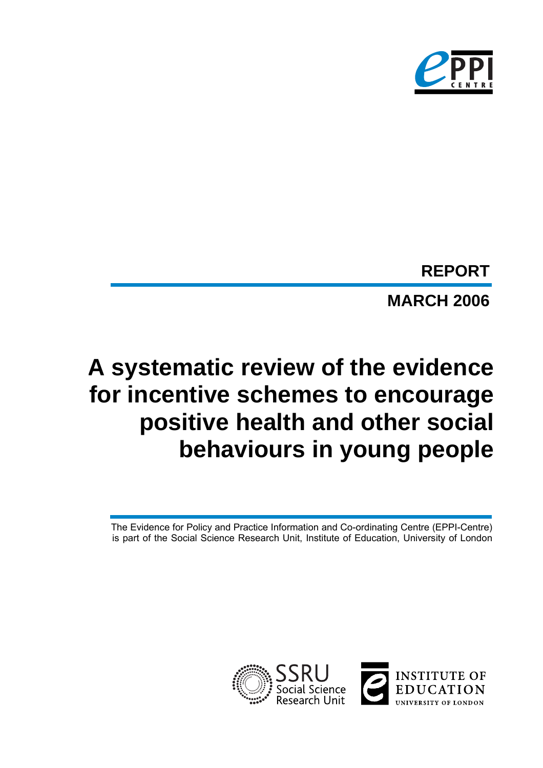

# **MARCH 2006 REPORT**

# **A systematic review of the evidence for incentive schemes to encourage positive health and other social behaviours in young people**

The Evidence for Policy and Practice Information and Co-ordinating Centre (EPPI-Centre) is part of the Social Science Research Unit, Institute of Education, University of London

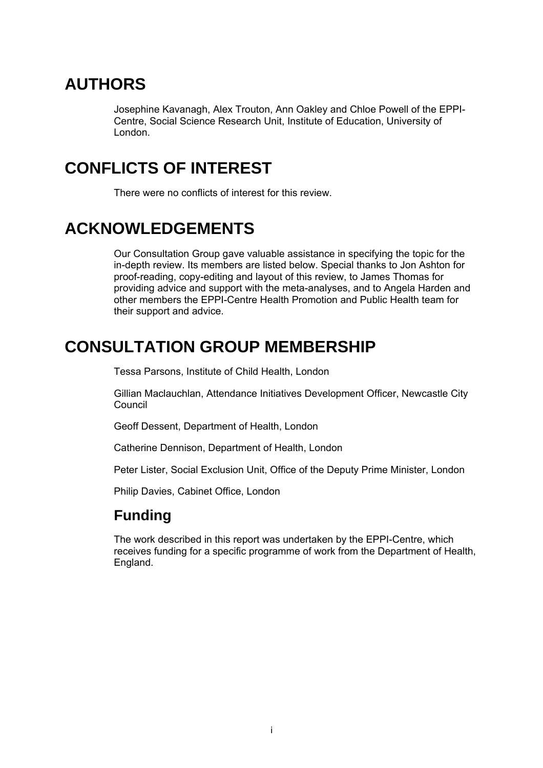# **AUTHORS**

Josephine Kavanagh, Alex Trouton, Ann Oakley and Chloe Powell of the EPPI-Centre, Social Science Research Unit, Institute of Education, University of London.

# **CONFLICTS OF INTEREST**

There were no conflicts of interest for this review.

# **ACKNOWLEDGEMENTS**

Our Consultation Group gave valuable assistance in specifying the topic for the in-depth review. Its members are listed below. Special thanks to Jon Ashton for proof-reading, copy-editing and layout of this review, to James Thomas for providing advice and support with the meta-analyses, and to Angela Harden and other members the EPPI-Centre Health Promotion and Public Health team for their support and advice.

# **CONSULTATION GROUP MEMBERSHIP**

Tessa Parsons, Institute of Child Health, London

Gillian Maclauchlan, Attendance Initiatives Development Officer, Newcastle City **Council** 

Geoff Dessent, Department of Health, London

Catherine Dennison, Department of Health, London

Peter Lister, Social Exclusion Unit, Office of the Deputy Prime Minister, London

Philip Davies, Cabinet Office, London

### **Funding**

The work described in this report was undertaken by the EPPI-Centre, which receives funding for a specific programme of work from the Department of Health, England.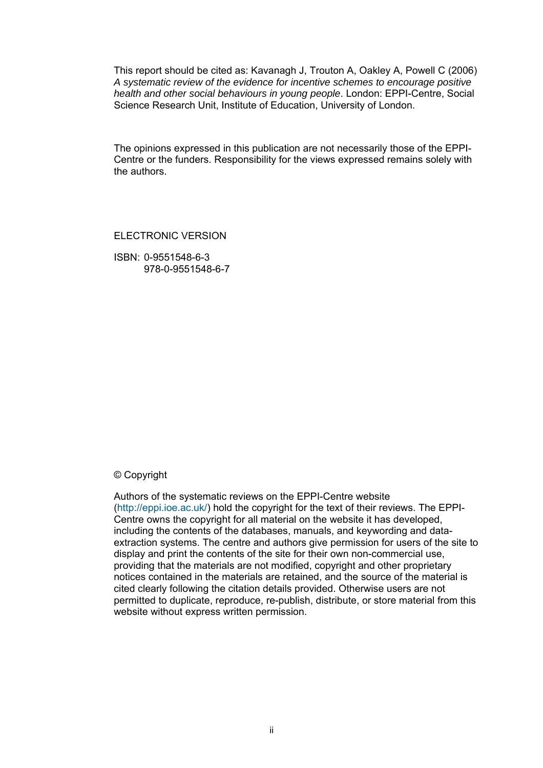This report should be cited as: Kavanagh J, Trouton A, Oakley A, Powell C (2006) *A systematic review of the evidence for incentive schemes to encourage positive health and other social behaviours in young people*. London: EPPI-Centre, Social Science Research Unit, Institute of Education, University of London.

The opinions expressed in this publication are not necessarily those of the EPPI-Centre or the funders. Responsibility for the views expressed remains solely with the authors.

ELECTRONIC VERSION

ISBN: 0-9551548-6-3 978-0-9551548-6-7

#### © Copyright

Authors of the systematic reviews on the EPPI-Centre website [\(http://eppi.ioe.ac.uk/\)](http://eppi.ioe.ac.uk/) hold the copyright for the text of their reviews. The EPPI-Centre owns the copyright for all material on the website it has developed, including the contents of the databases, manuals, and keywording and dataextraction systems. The centre and authors give permission for users of the site to display and print the contents of the site for their own non-commercial use, providing that the materials are not modified, copyright and other proprietary notices contained in the materials are retained, and the source of the material is cited clearly following the citation details provided. Otherwise users are not permitted to duplicate, reproduce, re-publish, distribute, or store material from this website without express written permission.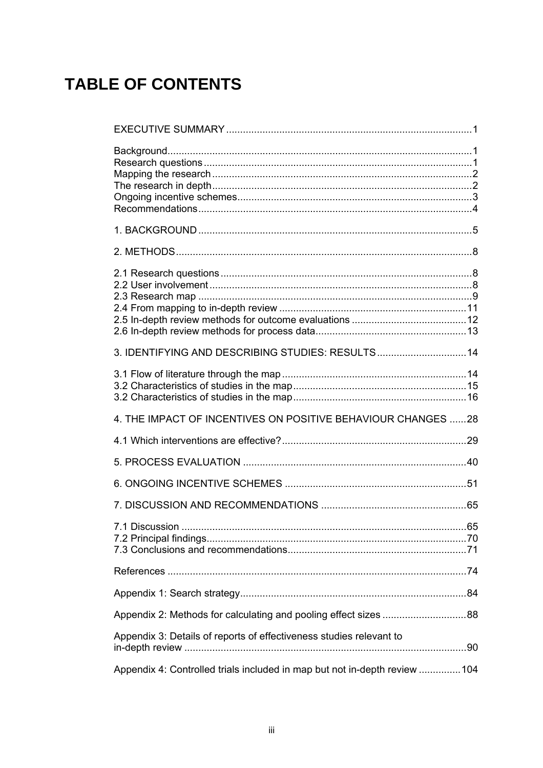# **TABLE OF CONTENTS**

| 3. IDENTIFYING AND DESCRIBING STUDIES: RESULTS14                          |  |
|---------------------------------------------------------------------------|--|
|                                                                           |  |
| 4. THE IMPACT OF INCENTIVES ON POSITIVE BEHAVIOUR CHANGES 28              |  |
|                                                                           |  |
|                                                                           |  |
|                                                                           |  |
|                                                                           |  |
|                                                                           |  |
|                                                                           |  |
|                                                                           |  |
| Appendix 2: Methods for calculating and pooling effect sizes 88           |  |
| Appendix 3: Details of reports of effectiveness studies relevant to       |  |
| Appendix 4: Controlled trials included in map but not in-depth review 104 |  |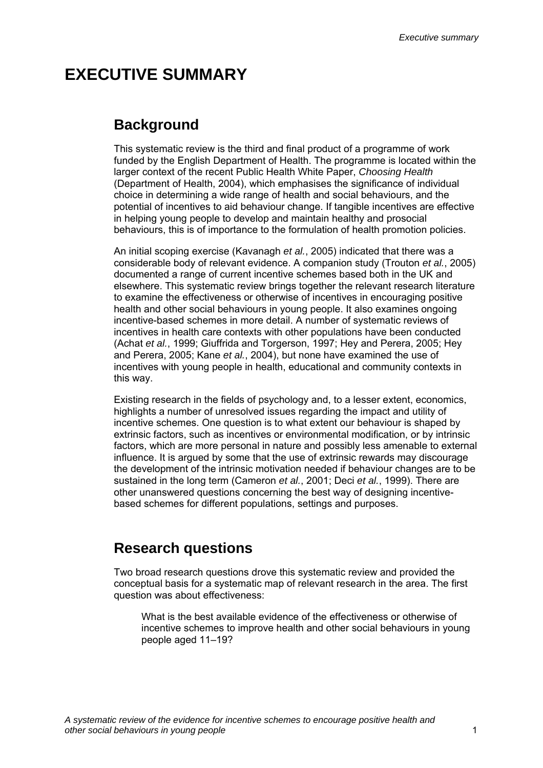### <span id="page-4-0"></span>**EXECUTIVE SUMMARY**

### **Background**

This systematic review is the third and final product of a programme of work funded by the English Department of Health. The programme is located within the larger context of the recent Public Health White Paper, *Choosing Health* (Department of Health, 2004), which emphasises the significance of individual choice in determining a wide range of health and social behaviours, and the potential of incentives to aid behaviour change. If tangible incentives are effective in helping young people to develop and maintain healthy and prosocial behaviours, this is of importance to the formulation of health promotion policies.

An initial scoping exercise (Kavanagh *et al.*, 2005) indicated that there was a considerable body of relevant evidence. A companion study (Trouton *et al.*, 2005) documented a range of current incentive schemes based both in the UK and elsewhere. This systematic review brings together the relevant research literature to examine the effectiveness or otherwise of incentives in encouraging positive health and other social behaviours in young people. It also examines ongoing incentive-based schemes in more detail. A number of systematic reviews of incentives in health care contexts with other populations have been conducted (Achat *et al.*, 1999; Giuffrida and Torgerson, 1997; Hey and Perera, 2005; Hey and Perera, 2005; Kane *et al.*, 2004), but none have examined the use of incentives with young people in health, educational and community contexts in this way.

Existing research in the fields of psychology and, to a lesser extent, economics, highlights a number of unresolved issues regarding the impact and utility of incentive schemes. One question is to what extent our behaviour is shaped by extrinsic factors, such as incentives or environmental modification, or by intrinsic factors, which are more personal in nature and possibly less amenable to external influence. It is argued by some that the use of extrinsic rewards may discourage the development of the intrinsic motivation needed if behaviour changes are to be sustained in the long term (Cameron *et al.*, 2001; Deci *et al.*, 1999). There are other unanswered questions concerning the best way of designing incentivebased schemes for different populations, settings and purposes.

### **Research questions**

Two broad research questions drove this systematic review and provided the conceptual basis for a systematic map of relevant research in the area. The first question was about effectiveness:

What is the best available evidence of the effectiveness or otherwise of incentive schemes to improve health and other social behaviours in young people aged 11–19?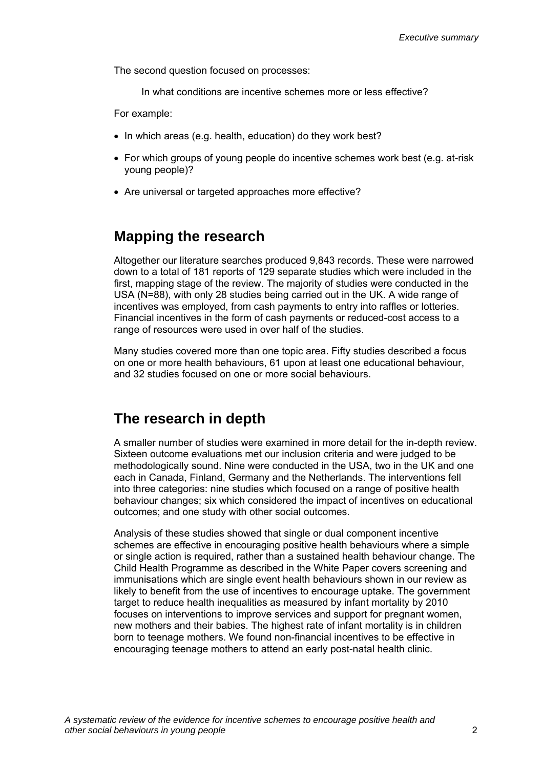<span id="page-5-0"></span>The second question focused on processes:

In what conditions are incentive schemes more or less effective?

For example:

- In which areas (e.g. health, education) do they work best?
- For which groups of young people do incentive schemes work best (e.g. at-risk young people)?
- Are universal or targeted approaches more effective?

### **Mapping the research**

Altogether our literature searches produced 9,843 records. These were narrowed down to a total of 181 reports of 129 separate studies which were included in the first, mapping stage of the review. The majority of studies were conducted in the USA (N=88), with only 28 studies being carried out in the UK. A wide range of incentives was employed, from cash payments to entry into raffles or lotteries. Financial incentives in the form of cash payments or reduced-cost access to a range of resources were used in over half of the studies.

Many studies covered more than one topic area. Fifty studies described a focus on one or more health behaviours, 61 upon at least one educational behaviour, and 32 studies focused on one or more social behaviours.

### **The research in depth**

A smaller number of studies were examined in more detail for the in-depth review. Sixteen outcome evaluations met our inclusion criteria and were judged to be methodologically sound. Nine were conducted in the USA, two in the UK and one each in Canada, Finland, Germany and the Netherlands. The interventions fell into three categories: nine studies which focused on a range of positive health behaviour changes; six which considered the impact of incentives on educational outcomes; and one study with other social outcomes.

Analysis of these studies showed that single or dual component incentive schemes are effective in encouraging positive health behaviours where a simple or single action is required, rather than a sustained health behaviour change. The Child Health Programme as described in the White Paper covers screening and immunisations which are single event health behaviours shown in our review as likely to benefit from the use of incentives to encourage uptake. The government target to reduce health inequalities as measured by infant mortality by 2010 focuses on interventions to improve services and support for pregnant women, new mothers and their babies. The highest rate of infant mortality is in children born to teenage mothers. We found non-financial incentives to be effective in encouraging teenage mothers to attend an early post-natal health clinic.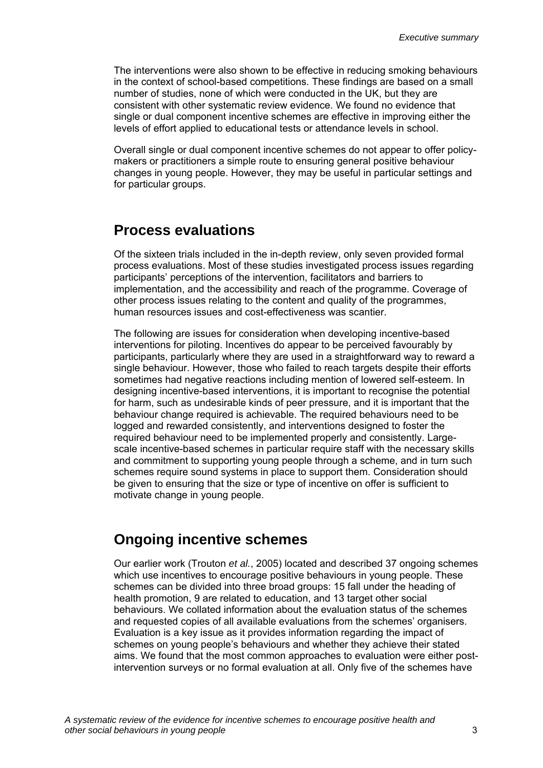<span id="page-6-0"></span>The interventions were also shown to be effective in reducing smoking behaviours in the context of school-based competitions. These findings are based on a small number of studies, none of which were conducted in the UK, but they are consistent with other systematic review evidence. We found no evidence that single or dual component incentive schemes are effective in improving either the levels of effort applied to educational tests or attendance levels in school.

Overall single or dual component incentive schemes do not appear to offer policymakers or practitioners a simple route to ensuring general positive behaviour changes in young people. However, they may be useful in particular settings and for particular groups.

### **Process evaluations**

Of the sixteen trials included in the in-depth review, only seven provided formal process evaluations. Most of these studies investigated process issues regarding participants' perceptions of the intervention, facilitators and barriers to implementation, and the accessibility and reach of the programme. Coverage of other process issues relating to the content and quality of the programmes, human resources issues and cost-effectiveness was scantier.

The following are issues for consideration when developing incentive-based interventions for piloting. Incentives do appear to be perceived favourably by participants, particularly where they are used in a straightforward way to reward a single behaviour. However, those who failed to reach targets despite their efforts sometimes had negative reactions including mention of lowered self-esteem. In designing incentive-based interventions, it is important to recognise the potential for harm, such as undesirable kinds of peer pressure, and it is important that the behaviour change required is achievable. The required behaviours need to be logged and rewarded consistently, and interventions designed to foster the required behaviour need to be implemented properly and consistently. Largescale incentive-based schemes in particular require staff with the necessary skills and commitment to supporting young people through a scheme, and in turn such schemes require sound systems in place to support them. Consideration should be given to ensuring that the size or type of incentive on offer is sufficient to motivate change in young people.

### **Ongoing incentive schemes**

Our earlier work (Trouton *et al.*, 2005) located and described 37 ongoing schemes which use incentives to encourage positive behaviours in young people. These schemes can be divided into three broad groups: 15 fall under the heading of health promotion, 9 are related to education, and 13 target other social behaviours. We collated information about the evaluation status of the schemes and requested copies of all available evaluations from the schemes' organisers. Evaluation is a key issue as it provides information regarding the impact of schemes on young people's behaviours and whether they achieve their stated aims. We found that the most common approaches to evaluation were either postintervention surveys or no formal evaluation at all. Only five of the schemes have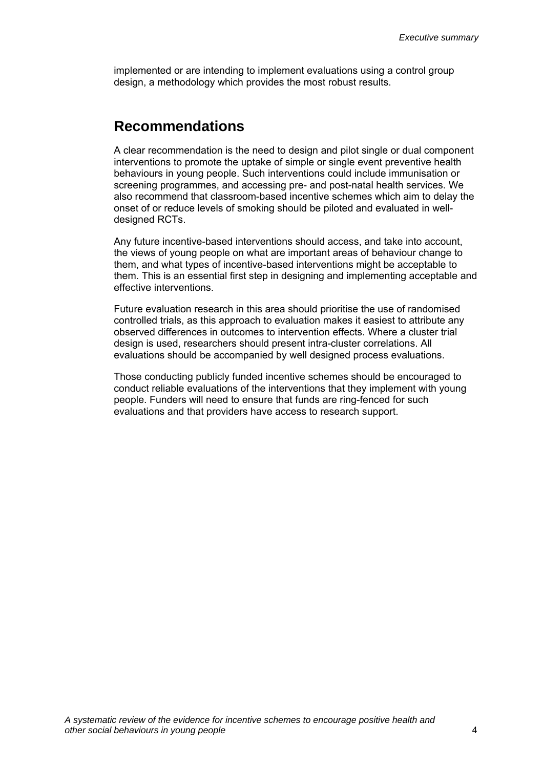<span id="page-7-0"></span>implemented or are intending to implement evaluations using a control group design, a methodology which provides the most robust results.

### **Recommendations**

A clear recommendation is the need to design and pilot single or dual component interventions to promote the uptake of simple or single event preventive health behaviours in young people. Such interventions could include immunisation or screening programmes, and accessing pre- and post-natal health services. We also recommend that classroom-based incentive schemes which aim to delay the onset of or reduce levels of smoking should be piloted and evaluated in welldesigned RCTs.

Any future incentive-based interventions should access, and take into account, the views of young people on what are important areas of behaviour change to them, and what types of incentive-based interventions might be acceptable to them. This is an essential first step in designing and implementing acceptable and effective interventions.

Future evaluation research in this area should prioritise the use of randomised controlled trials, as this approach to evaluation makes it easiest to attribute any observed differences in outcomes to intervention effects. Where a cluster trial design is used, researchers should present intra-cluster correlations. All evaluations should be accompanied by well designed process evaluations.

Those conducting publicly funded incentive schemes should be encouraged to conduct reliable evaluations of the interventions that they implement with young people. Funders will need to ensure that funds are ring-fenced for such evaluations and that providers have access to research support.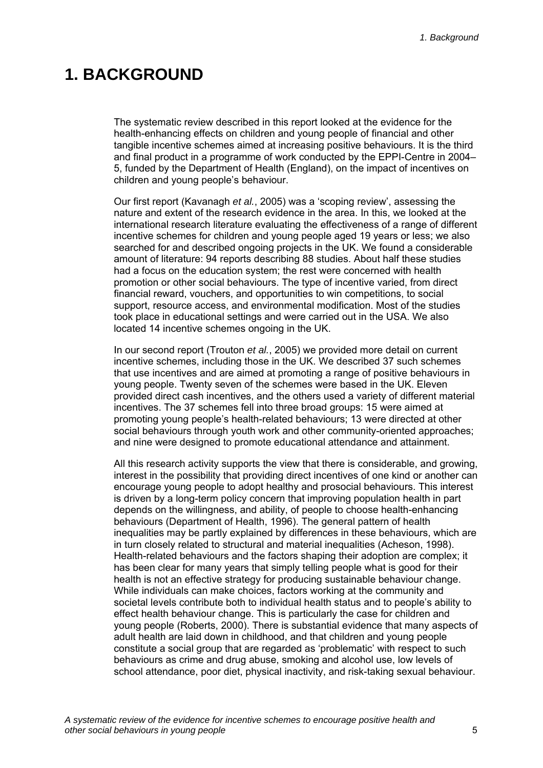### <span id="page-8-0"></span>**1. BACKGROUND**

The systematic review described in this report looked at the evidence for the health-enhancing effects on children and young people of financial and other tangible incentive schemes aimed at increasing positive behaviours. It is the third and final product in a programme of work conducted by the EPPI-Centre in 2004– 5, funded by the Department of Health (England), on the impact of incentives on children and young people's behaviour.

Our first report (Kavanagh *et al.*, 2005) was a 'scoping review', assessing the nature and extent of the research evidence in the area. In this, we looked at the international research literature evaluating the effectiveness of a range of different incentive schemes for children and young people aged 19 years or less; we also searched for and described ongoing projects in the UK. We found a considerable amount of literature: 94 reports describing 88 studies. About half these studies had a focus on the education system; the rest were concerned with health promotion or other social behaviours. The type of incentive varied, from direct financial reward, vouchers, and opportunities to win competitions, to social support, resource access, and environmental modification. Most of the studies took place in educational settings and were carried out in the USA. We also located 14 incentive schemes ongoing in the UK.

In our second report (Trouton *et al.*, 2005) we provided more detail on current incentive schemes, including those in the UK. We described 37 such schemes that use incentives and are aimed at promoting a range of positive behaviours in young people. Twenty seven of the schemes were based in the UK. Eleven provided direct cash incentives, and the others used a variety of different material incentives. The 37 schemes fell into three broad groups: 15 were aimed at promoting young people's health-related behaviours; 13 were directed at other social behaviours through youth work and other community-oriented approaches; and nine were designed to promote educational attendance and attainment.

All this research activity supports the view that there is considerable, and growing, interest in the possibility that providing direct incentives of one kind or another can encourage young people to adopt healthy and prosocial behaviours. This interest is driven by a long-term policy concern that improving population health in part depends on the willingness, and ability, of people to choose health-enhancing behaviours (Department of Health, 1996). The general pattern of health inequalities may be partly explained by differences in these behaviours, which are in turn closely related to structural and material inequalities (Acheson, 1998). Health-related behaviours and the factors shaping their adoption are complex; it has been clear for many years that simply telling people what is good for their health is not an effective strategy for producing sustainable behaviour change. While individuals can make choices, factors working at the community and societal levels contribute both to individual health status and to people's ability to effect health behaviour change. This is particularly the case for children and young people (Roberts, 2000). There is substantial evidence that many aspects of adult health are laid down in childhood, and that children and young people constitute a social group that are regarded as 'problematic' with respect to such behaviours as crime and drug abuse, smoking and alcohol use, low levels of school attendance, poor diet, physical inactivity, and risk-taking sexual behaviour.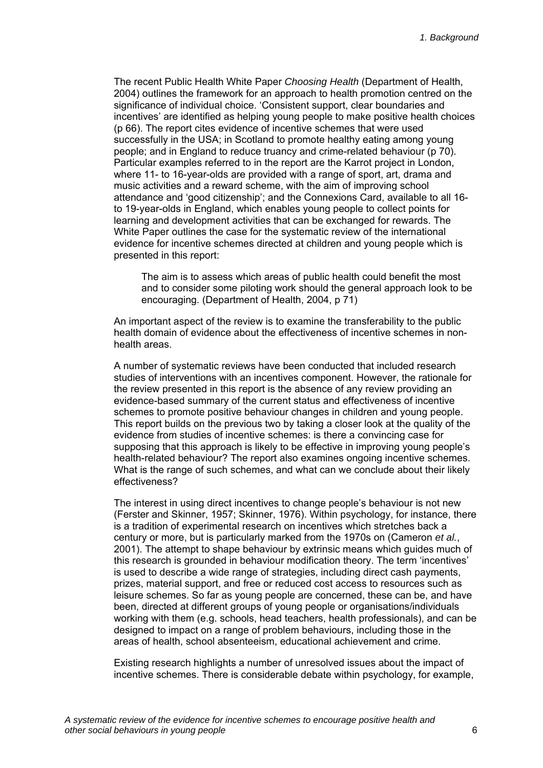The recent Public Health White Paper *Choosing Health* (Department of Health, 2004) outlines the framework for an approach to health promotion centred on the significance of individual choice. 'Consistent support, clear boundaries and incentives' are identified as helping young people to make positive health choices (p 66). The report cites evidence of incentive schemes that were used successfully in the USA; in Scotland to promote healthy eating among young people; and in England to reduce truancy and crime-related behaviour (p 70). Particular examples referred to in the report are the Karrot project in London, where 11- to 16-year-olds are provided with a range of sport, art, drama and music activities and a reward scheme, with the aim of improving school attendance and 'good citizenship'; and the Connexions Card, available to all 16 to 19-year-olds in England, which enables young people to collect points for learning and development activities that can be exchanged for rewards. The White Paper outlines the case for the systematic review of the international evidence for incentive schemes directed at children and young people which is presented in this report:

The aim is to assess which areas of public health could benefit the most and to consider some piloting work should the general approach look to be encouraging. (Department of Health, 2004, p 71)

An important aspect of the review is to examine the transferability to the public health domain of evidence about the effectiveness of incentive schemes in nonhealth areas.

A number of systematic reviews have been conducted that included research studies of interventions with an incentives component. However, the rationale for the review presented in this report is the absence of any review providing an evidence-based summary of the current status and effectiveness of incentive schemes to promote positive behaviour changes in children and young people. This report builds on the previous two by taking a closer look at the quality of the evidence from studies of incentive schemes: is there a convincing case for supposing that this approach is likely to be effective in improving young people's health-related behaviour? The report also examines ongoing incentive schemes. What is the range of such schemes, and what can we conclude about their likely effectiveness?

The interest in using direct incentives to change people's behaviour is not new (Ferster and Skinner, 1957; Skinner, 1976). Within psychology, for instance, there is a tradition of experimental research on incentives which stretches back a century or more, but is particularly marked from the 1970s on (Cameron *et al.*, 2001). The attempt to shape behaviour by extrinsic means which guides much of this research is grounded in behaviour modification theory. The term 'incentives' is used to describe a wide range of strategies, including direct cash payments, prizes, material support, and free or reduced cost access to resources such as leisure schemes. So far as young people are concerned, these can be, and have been, directed at different groups of young people or organisations/individuals working with them (e.g. schools, head teachers, health professionals), and can be designed to impact on a range of problem behaviours, including those in the areas of health, school absenteeism, educational achievement and crime.

Existing research highlights a number of unresolved issues about the impact of incentive schemes. There is considerable debate within psychology, for example,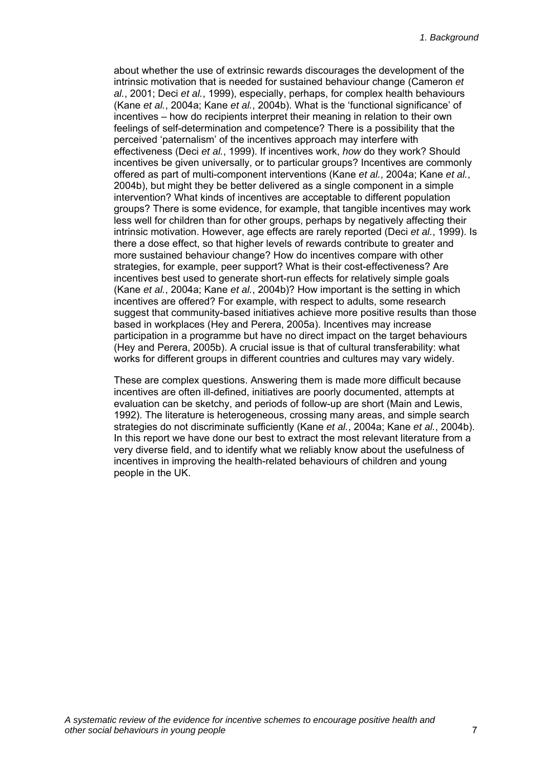about whether the use of extrinsic rewards discourages the development of the intrinsic motivation that is needed for sustained behaviour change (Cameron *et al.*, 2001; Deci *et al.*, 1999), especially, perhaps, for complex health behaviours (Kane *et al.*, 2004a; Kane *et al.*, 2004b). What is the 'functional significance' of incentives – how do recipients interpret their meaning in relation to their own feelings of self-determination and competence? There is a possibility that the perceived 'paternalism' of the incentives approach may interfere with effectiveness (Deci *et al.*, 1999). If incentives work, *how* do they work? Should incentives be given universally, or to particular groups? Incentives are commonly offered as part of multi-component interventions (Kane *et al.*, 2004a; Kane *et al.*, 2004b), but might they be better delivered as a single component in a simple intervention? What kinds of incentives are acceptable to different population groups? There is some evidence, for example, that tangible incentives may work less well for children than for other groups, perhaps by negatively affecting their intrinsic motivation. However, age effects are rarely reported (Deci *et al.*, 1999). Is there a dose effect, so that higher levels of rewards contribute to greater and more sustained behaviour change? How do incentives compare with other strategies, for example, peer support? What is their cost-effectiveness? Are incentives best used to generate short-run effects for relatively simple goals (Kane *et al.*, 2004a; Kane *et al.*, 2004b)? How important is the setting in which incentives are offered? For example, with respect to adults, some research suggest that community-based initiatives achieve more positive results than those based in workplaces (Hey and Perera, 2005a). Incentives may increase participation in a programme but have no direct impact on the target behaviours (Hey and Perera, 2005b). A crucial issue is that of cultural transferability: what works for different groups in different countries and cultures may vary widely.

These are complex questions. Answering them is made more difficult because incentives are often ill-defined, initiatives are poorly documented, attempts at evaluation can be sketchy, and periods of follow-up are short (Main and Lewis, 1992). The literature is heterogeneous, crossing many areas, and simple search strategies do not discriminate sufficiently (Kane *et al.*, 2004a; Kane *et al.*, 2004b). In this report we have done our best to extract the most relevant literature from a very diverse field, and to identify what we reliably know about the usefulness of incentives in improving the health-related behaviours of children and young people in the UK.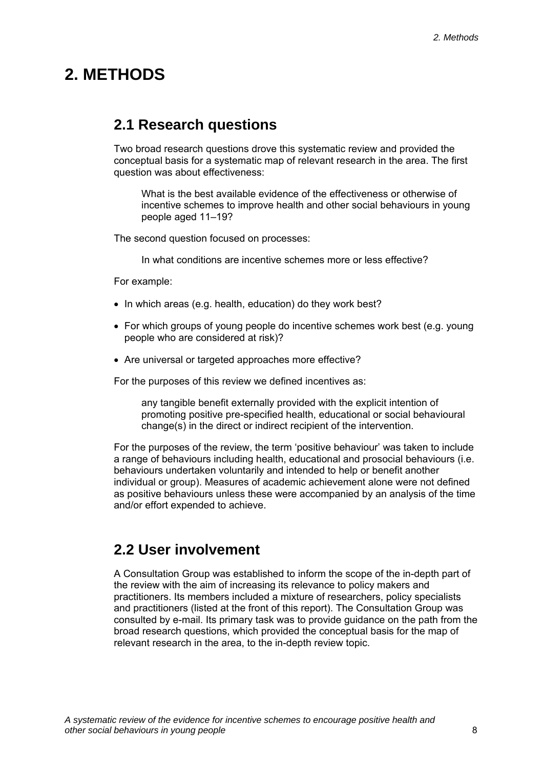## <span id="page-11-0"></span>**2. METHODS**

### **2.1 Research questions**

Two broad research questions drove this systematic review and provided the conceptual basis for a systematic map of relevant research in the area. The first question was about effectiveness:

What is the best available evidence of the effectiveness or otherwise of incentive schemes to improve health and other social behaviours in young people aged 11–19?

The second question focused on processes:

In what conditions are incentive schemes more or less effective?

For example:

- In which areas (e.g. health, education) do they work best?
- For which groups of young people do incentive schemes work best (e.g. young people who are considered at risk)?
- Are universal or targeted approaches more effective?

For the purposes of this review we defined incentives as:

any tangible benefit externally provided with the explicit intention of promoting positive pre-specified health, educational or social behavioural change(s) in the direct or indirect recipient of the intervention.

For the purposes of the review, the term 'positive behaviour' was taken to include a range of behaviours including health, educational and prosocial behaviours (i.e. behaviours undertaken voluntarily and intended to help or benefit another individual or group). Measures of academic achievement alone were not defined as positive behaviours unless these were accompanied by an analysis of the time and/or effort expended to achieve.

### **2.2 User involvement**

A Consultation Group was established to inform the scope of the in-depth part of the review with the aim of increasing its relevance to policy makers and practitioners. Its members included a mixture of researchers, policy specialists and practitioners (listed at the front of this report). The Consultation Group was consulted by e-mail. Its primary task was to provide guidance on the path from the broad research questions, which provided the conceptual basis for the map of relevant research in the area, to the in-depth review topic.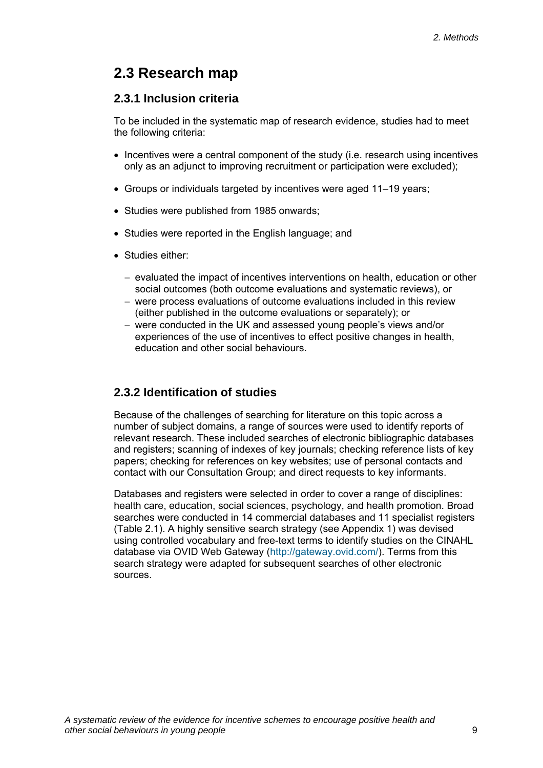### <span id="page-12-0"></span>**2.3 Research map**

### **2.3.1 Inclusion criteria**

To be included in the systematic map of research evidence, studies had to meet the following criteria:

- Incentives were a central component of the study (i.e. research using incentives only as an adjunct to improving recruitment or participation were excluded);
- Groups or individuals targeted by incentives were aged 11–19 years;
- Studies were published from 1985 onwards;
- Studies were reported in the English language; and
- Studies either:
	- − evaluated the impact of incentives interventions on health, education or other social outcomes (both outcome evaluations and systematic reviews), or
	- − were process evaluations of outcome evaluations included in this review (either published in the outcome evaluations or separately); or
	- − were conducted in the UK and assessed young people's views and/or experiences of the use of incentives to effect positive changes in health, education and other social behaviours.

### **2.3.2 Identification of studies**

Because of the challenges of searching for literature on this topic across a number of subject domains, a range of sources were used to identify reports of relevant research. These included searches of electronic bibliographic databases and registers; scanning of indexes of key journals; checking reference lists of key papers; checking for references on key websites; use of personal contacts and contact with our Consultation Group; and direct requests to key informants.

Databases and registers were selected in order to cover a range of disciplines: health care, education, social sciences, psychology, and health promotion. Broad searches were conducted in 14 commercial databases and 11 specialist registers (Table 2.1). A highly sensitive search strategy (see Appendix 1) was devised using controlled vocabulary and free-text terms to identify studies on the CINAHL database via OVID Web Gateway ([http://gateway.ovid.com/\)](http://gateway.ovid.com/). Terms from this search strategy were adapted for subsequent searches of other electronic sources.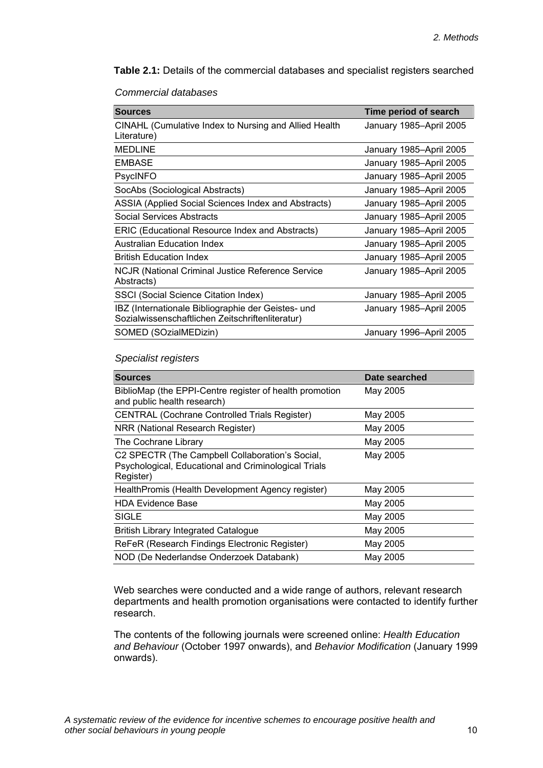**Table 2.1:** Details of the commercial databases and specialist registers searched

#### *Commercial databases*

| <b>Sources</b>                                                                                         | Time period of search   |
|--------------------------------------------------------------------------------------------------------|-------------------------|
| CINAHL (Cumulative Index to Nursing and Allied Health<br>Literature)                                   | January 1985-April 2005 |
| <b>MEDLINE</b>                                                                                         | January 1985–April 2005 |
| <b>EMBASE</b>                                                                                          | January 1985-April 2005 |
| <b>PsycINFO</b>                                                                                        | January 1985-April 2005 |
| SocAbs (Sociological Abstracts)                                                                        | January 1985-April 2005 |
| ASSIA (Applied Social Sciences Index and Abstracts)                                                    | January 1985-April 2005 |
| Social Services Abstracts                                                                              | January 1985-April 2005 |
| ERIC (Educational Resource Index and Abstracts)                                                        | January 1985-April 2005 |
| <b>Australian Education Index</b>                                                                      | January 1985–April 2005 |
| <b>British Education Index</b>                                                                         | January 1985-April 2005 |
| <b>NCJR (National Criminal Justice Reference Service</b><br>Abstracts)                                 | January 1985–April 2005 |
| SSCI (Social Science Citation Index)                                                                   | January 1985-April 2005 |
| IBZ (Internationale Bibliographie der Geistes- und<br>Sozialwissenschaftlichen Zeitschriftenliteratur) | January 1985-April 2005 |
| SOMED (SOzialMEDizin)                                                                                  | January 1996-April 2005 |

#### *Specialist registers*

| <b>Sources</b>                                                                                                       | Date searched |
|----------------------------------------------------------------------------------------------------------------------|---------------|
| BiblioMap (the EPPI-Centre register of health promotion<br>and public health research)                               | May 2005      |
| <b>CENTRAL (Cochrane Controlled Trials Register)</b>                                                                 | May 2005      |
| NRR (National Research Register)                                                                                     | May 2005      |
| The Cochrane Library                                                                                                 | May 2005      |
| C2 SPECTR (The Campbell Collaboration's Social,<br>Psychological, Educational and Criminological Trials<br>Register) | May 2005      |
| HealthPromis (Health Development Agency register)                                                                    | May 2005      |
| <b>HDA Evidence Base</b>                                                                                             | May 2005      |
| <b>SIGLE</b>                                                                                                         | May 2005      |
| <b>British Library Integrated Catalogue</b>                                                                          | May 2005      |
| ReFeR (Research Findings Electronic Register)                                                                        | May 2005      |
| NOD (De Nederlandse Onderzoek Databank)                                                                              | May 2005      |

Web searches were conducted and a wide range of authors, relevant research departments and health promotion organisations were contacted to identify further research.

The contents of the following journals were screened online: *Health Education and Behaviour* (October 1997 onwards), and *Behavior Modification* (January 1999 onwards).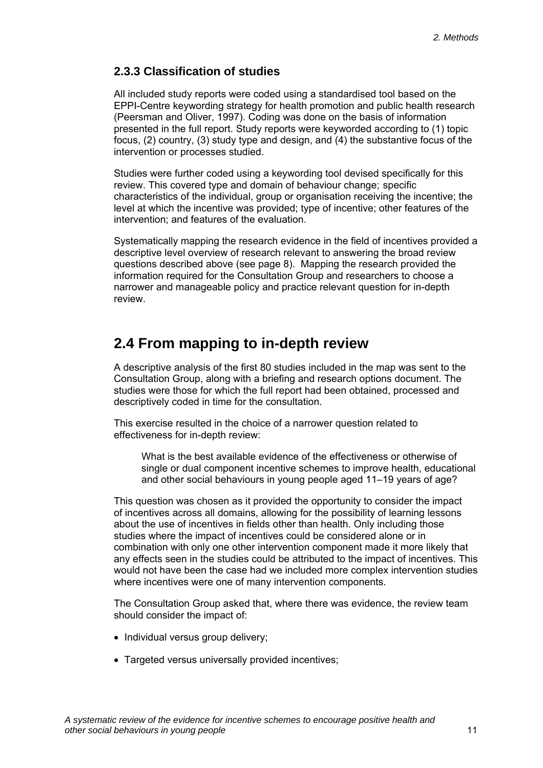### <span id="page-14-0"></span>**2.3.3 Classification of studies**

All included study reports were coded using a standardised tool based on the EPPI-Centre keywording strategy for health promotion and public health research (Peersman and Oliver, 1997). Coding was done on the basis of information presented in the full report. Study reports were keyworded according to (1) topic focus, (2) country, (3) study type and design, and (4) the substantive focus of the intervention or processes studied.

Studies were further coded using a keywording tool devised specifically for this review. This covered type and domain of behaviour change; specific characteristics of the individual, group or organisation receiving the incentive; the level at which the incentive was provided; type of incentive; other features of the intervention; and features of the evaluation.

Systematically mapping the research evidence in the field of incentives provided a descriptive level overview of research relevant to answering the broad review questions described above (see page 8). Mapping the research provided the information required for the Consultation Group and researchers to choose a narrower and manageable policy and practice relevant question for in-depth review.

### **2.4 From mapping to in-depth review**

A descriptive analysis of the first 80 studies included in the map was sent to the Consultation Group, along with a briefing and research options document. The studies were those for which the full report had been obtained, processed and descriptively coded in time for the consultation.

This exercise resulted in the choice of a narrower question related to effectiveness for in-depth review:

What is the best available evidence of the effectiveness or otherwise of single or dual component incentive schemes to improve health, educational and other social behaviours in young people aged 11–19 years of age?

This question was chosen as it provided the opportunity to consider the impact of incentives across all domains, allowing for the possibility of learning lessons about the use of incentives in fields other than health. Only including those studies where the impact of incentives could be considered alone or in combination with only one other intervention component made it more likely that any effects seen in the studies could be attributed to the impact of incentives. This would not have been the case had we included more complex intervention studies where incentives were one of many intervention components.

The Consultation Group asked that, where there was evidence, the review team should consider the impact of:

- Individual versus group delivery;
- Targeted versus universally provided incentives;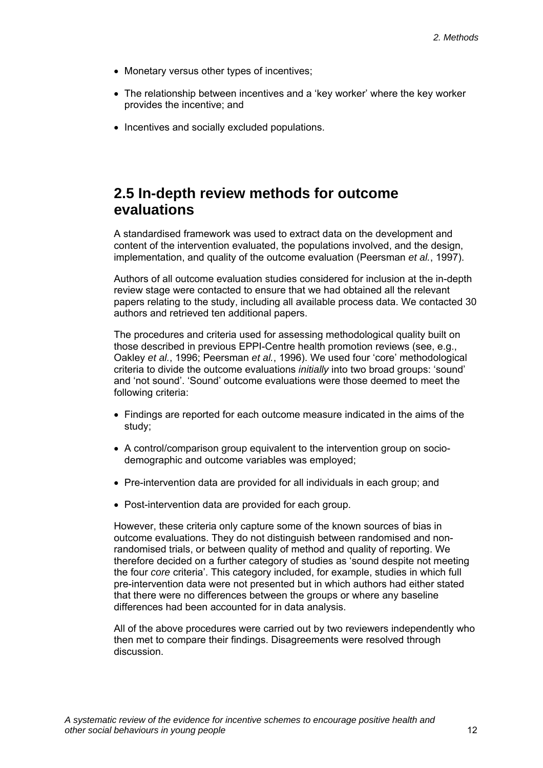- <span id="page-15-0"></span>• Monetary versus other types of incentives;
- The relationship between incentives and a 'key worker' where the key worker provides the incentive; and
- Incentives and socially excluded populations.

### **2.5 In-depth review methods for outcome evaluations**

A standardised framework was used to extract data on the development and content of the intervention evaluated, the populations involved, and the design, implementation, and quality of the outcome evaluation (Peersman *et al.*, 1997).

Authors of all outcome evaluation studies considered for inclusion at the in-depth review stage were contacted to ensure that we had obtained all the relevant papers relating to the study, including all available process data. We contacted 30 authors and retrieved ten additional papers.

The procedures and criteria used for assessing methodological quality built on those described in previous EPPI-Centre health promotion reviews (see, e.g., Oakley *et al.*, 1996; Peersman *et al.*, 1996). We used four 'core' methodological criteria to divide the outcome evaluations *initially* into two broad groups: 'sound' and 'not sound'. 'Sound' outcome evaluations were those deemed to meet the following criteria:

- Findings are reported for each outcome measure indicated in the aims of the study;
- A control/comparison group equivalent to the intervention group on sociodemographic and outcome variables was employed;
- Pre-intervention data are provided for all individuals in each group; and
- Post-intervention data are provided for each group.

However, these criteria only capture some of the known sources of bias in outcome evaluations. They do not distinguish between randomised and nonrandomised trials, or between quality of method and quality of reporting. We therefore decided on a further category of studies as 'sound despite not meeting the four *core* criteria'. This category included, for example, studies in which full pre-intervention data were not presented but in which authors had either stated that there were no differences between the groups or where any baseline differences had been accounted for in data analysis.

All of the above procedures were carried out by two reviewers independently who then met to compare their findings. Disagreements were resolved through discussion.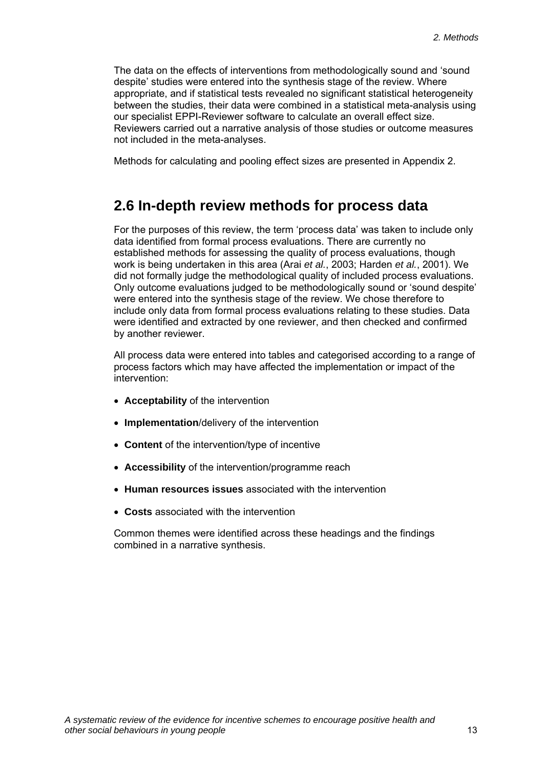<span id="page-16-0"></span>The data on the effects of interventions from methodologically sound and 'sound despite' studies were entered into the synthesis stage of the review. Where appropriate, and if statistical tests revealed no significant statistical heterogeneity between the studies, their data were combined in a statistical meta-analysis using our specialist EPPI-Reviewer software to calculate an overall effect size. Reviewers carried out a narrative analysis of those studies or outcome measures not included in the meta-analyses.

Methods for calculating and pooling effect sizes are presented in Appendix 2.

### **2.6 In-depth review methods for process data**

For the purposes of this review, the term 'process data' was taken to include only data identified from formal process evaluations. There are currently no established methods for assessing the quality of process evaluations, though work is being undertaken in this area (Arai *et al.*, 2003; Harden *et al.*, 2001). We did not formally judge the methodological quality of included process evaluations. Only outcome evaluations judged to be methodologically sound or 'sound despite' were entered into the synthesis stage of the review. We chose therefore to include only data from formal process evaluations relating to these studies. Data were identified and extracted by one reviewer, and then checked and confirmed by another reviewer.

All process data were entered into tables and categorised according to a range of process factors which may have affected the implementation or impact of the intervention:

- **Acceptability** of the intervention
- **Implementation**/delivery of the intervention
- **Content** of the intervention/type of incentive
- **Accessibility** of the intervention/programme reach
- **Human resources issues** associated with the intervention
- **Costs** associated with the intervention

Common themes were identified across these headings and the findings combined in a narrative synthesis.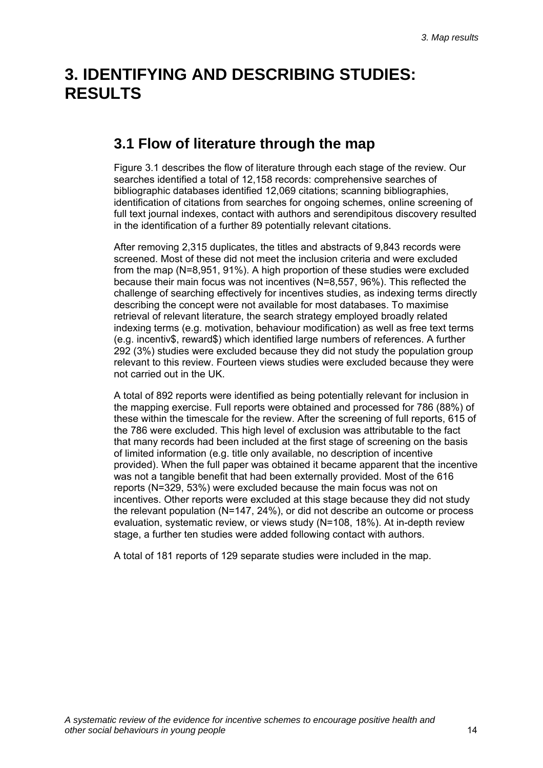# <span id="page-17-0"></span>**3. IDENTIFYING AND DESCRIBING STUDIES: RESULTS**

### **3.1 Flow of literature through the map**

Figure 3.1 describes the flow of literature through each stage of the review. Our searches identified a total of 12,158 records: comprehensive searches of bibliographic databases identified 12,069 citations; scanning bibliographies, identification of citations from searches for ongoing schemes, online screening of full text journal indexes, contact with authors and serendipitous discovery resulted in the identification of a further 89 potentially relevant citations.

After removing 2,315 duplicates, the titles and abstracts of 9,843 records were screened. Most of these did not meet the inclusion criteria and were excluded from the map (N=8,951, 91%). A high proportion of these studies were excluded because their main focus was not incentives (N=8,557, 96%). This reflected the challenge of searching effectively for incentives studies, as indexing terms directly describing the concept were not available for most databases. To maximise retrieval of relevant literature, the search strategy employed broadly related indexing terms (e.g. motivation, behaviour modification) as well as free text terms (e.g. incentiv\$, reward\$) which identified large numbers of references. A further 292 (3%) studies were excluded because they did not study the population group relevant to this review. Fourteen views studies were excluded because they were not carried out in the UK.

A total of 892 reports were identified as being potentially relevant for inclusion in the mapping exercise. Full reports were obtained and processed for 786 (88%) of these within the timescale for the review. After the screening of full reports, 615 of the 786 were excluded. This high level of exclusion was attributable to the fact that many records had been included at the first stage of screening on the basis of limited information (e.g. title only available, no description of incentive provided). When the full paper was obtained it became apparent that the incentive was not a tangible benefit that had been externally provided. Most of the 616 reports (N=329, 53%) were excluded because the main focus was not on incentives. Other reports were excluded at this stage because they did not study the relevant population (N=147, 24%), or did not describe an outcome or process evaluation, systematic review, or views study (N=108, 18%). At in-depth review stage, a further ten studies were added following contact with authors.

A total of 181 reports of 129 separate studies were included in the map.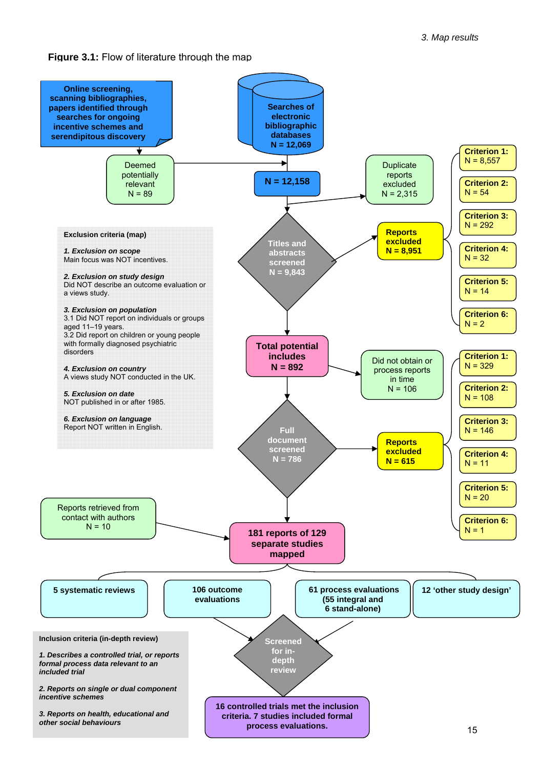**Figure 3.1:** Flow of literature through the map

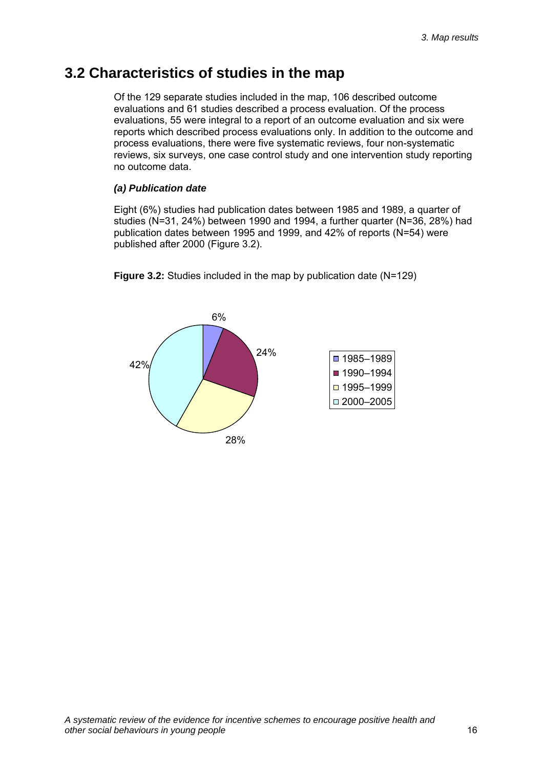### <span id="page-19-0"></span>**3.2 Characteristics of studies in the map**

Of the 129 separate studies included in the map, 106 described outcome evaluations and 61 studies described a process evaluation. Of the process evaluations, 55 were integral to a report of an outcome evaluation and six were reports which described process evaluations only. In addition to the outcome and process evaluations, there were five systematic reviews, four non-systematic reviews, six surveys, one case control study and one intervention study reporting no outcome data.

### *(a) Publication date*

Eight (6%) studies had publication dates between 1985 and 1989, a quarter of studies (N=31, 24%) between 1990 and 1994, a further quarter (N=36, 28%) had publication dates between 1995 and 1999, and 42% of reports (N=54) were published after 2000 (Figure 3.2).



**Figure 3.2:** Studies included in the map by publication date (N=129)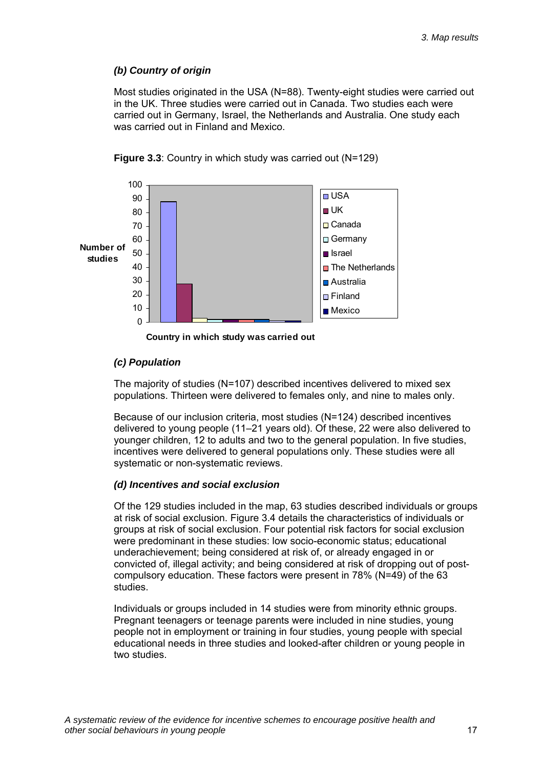#### *(b) Country of origin*

Most studies originated in the USA (N=88). Twenty-eight studies were carried out in the UK. Three studies were carried out in Canada. Two studies each were carried out in Germany, Israel, the Netherlands and Australia. One study each was carried out in Finland and Mexico.





**Country in which study was carried out**

#### *(c) Population*

The majority of studies (N=107) described incentives delivered to mixed sex populations. Thirteen were delivered to females only, and nine to males only.

Because of our inclusion criteria, most studies (N=124) described incentives delivered to young people (11–21 years old). Of these, 22 were also delivered to younger children, 12 to adults and two to the general population. In five studies, incentives were delivered to general populations only. These studies were all systematic or non-systematic reviews.

#### *(d) Incentives and social exclusion*

Of the 129 studies included in the map, 63 studies described individuals or groups at risk of social exclusion. Figure 3.4 details the characteristics of individuals or groups at risk of social exclusion. Four potential risk factors for social exclusion were predominant in these studies: low socio-economic status; educational underachievement; being considered at risk of, or already engaged in or convicted of, illegal activity; and being considered at risk of dropping out of postcompulsory education. These factors were present in 78% (N=49) of the 63 studies.

Individuals or groups included in 14 studies were from minority ethnic groups. Pregnant teenagers or teenage parents were included in nine studies, young people not in employment or training in four studies, young people with special educational needs in three studies and looked-after children or young people in two studies.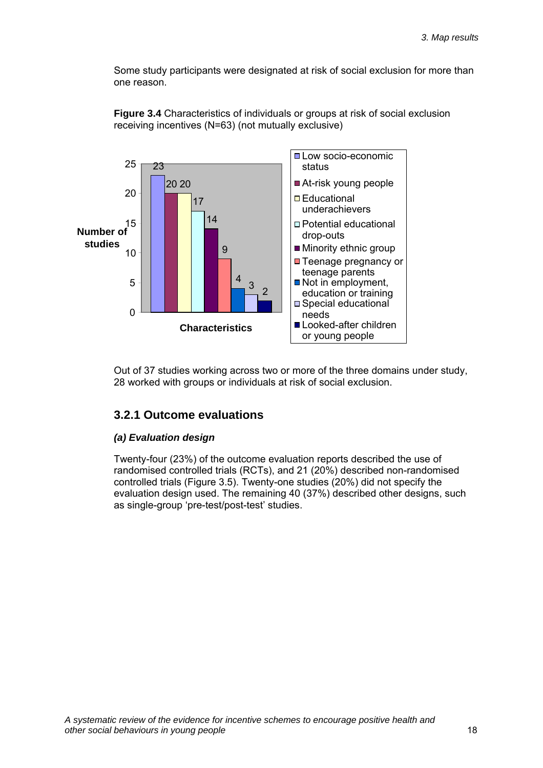Some study participants were designated at risk of social exclusion for more than one reason.



**Figure 3.4** Characteristics of individuals or groups at risk of social exclusion receiving incentives (N=63) (not mutually exclusive)

Out of 37 studies working across two or more of the three domains under study, 28 worked with groups or individuals at risk of social exclusion.

### **3.2.1 Outcome evaluations**

#### *(a) Evaluation design*

Twenty-four (23%) of the outcome evaluation reports described the use of randomised controlled trials (RCTs), and 21 (20%) described non-randomised controlled trials (Figure 3.5). Twenty-one studies (20%) did not specify the evaluation design used. The remaining 40 (37%) described other designs, such as single-group 'pre-test/post-test' studies.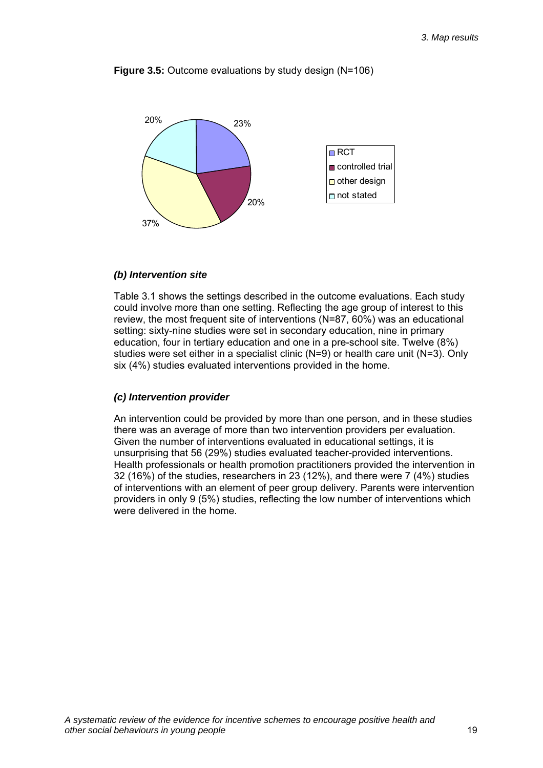

**Figure 3.5:** Outcome evaluations by study design (N=106)

#### *(b) Intervention site*

Table 3.1 shows the settings described in the outcome evaluations. Each study could involve more than one setting. Reflecting the age group of interest to this review, the most frequent site of interventions (N=87, 60%) was an educational setting: sixty-nine studies were set in secondary education, nine in primary education, four in tertiary education and one in a pre-school site. Twelve (8%) studies were set either in a specialist clinic (N=9) or health care unit (N=3). Only six (4%) studies evaluated interventions provided in the home.

#### *(c) Intervention provider*

An intervention could be provided by more than one person, and in these studies there was an average of more than two intervention providers per evaluation. Given the number of interventions evaluated in educational settings, it is unsurprising that 56 (29%) studies evaluated teacher-provided interventions. Health professionals or health promotion practitioners provided the intervention in 32 (16%) of the studies, researchers in 23 (12%), and there were 7 (4%) studies of interventions with an element of peer group delivery. Parents were intervention providers in only 9 (5%) studies, reflecting the low number of interventions which were delivered in the home.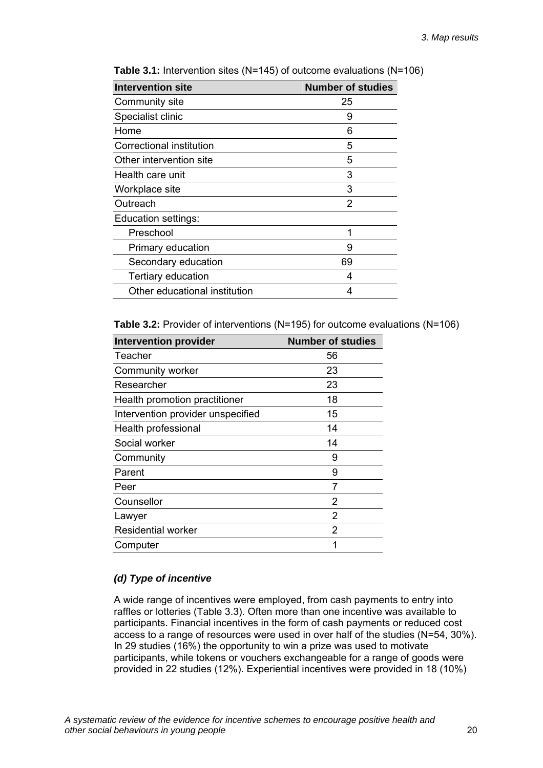| <b>Intervention site</b>      | <b>Number of studies</b> |
|-------------------------------|--------------------------|
| Community site                | 25                       |
| Specialist clinic             | 9                        |
| Home                          | 6                        |
| Correctional institution      | 5                        |
| Other intervention site       | 5                        |
| Health care unit              | 3                        |
| Workplace site                | 3                        |
| Outreach                      | 2                        |
| Education settings:           |                          |
| Preschool                     | 1                        |
| Primary education             | 9                        |
| Secondary education           | 69                       |
| <b>Tertiary education</b>     | 4                        |
| Other educational institution | 4                        |

**Table 3.1:** Intervention sites (N=145) of outcome evaluations (N=106)

**Table 3.2:** Provider of interventions (N=195) for outcome evaluations (N=106)

| <b>Intervention provider</b>      | <b>Number of studies</b> |
|-----------------------------------|--------------------------|
| Teacher                           | 56                       |
| Community worker                  | 23                       |
| Researcher                        | 23                       |
| Health promotion practitioner     | 18                       |
| Intervention provider unspecified | 15                       |
| Health professional               | 14                       |
| Social worker                     | 14                       |
| Community                         | 9                        |
| Parent                            | 9                        |
| Peer                              | 7                        |
| Counsellor                        | 2                        |
| Lawyer                            | 2                        |
| <b>Residential worker</b>         | 2                        |
| Computer                          | 1                        |

#### *(d) Type of incentive*

A wide range of incentives were employed, from cash payments to entry into raffles or lotteries (Table 3.3). Often more than one incentive was available to participants. Financial incentives in the form of cash payments or reduced cost access to a range of resources were used in over half of the studies (N=54, 30%). In 29 studies (16%) the opportunity to win a prize was used to motivate participants, while tokens or vouchers exchangeable for a range of goods were provided in 22 studies (12%). Experiential incentives were provided in 18 (10%)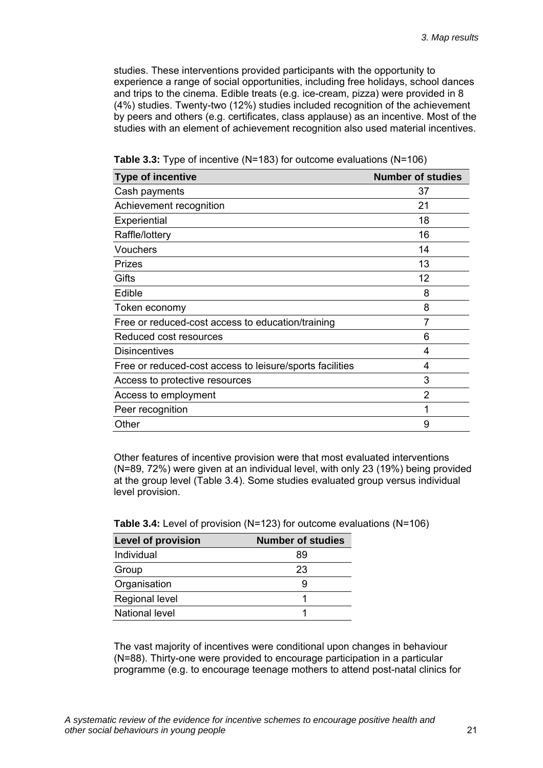studies. These interventions provided participants with the opportunity to experience a range of social opportunities, including free holidays, school dances and trips to the cinema. Edible treats (e.g. ice-cream, pizza) were provided in 8 (4%) studies. Twenty-two (12%) studies included recognition of the achievement by peers and others (e.g. certificates, class applause) as an incentive. Most of the studies with an element of achievement recognition also used material incentives.

| <b>Type of incentive</b>                                 | <b>Number of studies</b> |
|----------------------------------------------------------|--------------------------|
| Cash payments                                            | 37                       |
| Achievement recognition                                  | 21                       |
| Experiential                                             | 18                       |
| Raffle/lottery                                           | 16                       |
| Vouchers                                                 | 14                       |
| Prizes                                                   | 13                       |
| Gifts                                                    | 12                       |
| Edible                                                   | 8                        |
| Token economy                                            | 8                        |
| Free or reduced-cost access to education/training        |                          |
| Reduced cost resources                                   | 6                        |
| <b>Disincentives</b>                                     | 4                        |
| Free or reduced-cost access to leisure/sports facilities | 4                        |
| Access to protective resources                           | 3                        |
| Access to employment                                     | 2                        |
| Peer recognition                                         |                          |
| Other                                                    | 9                        |

| <b>Table 3.3:</b> Type of incentive (N=183) for outcome evaluations (N=106) |  |  |
|-----------------------------------------------------------------------------|--|--|
|-----------------------------------------------------------------------------|--|--|

Other features of incentive provision were that most evaluated interventions (N=89, 72%) were given at an individual level, with only 23 (19%) being provided at the group level (Table 3.4). Some studies evaluated group versus individual level provision.

| <b>Level of provision</b> | <b>Number of studies</b> |
|---------------------------|--------------------------|
| Individual                | 89                       |
| Group                     | 23                       |
| Organisation              |                          |
| Regional level            |                          |
| <b>National level</b>     |                          |

|  |  |  | Table 3.4: Level of provision (N=123) for outcome evaluations (N=106) |  |  |
|--|--|--|-----------------------------------------------------------------------|--|--|
|--|--|--|-----------------------------------------------------------------------|--|--|

The vast majority of incentives were conditional upon changes in behaviour (N=88). Thirty-one were provided to encourage participation in a particular programme (e.g. to encourage teenage mothers to attend post-natal clinics for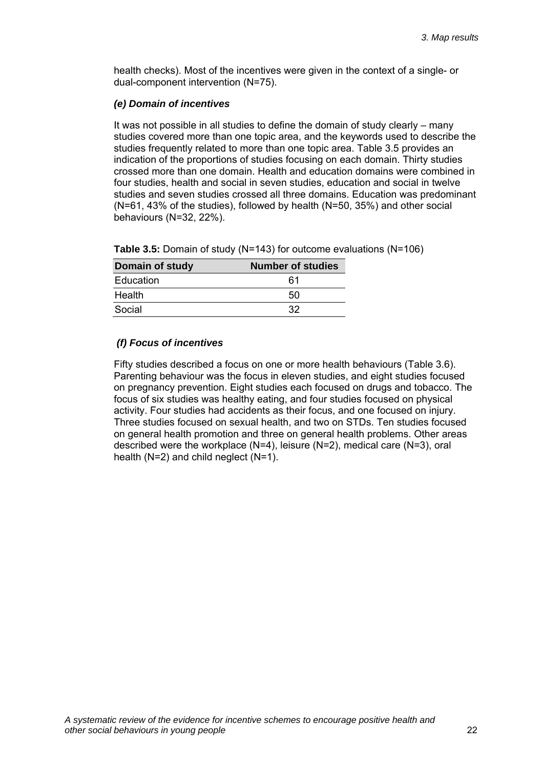health checks). Most of the incentives were given in the context of a single- or dual-component intervention (N=75).

#### *(e) Domain of incentives*

It was not possible in all studies to define the domain of study clearly – many studies covered more than one topic area, and the keywords used to describe the studies frequently related to more than one topic area. Table 3.5 provides an indication of the proportions of studies focusing on each domain. Thirty studies crossed more than one domain. Health and education domains were combined in four studies, health and social in seven studies, education and social in twelve studies and seven studies crossed all three domains. Education was predominant (N=61, 43% of the studies), followed by health (N=50, 35%) and other social behaviours (N=32, 22%).

|  | Table 3.5: Domain of study (N=143) for outcome evaluations (N=106) |
|--|--------------------------------------------------------------------|
|--|--------------------------------------------------------------------|

| <b>Domain of study</b> | <b>Number of studies</b> |
|------------------------|--------------------------|
| Education              | 61                       |
| Health                 | 50                       |
| Social                 | 32                       |

### *(f) Focus of incentives*

Fifty studies described a focus on one or more health behaviours (Table 3.6). Parenting behaviour was the focus in eleven studies, and eight studies focused on pregnancy prevention. Eight studies each focused on drugs and tobacco. The focus of six studies was healthy eating, and four studies focused on physical activity. Four studies had accidents as their focus, and one focused on injury. Three studies focused on sexual health, and two on STDs. Ten studies focused on general health promotion and three on general health problems. Other areas described were the workplace (N=4), leisure (N=2), medical care (N=3), oral health (N=2) and child neglect (N=1).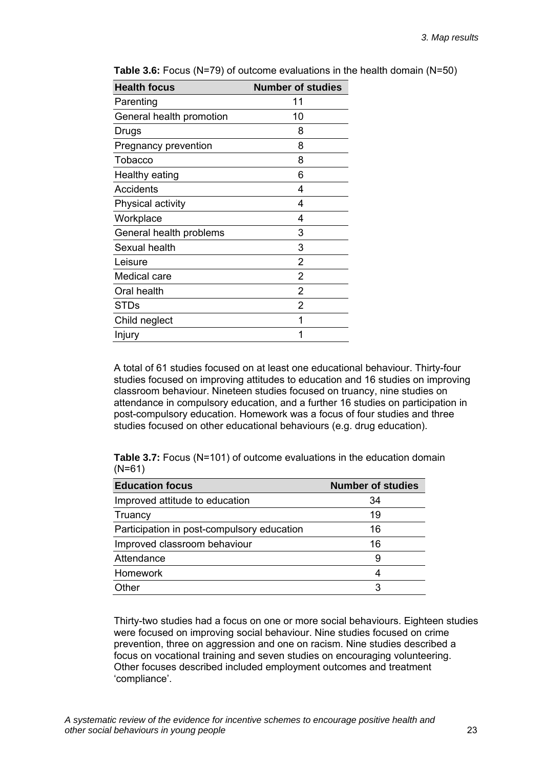| <b>Health focus</b>      | <b>Number of studies</b> |
|--------------------------|--------------------------|
| Parenting                | 11                       |
| General health promotion | 10                       |
| Drugs                    | 8                        |
| Pregnancy prevention     | 8                        |
| Tobacco                  | 8                        |
| Healthy eating           | 6                        |
| Accidents                | 4                        |
| Physical activity        | 4                        |
| Workplace                | 4                        |
| General health problems  | 3                        |
| Sexual health            | 3                        |
| Leisure                  | 2                        |
| Medical care             | 2                        |
| Oral health              | 2                        |
| <b>STDs</b>              | $\overline{2}$           |
| Child neglect            | 1                        |
| Injury                   |                          |

**Table 3.6:** Focus (N=79) of outcome evaluations in the health domain (N=50)

A total of 61 studies focused on at least one educational behaviour. Thirty-four studies focused on improving attitudes to education and 16 studies on improving classroom behaviour. Nineteen studies focused on truancy, nine studies on attendance in compulsory education, and a further 16 studies on participation in post-compulsory education. Homework was a focus of four studies and three studies focused on other educational behaviours (e.g. drug education).

**Table 3.7:** Focus (N=101) of outcome evaluations in the education domain (N=61)

| <b>Education focus</b>                     | <b>Number of studies</b> |
|--------------------------------------------|--------------------------|
| Improved attitude to education             | 34                       |
| Truancy                                    | 19                       |
| Participation in post-compulsory education | 16                       |
| Improved classroom behaviour               | 16                       |
| Attendance                                 | 9                        |
| Homework                                   |                          |
| Other                                      | 3                        |

Thirty-two studies had a focus on one or more social behaviours. Eighteen studies were focused on improving social behaviour. Nine studies focused on crime prevention, three on aggression and one on racism. Nine studies described a focus on vocational training and seven studies on encouraging volunteering. Other focuses described included employment outcomes and treatment 'compliance'.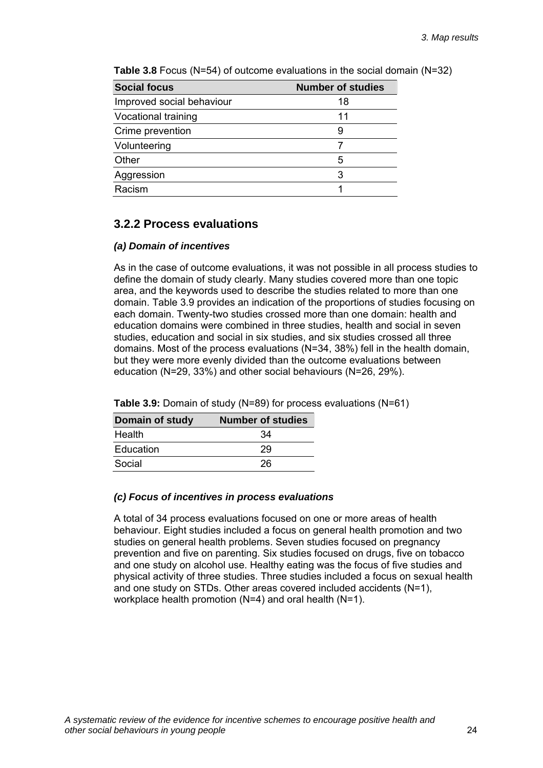| <b>Social focus</b>       | <b>Number of studies</b> |
|---------------------------|--------------------------|
| Improved social behaviour | 18                       |
| Vocational training       | 11                       |
| Crime prevention          |                          |
| Volunteering              |                          |
| Other                     | 5                        |
| Aggression                | 3                        |
| Racism                    |                          |

**Table 3.8** Focus (N=54) of outcome evaluations in the social domain (N=32)

### **3.2.2 Process evaluations**

#### *(a) Domain of incentives*

As in the case of outcome evaluations, it was not possible in all process studies to define the domain of study clearly. Many studies covered more than one topic area, and the keywords used to describe the studies related to more than one domain. Table 3.9 provides an indication of the proportions of studies focusing on each domain. Twenty-two studies crossed more than one domain: health and education domains were combined in three studies, health and social in seven studies, education and social in six studies, and six studies crossed all three domains. Most of the process evaluations (N=34, 38%) fell in the health domain, but they were more evenly divided than the outcome evaluations between education (N=29, 33%) and other social behaviours (N=26, 29%).

| <b>Domain of study</b> | <b>Number of studies</b> |
|------------------------|--------------------------|
| Health                 | 34                       |
| Education              | 29                       |
| Social                 | 26                       |

**Table 3.9:** Domain of study (N=89) for process evaluations (N=61)

#### *(c) Focus of incentives in process evaluations*

A total of 34 process evaluations focused on one or more areas of health behaviour. Eight studies included a focus on general health promotion and two studies on general health problems. Seven studies focused on pregnancy prevention and five on parenting. Six studies focused on drugs, five on tobacco and one study on alcohol use. Healthy eating was the focus of five studies and physical activity of three studies. Three studies included a focus on sexual health and one study on STDs. Other areas covered included accidents (N=1), workplace health promotion (N=4) and oral health (N=1).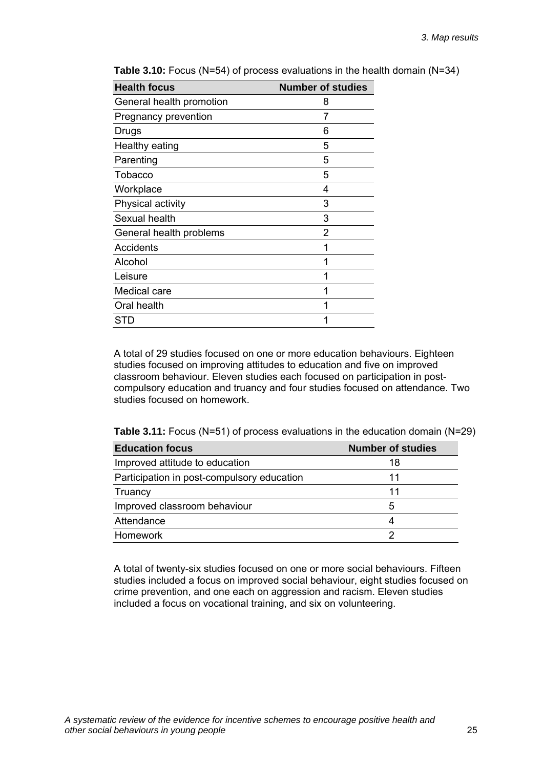| <b>Number of studies</b> |
|--------------------------|
| 8                        |
| 7                        |
| 6                        |
| 5                        |
| 5                        |
| 5                        |
| 4                        |
| 3                        |
| 3                        |
| 2                        |
|                          |
| 1                        |
| 1                        |
|                          |
|                          |
|                          |
|                          |

**Table 3.10:** Focus (N=54) of process evaluations in the health domain (N=34)

A total of 29 studies focused on one or more education behaviours. Eighteen studies focused on improving attitudes to education and five on improved classroom behaviour. Eleven studies each focused on participation in postcompulsory education and truancy and four studies focused on attendance. Two studies focused on homework.

**Table 3.11:** Focus (N=51) of process evaluations in the education domain (N=29)

| <b>Education focus</b>                     | <b>Number of studies</b> |
|--------------------------------------------|--------------------------|
| Improved attitude to education             | 18                       |
| Participation in post-compulsory education | 11                       |
| Truancy                                    | 11                       |
| Improved classroom behaviour               | 5                        |
| Attendance                                 | Δ                        |
| <b>Homework</b>                            | 2                        |

A total of twenty-six studies focused on one or more social behaviours. Fifteen studies included a focus on improved social behaviour, eight studies focused on crime prevention, and one each on aggression and racism. Eleven studies included a focus on vocational training, and six on volunteering.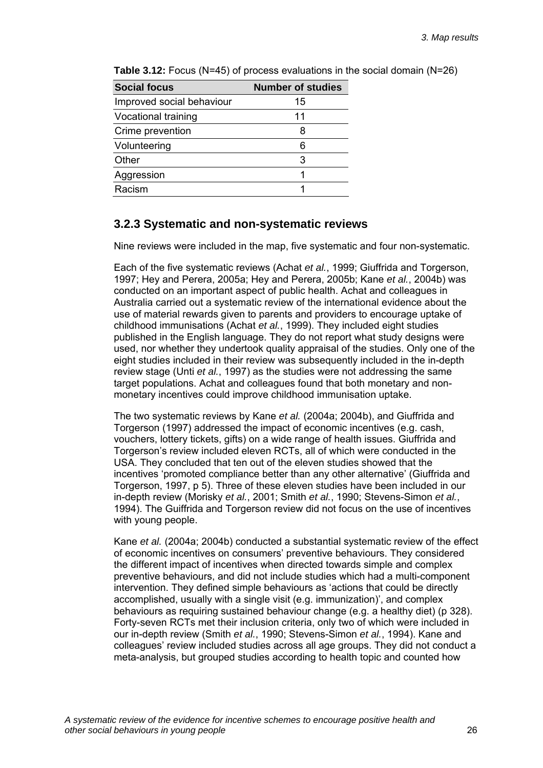| <b>Social focus</b>        | <b>Number of studies</b> |
|----------------------------|--------------------------|
| Improved social behaviour  | 15                       |
| <b>Vocational training</b> | 11                       |
| Crime prevention           | 8                        |
| Volunteering               | 6                        |
| Other                      | 3                        |
| Aggression                 |                          |
| Racism                     |                          |

**Table 3.12:** Focus (N=45) of process evaluations in the social domain (N=26)

### **3.2.3 Systematic and non-systematic reviews**

Nine reviews were included in the map, five systematic and four non-systematic.

Each of the five systematic reviews (Achat *et al.*, 1999; Giuffrida and Torgerson, 1997; Hey and Perera, 2005a; Hey and Perera, 2005b; Kane *et al.*, 2004b) was conducted on an important aspect of public health. Achat and colleagues in Australia carried out a systematic review of the international evidence about the use of material rewards given to parents and providers to encourage uptake of childhood immunisations (Achat *et al.*, 1999). They included eight studies published in the English language. They do not report what study designs were used, nor whether they undertook quality appraisal of the studies. Only one of the eight studies included in their review was subsequently included in the in-depth review stage (Unti *et al.*, 1997) as the studies were not addressing the same target populations. Achat and colleagues found that both monetary and nonmonetary incentives could improve childhood immunisation uptake.

The two systematic reviews by Kane *et al.* (2004a; 2004b), and Giuffrida and Torgerson (1997) addressed the impact of economic incentives (e.g. cash, vouchers, lottery tickets, gifts) on a wide range of health issues. Giuffrida and Torgerson's review included eleven RCTs, all of which were conducted in the USA. They concluded that ten out of the eleven studies showed that the incentives 'promoted compliance better than any other alternative' (Giuffrida and Torgerson, 1997, p 5). Three of these eleven studies have been included in our in-depth review (Morisky *et al.*, 2001; Smith *et al.*, 1990; Stevens-Simon *et al.*, 1994). The Guiffrida and Torgerson review did not focus on the use of incentives with young people.

Kane *et al.* (2004a; 2004b) conducted a substantial systematic review of the effect of economic incentives on consumers' preventive behaviours. They considered the different impact of incentives when directed towards simple and complex preventive behaviours, and did not include studies which had a multi-component intervention. They defined simple behaviours as 'actions that could be directly accomplished, usually with a single visit (e.g. immunization)', and complex behaviours as requiring sustained behaviour change (e.g. a healthy diet) (p 328). Forty-seven RCTs met their inclusion criteria, only two of which were included in our in-depth review (Smith *et al.*, 1990; Stevens-Simon *et al.*, 1994). Kane and colleagues' review included studies across all age groups. They did not conduct a meta-analysis, but grouped studies according to health topic and counted how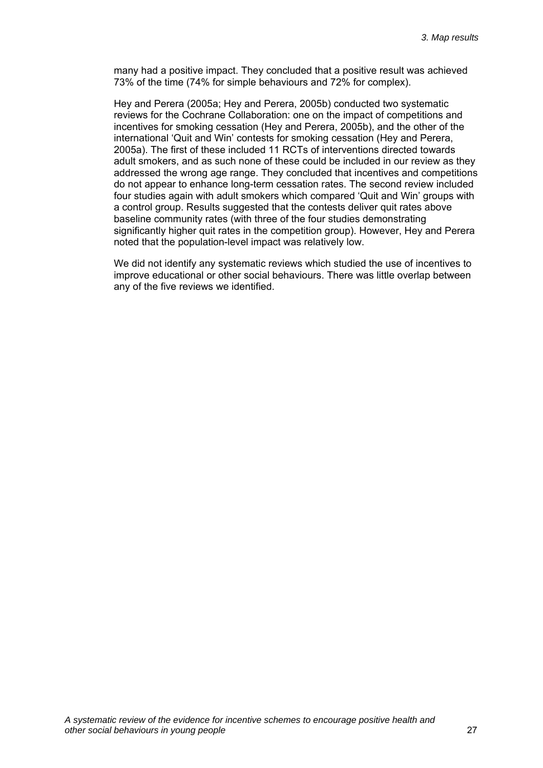many had a positive impact. They concluded that a positive result was achieved 73% of the time (74% for simple behaviours and 72% for complex).

Hey and Perera (2005a; Hey and Perera, 2005b) conducted two systematic reviews for the Cochrane Collaboration: one on the impact of competitions and incentives for smoking cessation (Hey and Perera, 2005b), and the other of the international 'Quit and Win' contests for smoking cessation (Hey and Perera, 2005a). The first of these included 11 RCTs of interventions directed towards adult smokers, and as such none of these could be included in our review as they addressed the wrong age range. They concluded that incentives and competitions do not appear to enhance long-term cessation rates. The second review included four studies again with adult smokers which compared 'Quit and Win' groups with a control group. Results suggested that the contests deliver quit rates above baseline community rates (with three of the four studies demonstrating significantly higher quit rates in the competition group). However, Hey and Perera noted that the population-level impact was relatively low.

We did not identify any systematic reviews which studied the use of incentives to improve educational or other social behaviours. There was little overlap between any of the five reviews we identified.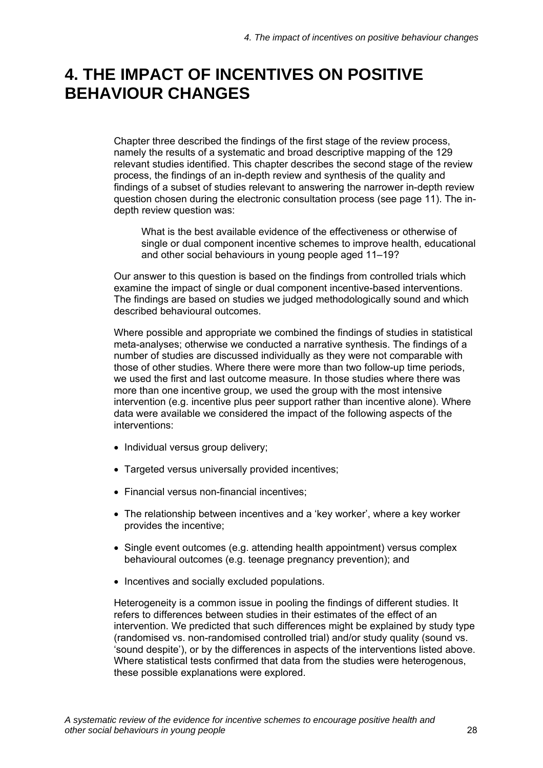# <span id="page-31-0"></span>**4. THE IMPACT OF INCENTIVES ON POSITIVE BEHAVIOUR CHANGES**

Chapter three described the findings of the first stage of the review process, namely the results of a systematic and broad descriptive mapping of the 129 relevant studies identified. This chapter describes the second stage of the review process, the findings of an in-depth review and synthesis of the quality and findings of a subset of studies relevant to answering the narrower in-depth review question chosen during the electronic consultation process (see page 11). The indepth review question was:

What is the best available evidence of the effectiveness or otherwise of single or dual component incentive schemes to improve health, educational and other social behaviours in young people aged 11–19?

Our answer to this question is based on the findings from controlled trials which examine the impact of single or dual component incentive-based interventions. The findings are based on studies we judged methodologically sound and which described behavioural outcomes.

Where possible and appropriate we combined the findings of studies in statistical meta-analyses; otherwise we conducted a narrative synthesis. The findings of a number of studies are discussed individually as they were not comparable with those of other studies. Where there were more than two follow-up time periods, we used the first and last outcome measure. In those studies where there was more than one incentive group, we used the group with the most intensive intervention (e.g. incentive plus peer support rather than incentive alone). Where data were available we considered the impact of the following aspects of the interventions:

- Individual versus group delivery;
- Targeted versus universally provided incentives;
- Financial versus non-financial incentives;
- The relationship between incentives and a 'key worker', where a key worker provides the incentive;
- Single event outcomes (e.g. attending health appointment) versus complex behavioural outcomes (e.g. teenage pregnancy prevention); and
- Incentives and socially excluded populations.

Heterogeneity is a common issue in pooling the findings of different studies. It refers to differences between studies in their estimates of the effect of an intervention. We predicted that such differences might be explained by study type (randomised vs. non-randomised controlled trial) and/or study quality (sound vs. 'sound despite'), or by the differences in aspects of the interventions listed above. Where statistical tests confirmed that data from the studies were heterogenous, these possible explanations were explored.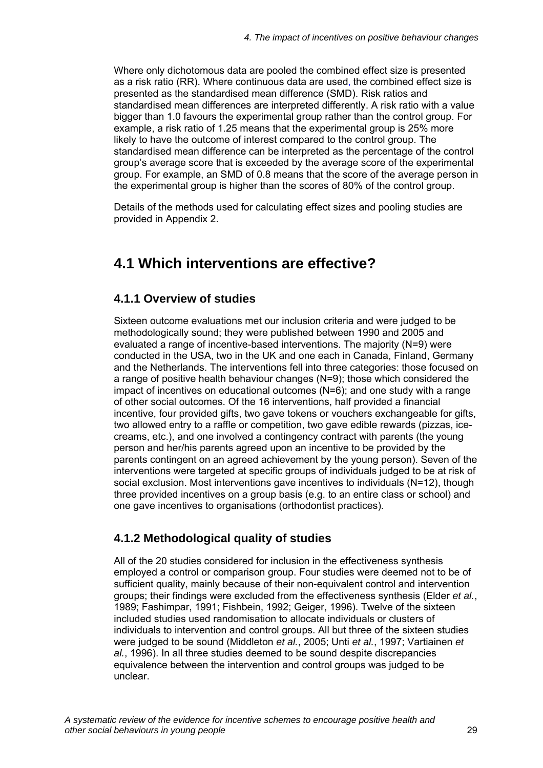<span id="page-32-0"></span>Where only dichotomous data are pooled the combined effect size is presented as a risk ratio (RR). Where continuous data are used, the combined effect size is presented as the standardised mean difference (SMD). Risk ratios and standardised mean differences are interpreted differently. A risk ratio with a value bigger than 1.0 favours the experimental group rather than the control group. For example, a risk ratio of 1.25 means that the experimental group is 25% more likely to have the outcome of interest compared to the control group. The standardised mean difference can be interpreted as the percentage of the control group's average score that is exceeded by the average score of the experimental group. For example, an SMD of 0.8 means that the score of the average person in the experimental group is higher than the scores of 80% of the control group.

Details of the methods used for calculating effect sizes and pooling studies are provided in Appendix 2.

### **4.1 Which interventions are effective?**

### **4.1.1 Overview of studies**

Sixteen outcome evaluations met our inclusion criteria and were judged to be methodologically sound; they were published between 1990 and 2005 and evaluated a range of incentive-based interventions. The majority (N=9) were conducted in the USA, two in the UK and one each in Canada, Finland, Germany and the Netherlands. The interventions fell into three categories: those focused on a range of positive health behaviour changes (N=9); those which considered the impact of incentives on educational outcomes (N=6); and one study with a range of other social outcomes. Of the 16 interventions, half provided a financial incentive, four provided gifts, two gave tokens or vouchers exchangeable for gifts, two allowed entry to a raffle or competition, two gave edible rewards (pizzas, icecreams, etc.), and one involved a contingency contract with parents (the young person and her/his parents agreed upon an incentive to be provided by the parents contingent on an agreed achievement by the young person). Seven of the interventions were targeted at specific groups of individuals judged to be at risk of social exclusion. Most interventions gave incentives to individuals (N=12), though three provided incentives on a group basis (e.g. to an entire class or school) and one gave incentives to organisations (orthodontist practices).

### **4.1.2 Methodological quality of studies**

All of the 20 studies considered for inclusion in the effectiveness synthesis employed a control or comparison group. Four studies were deemed not to be of sufficient quality, mainly because of their non-equivalent control and intervention groups; their findings were excluded from the effectiveness synthesis (Elder *et al.*, 1989; Fashimpar, 1991; Fishbein, 1992; Geiger, 1996). Twelve of the sixteen included studies used randomisation to allocate individuals or clusters of individuals to intervention and control groups. All but three of the sixteen studies were judged to be sound (Middleton *et al.*, 2005; Unti *et al.*, 1997; Vartiainen *et al.*, 1996). In all three studies deemed to be sound despite discrepancies equivalence between the intervention and control groups was judged to be unclear.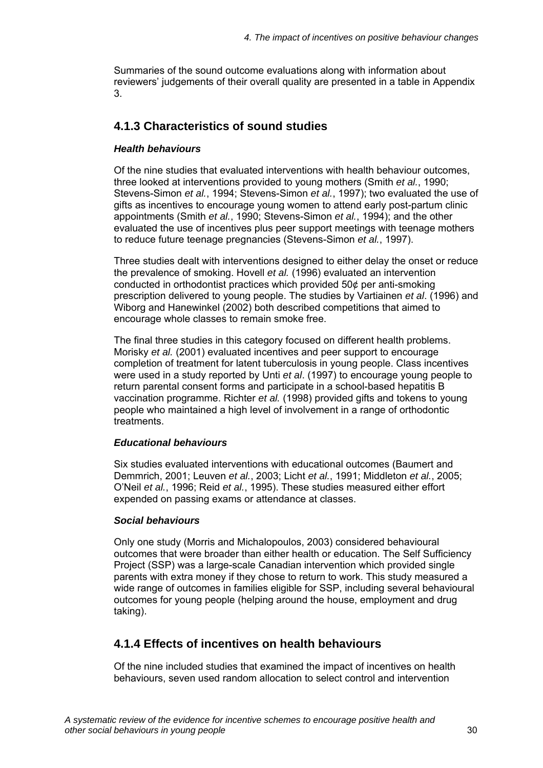Summaries of the sound outcome evaluations along with information about reviewers' judgements of their overall quality are presented in a table in Appendix 3.

### **4.1.3 Characteristics of sound studies**

#### *Health behaviours*

Of the nine studies that evaluated interventions with health behaviour outcomes, three looked at interventions provided to young mothers (Smith *et al.*, 1990; Stevens-Simon *et al.*, 1994; Stevens-Simon *et al.*, 1997); two evaluated the use of gifts as incentives to encourage young women to attend early post-partum clinic appointments (Smith *et al.*, 1990; Stevens-Simon *et al.*, 1994); and the other evaluated the use of incentives plus peer support meetings with teenage mothers to reduce future teenage pregnancies (Stevens-Simon *et al.*, 1997).

Three studies dealt with interventions designed to either delay the onset or reduce the prevalence of smoking. Hovell *et al.* (1996) evaluated an intervention conducted in orthodontist practices which provided 50¢ per anti-smoking prescription delivered to young people. The studies by Vartiainen *et al*. (1996) and Wiborg and Hanewinkel (2002) both described competitions that aimed to encourage whole classes to remain smoke free.

The final three studies in this category focused on different health problems. Morisky *et al.* (2001) evaluated incentives and peer support to encourage completion of treatment for latent tuberculosis in young people. Class incentives were used in a study reported by Unti *et al*. (1997) to encourage young people to return parental consent forms and participate in a school-based hepatitis B vaccination programme. Richter *et al.* (1998) provided gifts and tokens to young people who maintained a high level of involvement in a range of orthodontic treatments.

#### *Educational behaviours*

Six studies evaluated interventions with educational outcomes (Baumert and Demmrich, 2001; Leuven *et al.*, 2003; Licht *et al.*, 1991; Middleton *et al.*, 2005; O'Neil *et al.*, 1996; Reid *et al.*, 1995). These studies measured either effort expended on passing exams or attendance at classes.

#### *Social behaviours*

Only one study (Morris and Michalopoulos, 2003) considered behavioural outcomes that were broader than either health or education. The Self Sufficiency Project (SSP) was a large-scale Canadian intervention which provided single parents with extra money if they chose to return to work. This study measured a wide range of outcomes in families eligible for SSP, including several behavioural outcomes for young people (helping around the house, employment and drug taking).

### **4.1.4 Effects of incentives on health behaviours**

Of the nine included studies that examined the impact of incentives on health behaviours, seven used random allocation to select control and intervention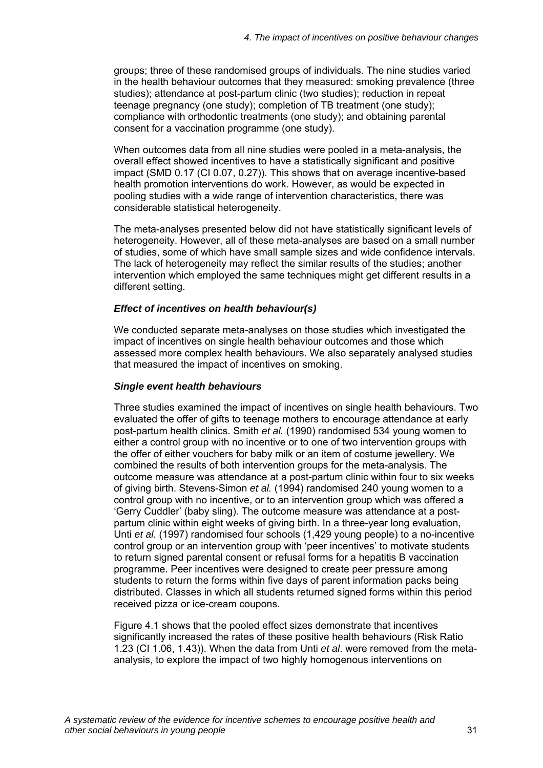groups; three of these randomised groups of individuals. The nine studies varied in the health behaviour outcomes that they measured: smoking prevalence (three studies); attendance at post-partum clinic (two studies); reduction in repeat teenage pregnancy (one study); completion of TB treatment (one study); compliance with orthodontic treatments (one study); and obtaining parental consent for a vaccination programme (one study).

When outcomes data from all nine studies were pooled in a meta-analysis, the overall effect showed incentives to have a statistically significant and positive impact (SMD 0.17 (CI 0.07, 0.27)). This shows that on average incentive-based health promotion interventions do work. However, as would be expected in pooling studies with a wide range of intervention characteristics, there was considerable statistical heterogeneity.

The meta-analyses presented below did not have statistically significant levels of heterogeneity. However, all of these meta-analyses are based on a small number of studies, some of which have small sample sizes and wide confidence intervals. The lack of heterogeneity may reflect the similar results of the studies; another intervention which employed the same techniques might get different results in a different setting.

#### *Effect of incentives on health behaviour(s)*

We conducted separate meta-analyses on those studies which investigated the impact of incentives on single health behaviour outcomes and those which assessed more complex health behaviours. We also separately analysed studies that measured the impact of incentives on smoking.

#### *Single event health behaviours*

Three studies examined the impact of incentives on single health behaviours. Two evaluated the offer of gifts to teenage mothers to encourage attendance at early post-partum health clinics. Smith *et al.* (1990) randomised 534 young women to either a control group with no incentive or to one of two intervention groups with the offer of either vouchers for baby milk or an item of costume jewellery. We combined the results of both intervention groups for the meta-analysis. The outcome measure was attendance at a post-partum clinic within four to six weeks of giving birth. Stevens-Simon *et al.* (1994) randomised 240 young women to a control group with no incentive, or to an intervention group which was offered a 'Gerry Cuddler' (baby sling). The outcome measure was attendance at a postpartum clinic within eight weeks of giving birth. In a three-year long evaluation, Unti *et al.* (1997) randomised four schools (1,429 young people) to a no-incentive control group or an intervention group with 'peer incentives' to motivate students to return signed parental consent or refusal forms for a hepatitis B vaccination programme. Peer incentives were designed to create peer pressure among students to return the forms within five days of parent information packs being distributed. Classes in which all students returned signed forms within this period received pizza or ice-cream coupons.

Figure 4.1 shows that the pooled effect sizes demonstrate that incentives significantly increased the rates of these positive health behaviours (Risk Ratio 1.23 (CI 1.06, 1.43)). When the data from Unti *et al*. were removed from the metaanalysis, to explore the impact of two highly homogenous interventions on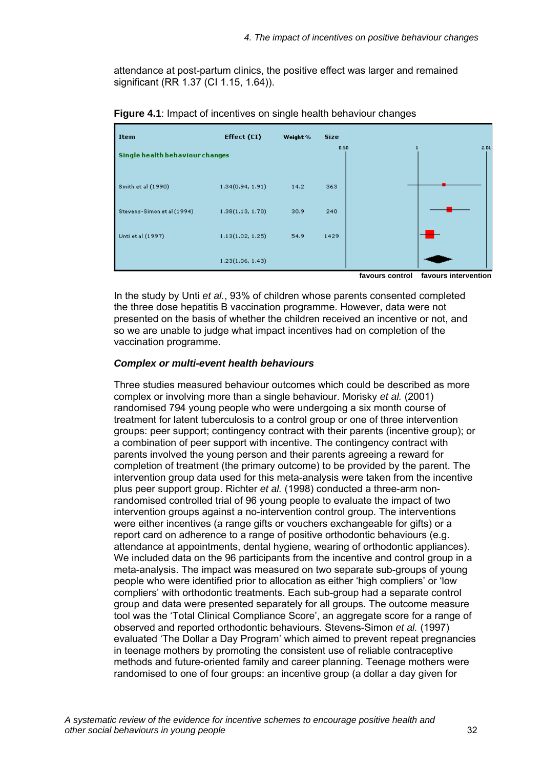attendance at post-partum clinics, the positive effect was larger and remained significant (RR 1.37 (CI 1.15, 1.64)).

| Item                            | Effect (CI)      | Weight % | <b>Size</b> |      |
|---------------------------------|------------------|----------|-------------|------|
| Single health behaviour changes |                  |          | D.5D        | 2.D1 |
| Smith et al (1990)              | 1.34(0.94, 1.91) | 14.2     | 363         |      |
| Stevens-Simon et al (1994)      | 1.38(1.13, 1.70) | 30.9     | 240         |      |
| Unti et al (1997)               | 1.13(1.02, 1.25) | 54.9     | 1429        |      |
|                                 | 1.23(1.06, 1.43) |          |             |      |

**Figure 4.1**: Impact of incentives on single health behaviour changes

**favours control favours intervention** 

In the study by Unti *et al.*, 93% of children whose parents consented completed the three dose hepatitis B vaccination programme. However, data were not presented on the basis of whether the children received an incentive or not, and so we are unable to judge what impact incentives had on completion of the vaccination programme.

#### *Complex or multi-event health behaviours*

Three studies measured behaviour outcomes which could be described as more complex or involving more than a single behaviour. Morisky *et al.* (2001) randomised 794 young people who were undergoing a six month course of treatment for latent tuberculosis to a control group or one of three intervention groups: peer support; contingency contract with their parents (incentive group); or a combination of peer support with incentive. The contingency contract with parents involved the young person and their parents agreeing a reward for completion of treatment (the primary outcome) to be provided by the parent. The intervention group data used for this meta-analysis were taken from the incentive plus peer support group. Richter *et al.* (1998) conducted a three-arm nonrandomised controlled trial of 96 young people to evaluate the impact of two intervention groups against a no-intervention control group. The interventions were either incentives (a range gifts or vouchers exchangeable for gifts) or a report card on adherence to a range of positive orthodontic behaviours (e.g. attendance at appointments, dental hygiene, wearing of orthodontic appliances). We included data on the 96 participants from the incentive and control group in a meta-analysis. The impact was measured on two separate sub-groups of young people who were identified prior to allocation as either 'high compliers' or 'low compliers' with orthodontic treatments. Each sub-group had a separate control group and data were presented separately for all groups. The outcome measure tool was the 'Total Clinical Compliance Score', an aggregate score for a range of observed and reported orthodontic behaviours. Stevens-Simon *et al.* (1997) evaluated 'The Dollar a Day Program' which aimed to prevent repeat pregnancies in teenage mothers by promoting the consistent use of reliable contraceptive methods and future-oriented family and career planning. Teenage mothers were randomised to one of four groups: an incentive group (a dollar a day given for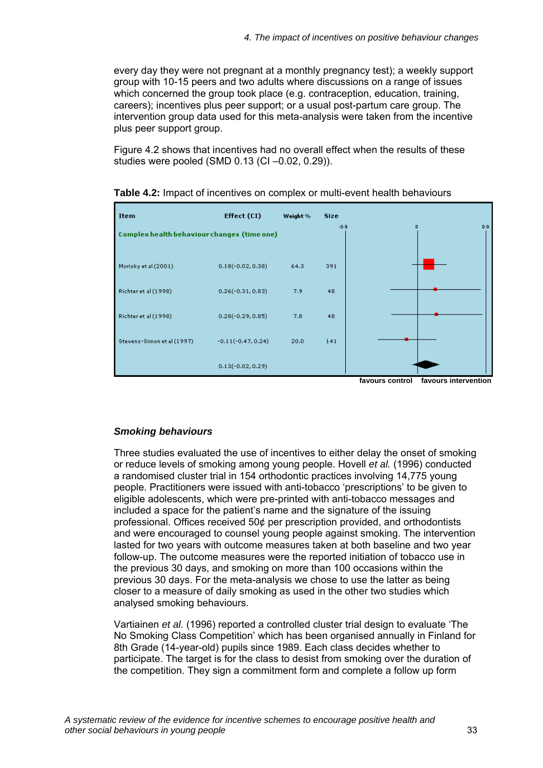every day they were not pregnant at a monthly pregnancy test); a weekly support group with 10-15 peers and two adults where discussions on a range of issues which concerned the group took place (e.g. contraception, education, training, careers); incentives plus peer support; or a usual post-partum care group. The intervention group data used for this meta-analysis were taken from the incentive plus peer support group.

Figure 4.2 shows that incentives had no overall effect when the results of these studies were pooled (SMD 0.13 (CI –0.02, 0.29)).



**Table 4.2:** Impact of incentives on complex or multi-event health behaviours

## *Smoking behaviours*

Three studies evaluated the use of incentives to either delay the onset of smoking or reduce levels of smoking among young people. Hovell *et al.* (1996) conducted a randomised cluster trial in 154 orthodontic practices involving 14,775 young people. Practitioners were issued with anti-tobacco 'prescriptions' to be given to eligible adolescents, which were pre-printed with anti-tobacco messages and included a space for the patient's name and the signature of the issuing professional. Offices received 50¢ per prescription provided, and orthodontists and were encouraged to counsel young people against smoking. The intervention lasted for two years with outcome measures taken at both baseline and two year follow-up. The outcome measures were the reported initiation of tobacco use in the previous 30 days, and smoking on more than 100 occasions within the previous 30 days. For the meta-analysis we chose to use the latter as being closer to a measure of daily smoking as used in the other two studies which analysed smoking behaviours.

Vartiainen *et al.* (1996) reported a controlled cluster trial design to evaluate 'The No Smoking Class Competition' which has been organised annually in Finland for 8th Grade (14-year-old) pupils since 1989. Each class decides whether to participate. The target is for the class to desist from smoking over the duration of the competition. They sign a commitment form and complete a follow up form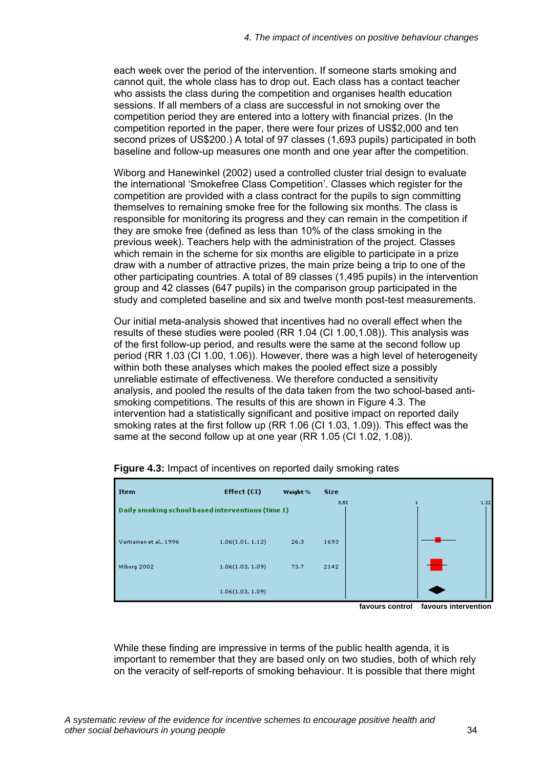each week over the period of the intervention. If someone starts smoking and cannot quit, the whole class has to drop out. Each class has a contact teacher who assists the class during the competition and organises health education sessions. If all members of a class are successful in not smoking over the competition period they are entered into a lottery with financial prizes. (In the competition reported in the paper, there were four prizes of US\$2,000 and ten second prizes of US\$200.) A total of 97 classes (1,693 pupils) participated in both baseline and follow-up measures one month and one year after the competition.

Wiborg and Hanewinkel (2002) used a controlled cluster trial design to evaluate the international 'Smokefree Class Competition'. Classes which register for the competition are provided with a class contract for the pupils to sign committing themselves to remaining smoke free for the following six months. The class is responsible for monitoring its progress and they can remain in the competition if they are smoke free (defined as less than 10% of the class smoking in the previous week). Teachers help with the administration of the project. Classes which remain in the scheme for six months are eligible to participate in a prize draw with a number of attractive prizes, the main prize being a trip to one of the other participating countries. A total of 89 classes (1,495 pupils) in the intervention group and 42 classes (647 pupils) in the comparison group participated in the study and completed baseline and six and twelve month post-test measurements.

Our initial meta-analysis showed that incentives had no overall effect when the results of these studies were pooled (RR 1.04 (CI 1.00,1.08)). This analysis was of the first follow-up period, and results were the same at the second follow up period (RR 1.03 (CI 1.00, 1.06)). However, there was a high level of heterogeneity within both these analyses which makes the pooled effect size a possibly unreliable estimate of effectiveness. We therefore conducted a sensitivity analysis, and pooled the results of the data taken from the two school-based antismoking competitions. The results of this are shown in Figure 4.3. The intervention had a statistically significant and positive impact on reported daily smoking rates at the first follow up (RR 1.06 (CI 1.03, 1.09)). This effect was the same at the second follow up at one year (RR 1.05 (CI 1.02, 1.08)).



**Figure 4.3:** Impact of incentives on reported daily smoking rates

 **favours control favours intervention** 

While these finding are impressive in terms of the public health agenda, it is important to remember that they are based only on two studies, both of which rely on the veracity of self-reports of smoking behaviour. It is possible that there might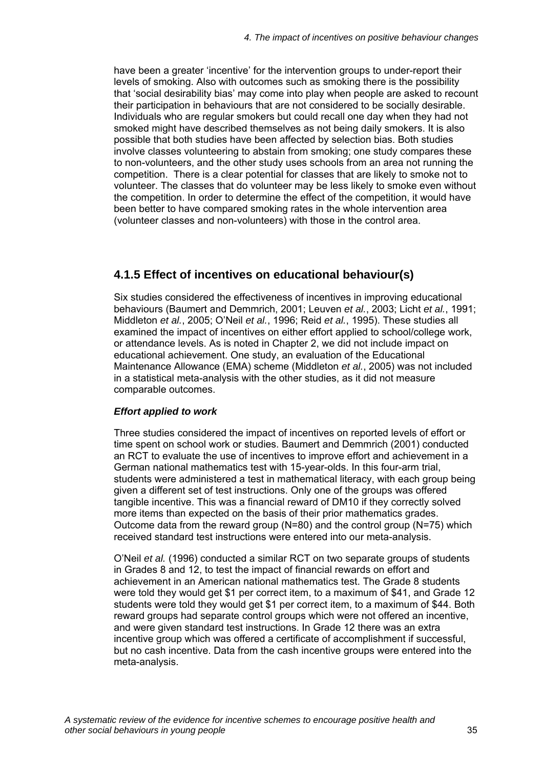have been a greater 'incentive' for the intervention groups to under-report their levels of smoking. Also with outcomes such as smoking there is the possibility that 'social desirability bias' may come into play when people are asked to recount their participation in behaviours that are not considered to be socially desirable. Individuals who are regular smokers but could recall one day when they had not smoked might have described themselves as not being daily smokers. It is also possible that both studies have been affected by selection bias. Both studies involve classes volunteering to abstain from smoking; one study compares these to non-volunteers, and the other study uses schools from an area not running the competition. There is a clear potential for classes that are likely to smoke not to volunteer. The classes that do volunteer may be less likely to smoke even without the competition. In order to determine the effect of the competition, it would have been better to have compared smoking rates in the whole intervention area (volunteer classes and non-volunteers) with those in the control area.

## **4.1.5 Effect of incentives on educational behaviour(s)**

Six studies considered the effectiveness of incentives in improving educational behaviours (Baumert and Demmrich, 2001; Leuven *et al.*, 2003; Licht *et al.*, 1991; Middleton *et al.*, 2005; O'Neil *et al.*, 1996; Reid *et al.*, 1995). These studies all examined the impact of incentives on either effort applied to school/college work, or attendance levels. As is noted in Chapter 2, we did not include impact on educational achievement. One study, an evaluation of the Educational Maintenance Allowance (EMA) scheme (Middleton *et al.*, 2005) was not included in a statistical meta-analysis with the other studies, as it did not measure comparable outcomes.

## *Effort applied to work*

Three studies considered the impact of incentives on reported levels of effort or time spent on school work or studies. Baumert and Demmrich (2001) conducted an RCT to evaluate the use of incentives to improve effort and achievement in a German national mathematics test with 15-year-olds. In this four-arm trial, students were administered a test in mathematical literacy, with each group being given a different set of test instructions. Only one of the groups was offered tangible incentive. This was a financial reward of DM10 if they correctly solved more items than expected on the basis of their prior mathematics grades. Outcome data from the reward group (N=80) and the control group (N=75) which received standard test instructions were entered into our meta-analysis.

O'Neil *et al.* (1996) conducted a similar RCT on two separate groups of students in Grades 8 and 12, to test the impact of financial rewards on effort and achievement in an American national mathematics test. The Grade 8 students were told they would get \$1 per correct item, to a maximum of \$41, and Grade 12 students were told they would get \$1 per correct item, to a maximum of \$44. Both reward groups had separate control groups which were not offered an incentive, and were given standard test instructions. In Grade 12 there was an extra incentive group which was offered a certificate of accomplishment if successful, but no cash incentive. Data from the cash incentive groups were entered into the meta-analysis.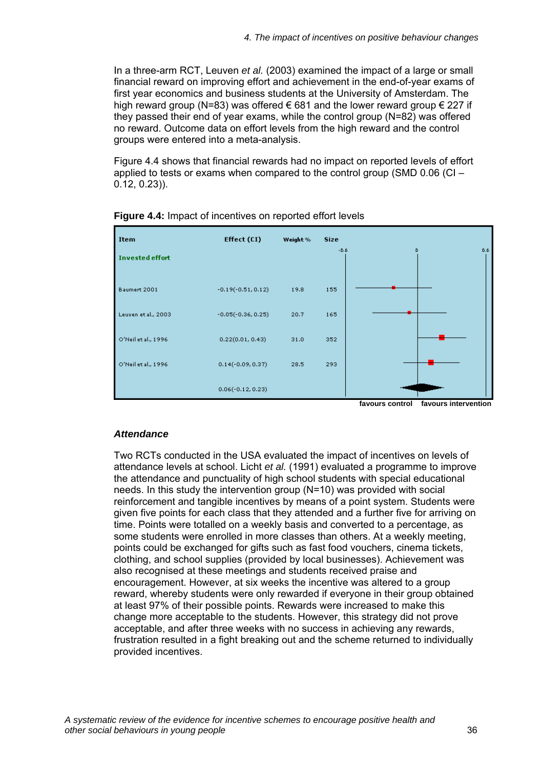In a three-arm RCT, Leuven *et al.* (2003) examined the impact of a large or small financial reward on improving effort and achievement in the end-of-year exams of first year economics and business students at the University of Amsterdam. The high reward group (N=83) was offered  $\epsilon$  681 and the lower reward group  $\epsilon$  227 if they passed their end of year exams, while the control group (N=82) was offered no reward. Outcome data on effort levels from the high reward and the control groups were entered into a meta-analysis.

Figure 4.4 shows that financial rewards had no impact on reported levels of effort applied to tests or exams when compared to the control group (SMD 0.06 (CI – 0.12, 0.23)).



## **Figure 4.4:** Impact of incentives on reported effort levels

## *Attendance*

Two RCTs conducted in the USA evaluated the impact of incentives on levels of attendance levels at school. Licht *et al.* (1991) evaluated a programme to improve the attendance and punctuality of high school students with special educational needs. In this study the intervention group (N=10) was provided with social reinforcement and tangible incentives by means of a point system. Students were given five points for each class that they attended and a further five for arriving on time. Points were totalled on a weekly basis and converted to a percentage, as some students were enrolled in more classes than others. At a weekly meeting, points could be exchanged for gifts such as fast food vouchers, cinema tickets, clothing, and school supplies (provided by local businesses). Achievement was also recognised at these meetings and students received praise and encouragement. However, at six weeks the incentive was altered to a group reward, whereby students were only rewarded if everyone in their group obtained at least 97% of their possible points. Rewards were increased to make this change more acceptable to the students. However, this strategy did not prove acceptable, and after three weeks with no success in achieving any rewards, frustration resulted in a fight breaking out and the scheme returned to individually provided incentives.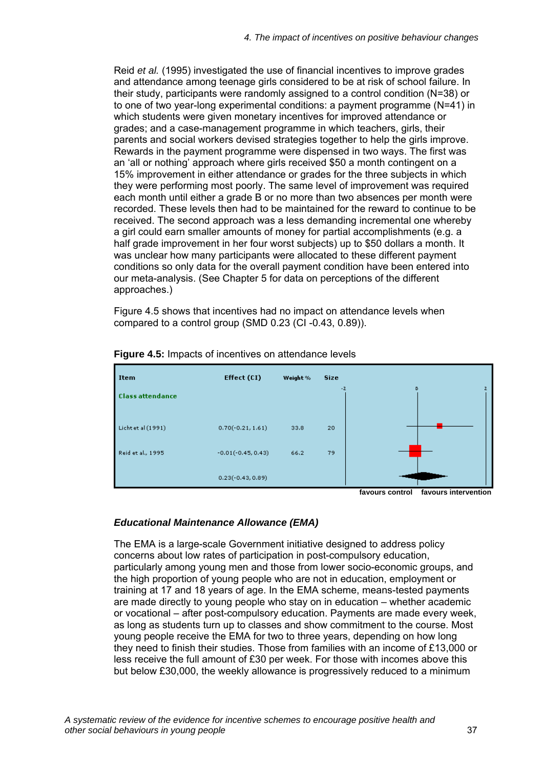Reid *et al.* (1995) investigated the use of financial incentives to improve grades and attendance among teenage girls considered to be at risk of school failure. In their study, participants were randomly assigned to a control condition (N=38) or to one of two year-long experimental conditions: a payment programme (N=41) in which students were given monetary incentives for improved attendance or grades; and a case-management programme in which teachers, girls, their parents and social workers devised strategies together to help the girls improve. Rewards in the payment programme were dispensed in two ways. The first was an 'all or nothing' approach where girls received \$50 a month contingent on a 15% improvement in either attendance or grades for the three subjects in which they were performing most poorly. The same level of improvement was required each month until either a grade B or no more than two absences per month were recorded. These levels then had to be maintained for the reward to continue to be received. The second approach was a less demanding incremental one whereby a girl could earn smaller amounts of money for partial accomplishments (e.g. a half grade improvement in her four worst subjects) up to \$50 dollars a month. It was unclear how many participants were allocated to these different payment conditions so only data for the overall payment condition have been entered into our meta-analysis. (See Chapter 5 for data on perceptions of the different approaches.)

Figure 4.5 shows that incentives had no impact on attendance levels when compared to a control group (SMD 0.23 (CI -0.43, 0.89)).



**Figure 4.5:** Impacts of incentives on attendance levels

 **favours control favours intervention** 

## *Educational Maintenance Allowance (EMA)*

The EMA is a large-scale Government initiative designed to address policy concerns about low rates of participation in post-compulsory education, particularly among young men and those from lower socio-economic groups, and the high proportion of young people who are not in education, employment or training at 17 and 18 years of age. In the EMA scheme, means-tested payments are made directly to young people who stay on in education – whether academic or vocational – after post-compulsory education. Payments are made every week, as long as students turn up to classes and show commitment to the course. Most young people receive the EMA for two to three years, depending on how long they need to finish their studies. Those from families with an income of £13,000 or less receive the full amount of £30 per week. For those with incomes above this but below £30,000, the weekly allowance is progressively reduced to a minimum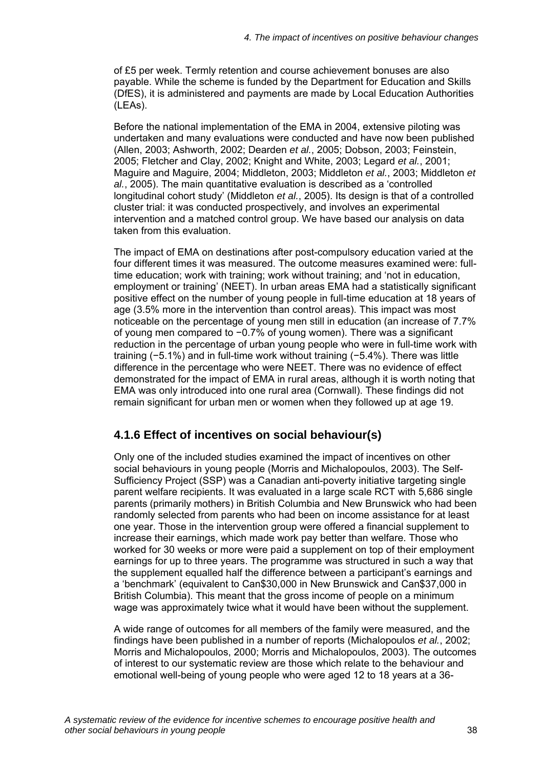of £5 per week. Termly retention and course achievement bonuses are also payable. While the scheme is funded by the Department for Education and Skills (DfES), it is administered and payments are made by Local Education Authorities (LEAs).

Before the national implementation of the EMA in 2004, extensive piloting was undertaken and many evaluations were conducted and have now been published (Allen, 2003; Ashworth, 2002; Dearden *et al.*, 2005; Dobson, 2003; Feinstein, 2005; Fletcher and Clay, 2002; Knight and White, 2003; Legard *et al.*, 2001; Maguire and Maguire, 2004; Middleton, 2003; Middleton *et al.*, 2003; Middleton *et al.*, 2005). The main quantitative evaluation is described as a 'controlled longitudinal cohort study' (Middleton *et al.*, 2005). Its design is that of a controlled cluster trial: it was conducted prospectively, and involves an experimental intervention and a matched control group. We have based our analysis on data taken from this evaluation.

The impact of EMA on destinations after post-compulsory education varied at the four different times it was measured. The outcome measures examined were: fulltime education; work with training; work without training; and 'not in education, employment or training' (NEET). In urban areas EMA had a statistically significant positive effect on the number of young people in full-time education at 18 years of age (3.5% more in the intervention than control areas). This impact was most noticeable on the percentage of young men still in education (an increase of 7.7% of young men compared to −0.7% of young women). There was a significant reduction in the percentage of urban young people who were in full-time work with training (−5.1%) and in full-time work without training (−5.4%). There was little difference in the percentage who were NEET. There was no evidence of effect demonstrated for the impact of EMA in rural areas, although it is worth noting that EMA was only introduced into one rural area (Cornwall). These findings did not remain significant for urban men or women when they followed up at age 19.

## **4.1.6 Effect of incentives on social behaviour(s)**

Only one of the included studies examined the impact of incentives on other social behaviours in young people (Morris and Michalopoulos, 2003). The Self-Sufficiency Project (SSP) was a Canadian anti-poverty initiative targeting single parent welfare recipients. It was evaluated in a large scale RCT with 5,686 single parents (primarily mothers) in British Columbia and New Brunswick who had been randomly selected from parents who had been on income assistance for at least one year. Those in the intervention group were offered a financial supplement to increase their earnings, which made work pay better than welfare. Those who worked for 30 weeks or more were paid a supplement on top of their employment earnings for up to three years. The programme was structured in such a way that the supplement equalled half the difference between a participant's earnings and a 'benchmark' (equivalent to Can\$30,000 in New Brunswick and Can\$37,000 in British Columbia). This meant that the gross income of people on a minimum wage was approximately twice what it would have been without the supplement.

A wide range of outcomes for all members of the family were measured, and the findings have been published in a number of reports (Michalopoulos *et al.*, 2002; Morris and Michalopoulos, 2000; Morris and Michalopoulos, 2003). The outcomes of interest to our systematic review are those which relate to the behaviour and emotional well-being of young people who were aged 12 to 18 years at a 36-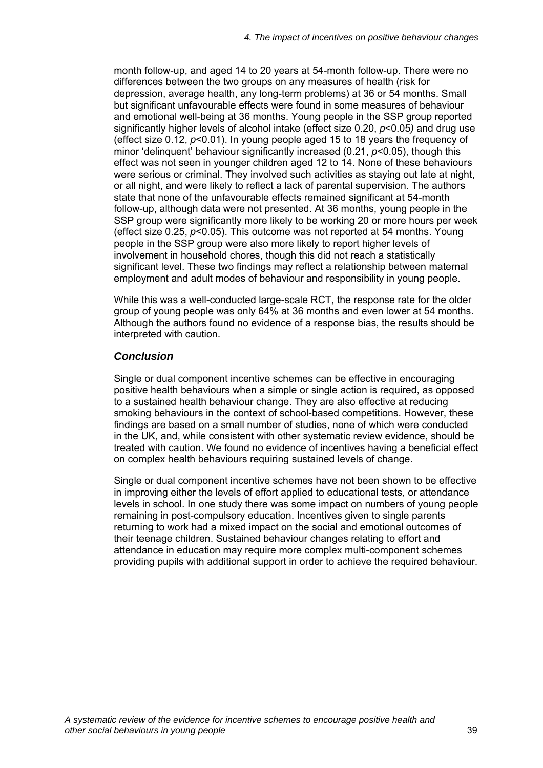month follow-up, and aged 14 to 20 years at 54-month follow-up. There were no differences between the two groups on any measures of health (risk for depression, average health, any long-term problems) at 36 or 54 months. Small but significant unfavourable effects were found in some measures of behaviour and emotional well-being at 36 months. Young people in the SSP group reported significantly higher levels of alcohol intake (effect size 0.20, *p*<0.05*)* and drug use (effect size 0.12, *p*<0.01). In young people aged 15 to 18 years the frequency of minor 'delinquent' behaviour significantly increased (0.21, *p*<0.05), though this effect was not seen in younger children aged 12 to 14. None of these behaviours were serious or criminal. They involved such activities as staying out late at night, or all night, and were likely to reflect a lack of parental supervision. The authors state that none of the unfavourable effects remained significant at 54-month follow-up, although data were not presented. At 36 months, young people in the SSP group were significantly more likely to be working 20 or more hours per week (effect size 0.25, *p*<0.05). This outcome was not reported at 54 months. Young people in the SSP group were also more likely to report higher levels of involvement in household chores, though this did not reach a statistically significant level. These two findings may reflect a relationship between maternal employment and adult modes of behaviour and responsibility in young people.

While this was a well-conducted large-scale RCT, the response rate for the older group of young people was only 64% at 36 months and even lower at 54 months. Although the authors found no evidence of a response bias, the results should be interpreted with caution.

## *Conclusion*

Single or dual component incentive schemes can be effective in encouraging positive health behaviours when a simple or single action is required, as opposed to a sustained health behaviour change. They are also effective at reducing smoking behaviours in the context of school-based competitions. However, these findings are based on a small number of studies, none of which were conducted in the UK, and, while consistent with other systematic review evidence, should be treated with caution. We found no evidence of incentives having a beneficial effect on complex health behaviours requiring sustained levels of change.

Single or dual component incentive schemes have not been shown to be effective in improving either the levels of effort applied to educational tests, or attendance levels in school. In one study there was some impact on numbers of young people remaining in post-compulsory education. Incentives given to single parents returning to work had a mixed impact on the social and emotional outcomes of their teenage children. Sustained behaviour changes relating to effort and attendance in education may require more complex multi-component schemes providing pupils with additional support in order to achieve the required behaviour.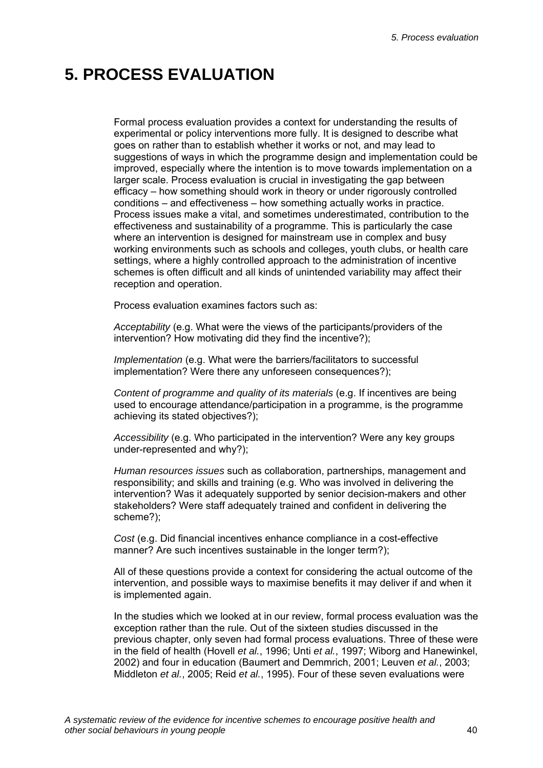# **5. PROCESS EVALUATION**

Formal process evaluation provides a context for understanding the results of experimental or policy interventions more fully. It is designed to describe what goes on rather than to establish whether it works or not, and may lead to suggestions of ways in which the programme design and implementation could be improved, especially where the intention is to move towards implementation on a larger scale. Process evaluation is crucial in investigating the gap between efficacy – how something should work in theory or under rigorously controlled conditions – and effectiveness – how something actually works in practice. Process issues make a vital, and sometimes underestimated, contribution to the effectiveness and sustainability of a programme. This is particularly the case where an intervention is designed for mainstream use in complex and busy working environments such as schools and colleges, youth clubs, or health care settings, where a highly controlled approach to the administration of incentive schemes is often difficult and all kinds of unintended variability may affect their reception and operation.

Process evaluation examines factors such as:

*Acceptability* (e.g. What were the views of the participants/providers of the intervention? How motivating did they find the incentive?);

*Implementation* (e.g. What were the barriers/facilitators to successful implementation? Were there any unforeseen consequences?);

*Content of programme and quality of its materials* (e.g. If incentives are being used to encourage attendance/participation in a programme, is the programme achieving its stated objectives?);

*Accessibility* (e.g. Who participated in the intervention? Were any key groups under-represented and why?);

*Human resources issues* such as collaboration, partnerships, management and responsibility; and skills and training (e.g. Who was involved in delivering the intervention? Was it adequately supported by senior decision-makers and other stakeholders? Were staff adequately trained and confident in delivering the scheme?);

*Cost* (e.g. Did financial incentives enhance compliance in a cost-effective manner? Are such incentives sustainable in the longer term?);

All of these questions provide a context for considering the actual outcome of the intervention, and possible ways to maximise benefits it may deliver if and when it is implemented again.

In the studies which we looked at in our review, formal process evaluation was the exception rather than the rule. Out of the sixteen studies discussed in the previous chapter, only seven had formal process evaluations. Three of these were in the field of health (Hovell *et al.*, 1996; Unti *et al.*, 1997; Wiborg and Hanewinkel, 2002) and four in education (Baumert and Demmrich, 2001; Leuven *et al.*, 2003; Middleton *et al.*, 2005; Reid *et al.*, 1995). Four of these seven evaluations were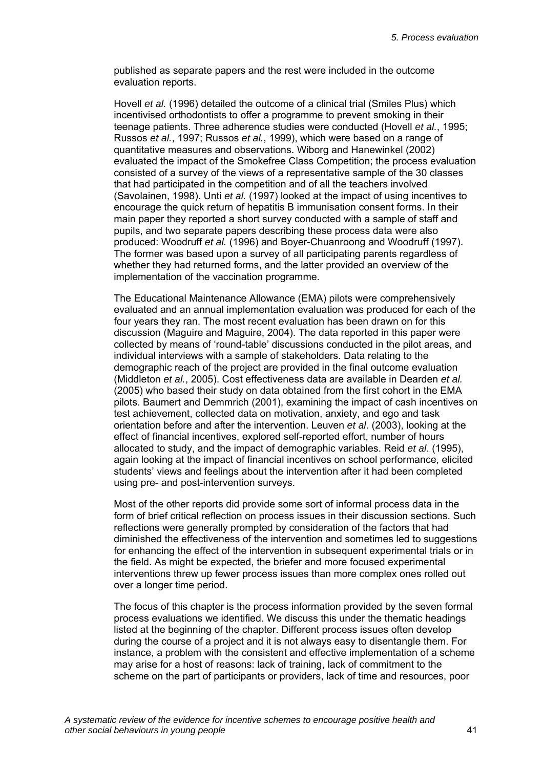published as separate papers and the rest were included in the outcome evaluation reports.

Hovell *et al.* (1996) detailed the outcome of a clinical trial (Smiles Plus) which incentivised orthodontists to offer a programme to prevent smoking in their teenage patients. Three adherence studies were conducted (Hovell *et al.*, 1995; Russos *et al.*, 1997; Russos *et al.*, 1999), which were based on a range of quantitative measures and observations. Wiborg and Hanewinkel (2002) evaluated the impact of the Smokefree Class Competition; the process evaluation consisted of a survey of the views of a representative sample of the 30 classes that had participated in the competition and of all the teachers involved (Savolainen, 1998). Unti *et al.* (1997) looked at the impact of using incentives to encourage the quick return of hepatitis B immunisation consent forms. In their main paper they reported a short survey conducted with a sample of staff and pupils, and two separate papers describing these process data were also produced: Woodruff *et al.* (1996) and Boyer-Chuanroong and Woodruff (1997). The former was based upon a survey of all participating parents regardless of whether they had returned forms, and the latter provided an overview of the implementation of the vaccination programme.

The Educational Maintenance Allowance (EMA) pilots were comprehensively evaluated and an annual implementation evaluation was produced for each of the four years they ran. The most recent evaluation has been drawn on for this discussion (Maguire and Maguire, 2004). The data reported in this paper were collected by means of 'round-table' discussions conducted in the pilot areas, and individual interviews with a sample of stakeholders. Data relating to the demographic reach of the project are provided in the final outcome evaluation (Middleton *et al.*, 2005). Cost effectiveness data are available in Dearden *et al.* (2005) who based their study on data obtained from the first cohort in the EMA pilots. Baumert and Demmrich (2001), examining the impact of cash incentives on test achievement, collected data on motivation, anxiety, and ego and task orientation before and after the intervention. Leuven *et al*. (2003), looking at the effect of financial incentives, explored self-reported effort, number of hours allocated to study, and the impact of demographic variables. Reid *et al*. (1995), again looking at the impact of financial incentives on school performance, elicited students' views and feelings about the intervention after it had been completed using pre- and post-intervention surveys.

Most of the other reports did provide some sort of informal process data in the form of brief critical reflection on process issues in their discussion sections. Such reflections were generally prompted by consideration of the factors that had diminished the effectiveness of the intervention and sometimes led to suggestions for enhancing the effect of the intervention in subsequent experimental trials or in the field. As might be expected, the briefer and more focused experimental interventions threw up fewer process issues than more complex ones rolled out over a longer time period.

The focus of this chapter is the process information provided by the seven formal process evaluations we identified. We discuss this under the thematic headings listed at the beginning of the chapter. Different process issues often develop during the course of a project and it is not always easy to disentangle them. For instance, a problem with the consistent and effective implementation of a scheme may arise for a host of reasons: lack of training, lack of commitment to the scheme on the part of participants or providers, lack of time and resources, poor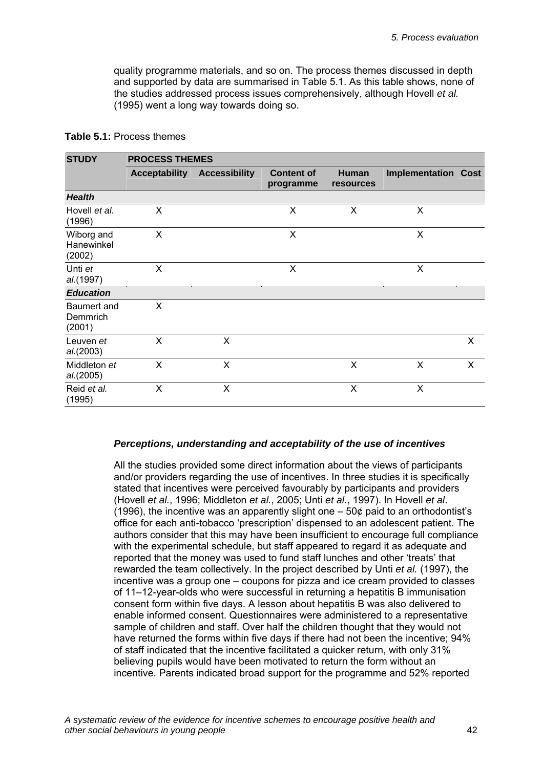quality programme materials, and so on. The process themes discussed in depth and supported by data are summarised in Table 5.1. As this table shows, none of the studies addressed process issues comprehensively, although Hovell *et al.* (1995) went a long way towards doing so.

| <b>STUDY</b>                       | <b>PROCESS THEMES</b> |                      |                                |                           |                            |   |  |  |  |  |  |
|------------------------------------|-----------------------|----------------------|--------------------------------|---------------------------|----------------------------|---|--|--|--|--|--|
|                                    | <b>Acceptability</b>  | <b>Accessibility</b> | <b>Content of</b><br>programme | Human<br><b>resources</b> | <b>Implementation Cost</b> |   |  |  |  |  |  |
| <b>Health</b>                      |                       |                      |                                |                           |                            |   |  |  |  |  |  |
| Hovell et al.<br>(1996)            | X                     |                      | X                              | X                         | X                          |   |  |  |  |  |  |
| Wiborg and<br>Hanewinkel<br>(2002) | X                     |                      | $\times$                       |                           | X                          |   |  |  |  |  |  |
| Unti et<br>al.(1997)               | $\sf X$               |                      | X                              |                           | X                          |   |  |  |  |  |  |
| <b>Education</b>                   |                       |                      |                                |                           |                            |   |  |  |  |  |  |
| Baumert and<br>Demmrich<br>(2001)  | X                     |                      |                                |                           |                            |   |  |  |  |  |  |
| Leuven et<br>al.(2003)             | X                     | X                    |                                |                           |                            | X |  |  |  |  |  |
| Middleton et<br>al.(2005)          | X                     | X                    |                                | X                         | X                          | X |  |  |  |  |  |
| Reid et al.<br>(1995)              | X                     | X                    |                                | X                         | X                          |   |  |  |  |  |  |

#### **Table 5.1:** Process themes

## *Perceptions, understanding and acceptability of the use of incentives*

All the studies provided some direct information about the views of participants and/or providers regarding the use of incentives. In three studies it is specifically stated that incentives were perceived favourably by participants and providers (Hovell *et al.*, 1996; Middleton *et al.*, 2005; Unti *et al.*, 1997). In Hovell *et al*. (1996), the incentive was an apparently slight one – 50¢ paid to an orthodontist's office for each anti-tobacco 'prescription' dispensed to an adolescent patient. The authors consider that this may have been insufficient to encourage full compliance with the experimental schedule, but staff appeared to regard it as adequate and reported that the money was used to fund staff lunches and other 'treats' that rewarded the team collectively. In the project described by Unti *et al.* (1997), the incentive was a group one – coupons for pizza and ice cream provided to classes of 11–12-year-olds who were successful in returning a hepatitis B immunisation consent form within five days. A lesson about hepatitis B was also delivered to enable informed consent. Questionnaires were administered to a representative sample of children and staff. Over half the children thought that they would not have returned the forms within five days if there had not been the incentive; 94% of staff indicated that the incentive facilitated a quicker return, with only 31% believing pupils would have been motivated to return the form without an incentive. Parents indicated broad support for the programme and 52% reported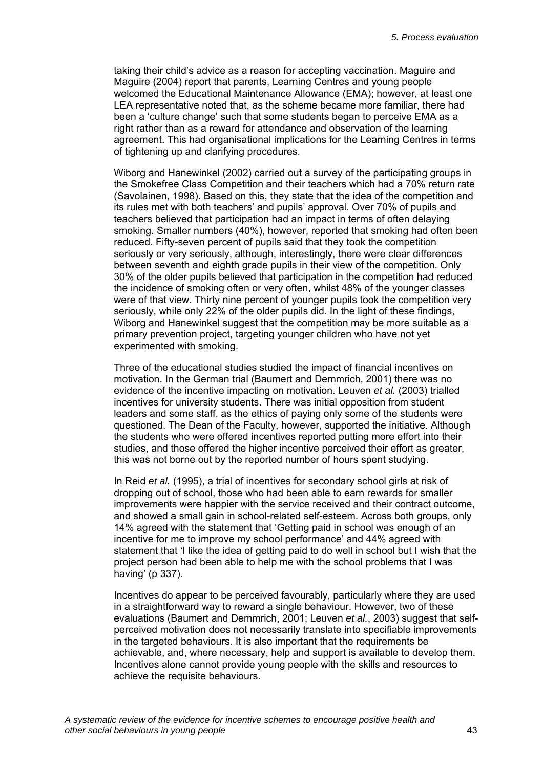taking their child's advice as a reason for accepting vaccination. Maguire and Maguire (2004) report that parents, Learning Centres and young people welcomed the Educational Maintenance Allowance (EMA); however, at least one LEA representative noted that, as the scheme became more familiar, there had been a 'culture change' such that some students began to perceive EMA as a right rather than as a reward for attendance and observation of the learning agreement. This had organisational implications for the Learning Centres in terms of tightening up and clarifying procedures.

Wiborg and Hanewinkel (2002) carried out a survey of the participating groups in the Smokefree Class Competition and their teachers which had a 70% return rate (Savolainen, 1998). Based on this, they state that the idea of the competition and its rules met with both teachers' and pupils' approval. Over 70% of pupils and teachers believed that participation had an impact in terms of often delaying smoking. Smaller numbers (40%), however, reported that smoking had often been reduced. Fifty-seven percent of pupils said that they took the competition seriously or very seriously, although, interestingly, there were clear differences between seventh and eighth grade pupils in their view of the competition. Only 30% of the older pupils believed that participation in the competition had reduced the incidence of smoking often or very often, whilst 48% of the younger classes were of that view. Thirty nine percent of younger pupils took the competition very seriously, while only 22% of the older pupils did. In the light of these findings, Wiborg and Hanewinkel suggest that the competition may be more suitable as a primary prevention project, targeting younger children who have not yet experimented with smoking.

Three of the educational studies studied the impact of financial incentives on motivation. In the German trial (Baumert and Demmrich, 2001) there was no evidence of the incentive impacting on motivation. Leuven *et al.* (2003) trialled incentives for university students. There was initial opposition from student leaders and some staff, as the ethics of paying only some of the students were questioned. The Dean of the Faculty, however, supported the initiative. Although the students who were offered incentives reported putting more effort into their studies, and those offered the higher incentive perceived their effort as greater, this was not borne out by the reported number of hours spent studying.

In Reid *et al.* (1995), a trial of incentives for secondary school girls at risk of dropping out of school, those who had been able to earn rewards for smaller improvements were happier with the service received and their contract outcome, and showed a small gain in school-related self-esteem. Across both groups, only 14% agreed with the statement that 'Getting paid in school was enough of an incentive for me to improve my school performance' and 44% agreed with statement that 'I like the idea of getting paid to do well in school but I wish that the project person had been able to help me with the school problems that I was having' (p 337).

Incentives do appear to be perceived favourably, particularly where they are used in a straightforward way to reward a single behaviour. However, two of these evaluations (Baumert and Demmrich, 2001; Leuven *et al.*, 2003) suggest that selfperceived motivation does not necessarily translate into specifiable improvements in the targeted behaviours. It is also important that the requirements be achievable, and, where necessary, help and support is available to develop them. Incentives alone cannot provide young people with the skills and resources to achieve the requisite behaviours.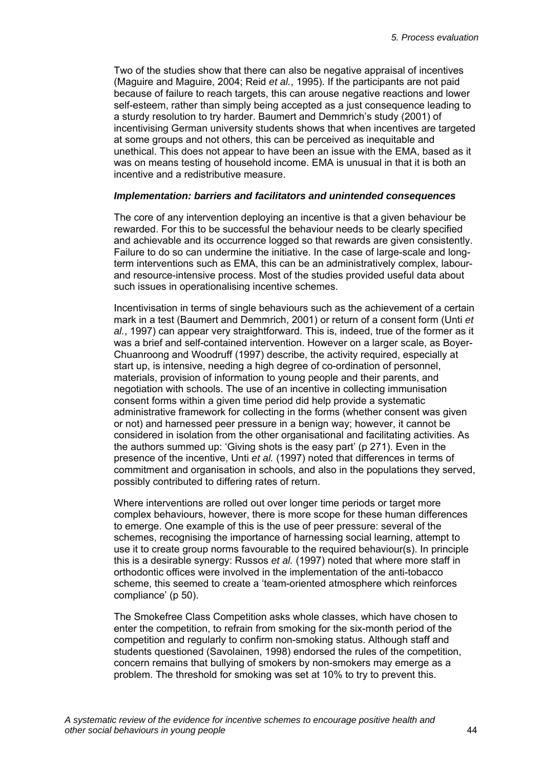Two of the studies show that there can also be negative appraisal of incentives (Maguire and Maguire, 2004; Reid *et al.*, 1995). If the participants are not paid because of failure to reach targets, this can arouse negative reactions and lower self-esteem, rather than simply being accepted as a just consequence leading to a sturdy resolution to try harder. Baumert and Demmrich's study (2001) of incentivising German university students shows that when incentives are targeted at some groups and not others, this can be perceived as inequitable and unethical. This does not appear to have been an issue with the EMA, based as it was on means testing of household income. EMA is unusual in that it is both an incentive and a redistributive measure.

#### *Implementation: barriers and facilitators and unintended consequences*

The core of any intervention deploying an incentive is that a given behaviour be rewarded. For this to be successful the behaviour needs to be clearly specified and achievable and its occurrence logged so that rewards are given consistently. Failure to do so can undermine the initiative. In the case of large-scale and longterm interventions such as EMA, this can be an administratively complex, labourand resource-intensive process. Most of the studies provided useful data about such issues in operationalising incentive schemes.

Incentivisation in terms of single behaviours such as the achievement of a certain mark in a test (Baumert and Demmrich, 2001) or return of a consent form (Unti *et al.*, 1997) can appear very straightforward. This is, indeed, true of the former as it was a brief and self-contained intervention. However on a larger scale, as Boyer-Chuanroong and Woodruff (1997) describe, the activity required, especially at start up, is intensive, needing a high degree of co-ordination of personnel, materials, provision of information to young people and their parents, and negotiation with schools. The use of an incentive in collecting immunisation consent forms within a given time period did help provide a systematic administrative framework for collecting in the forms (whether consent was given or not) and harnessed peer pressure in a benign way; however, it cannot be considered in isolation from the other organisational and facilitating activities. As the authors summed up: 'Giving shots is the easy part' (p 271). Even in the presence of the incentive, Unti *et al.* (1997) noted that differences in terms of commitment and organisation in schools, and also in the populations they served, possibly contributed to differing rates of return.

Where interventions are rolled out over longer time periods or target more complex behaviours, however, there is more scope for these human differences to emerge. One example of this is the use of peer pressure: several of the schemes, recognising the importance of harnessing social learning, attempt to use it to create group norms favourable to the required behaviour(s). In principle this is a desirable synergy: Russos *et al.* (1997) noted that where more staff in orthodontic offices were involved in the implementation of the anti-tobacco scheme, this seemed to create a 'team-oriented atmosphere which reinforces compliance' (p 50).

The Smokefree Class Competition asks whole classes, which have chosen to enter the competition, to refrain from smoking for the six-month period of the competition and regularly to confirm non-smoking status. Although staff and students questioned (Savolainen, 1998) endorsed the rules of the competition, concern remains that bullying of smokers by non-smokers may emerge as a problem. The threshold for smoking was set at 10% to try to prevent this.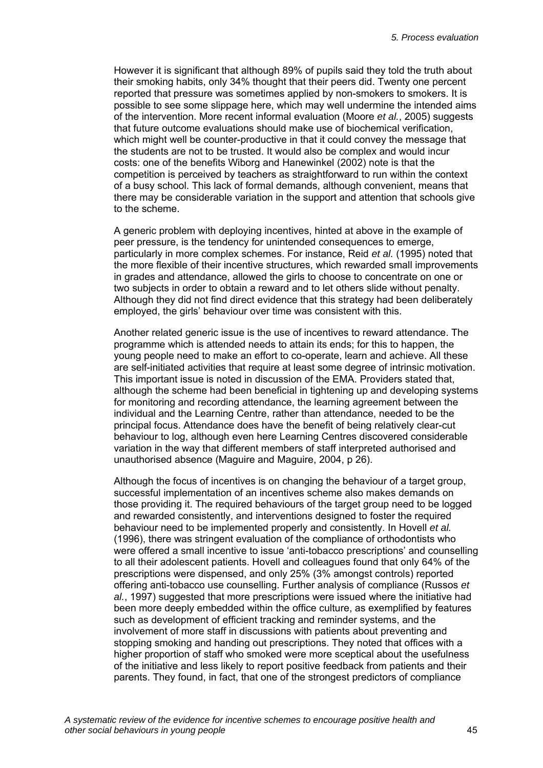However it is significant that although 89% of pupils said they told the truth about their smoking habits, only 34% thought that their peers did. Twenty one percent reported that pressure was sometimes applied by non-smokers to smokers. It is possible to see some slippage here, which may well undermine the intended aims of the intervention. More recent informal evaluation (Moore *et al.*, 2005) suggests that future outcome evaluations should make use of biochemical verification, which might well be counter-productive in that it could convey the message that the students are not to be trusted. It would also be complex and would incur costs: one of the benefits Wiborg and Hanewinkel (2002) note is that the competition is perceived by teachers as straightforward to run within the context of a busy school. This lack of formal demands, although convenient, means that there may be considerable variation in the support and attention that schools give to the scheme.

A generic problem with deploying incentives, hinted at above in the example of peer pressure, is the tendency for unintended consequences to emerge, particularly in more complex schemes. For instance, Reid *et al.* (1995) noted that the more flexible of their incentive structures, which rewarded small improvements in grades and attendance, allowed the girls to choose to concentrate on one or two subjects in order to obtain a reward and to let others slide without penalty. Although they did not find direct evidence that this strategy had been deliberately employed, the girls' behaviour over time was consistent with this.

Another related generic issue is the use of incentives to reward attendance. The programme which is attended needs to attain its ends; for this to happen, the young people need to make an effort to co-operate, learn and achieve. All these are self-initiated activities that require at least some degree of intrinsic motivation. This important issue is noted in discussion of the EMA. Providers stated that, although the scheme had been beneficial in tightening up and developing systems for monitoring and recording attendance, the learning agreement between the individual and the Learning Centre, rather than attendance, needed to be the principal focus. Attendance does have the benefit of being relatively clear-cut behaviour to log, although even here Learning Centres discovered considerable variation in the way that different members of staff interpreted authorised and unauthorised absence (Maguire and Maguire, 2004, p 26).

Although the focus of incentives is on changing the behaviour of a target group, successful implementation of an incentives scheme also makes demands on those providing it. The required behaviours of the target group need to be logged and rewarded consistently, and interventions designed to foster the required behaviour need to be implemented properly and consistently. In Hovell *et al.* (1996), there was stringent evaluation of the compliance of orthodontists who were offered a small incentive to issue 'anti-tobacco prescriptions' and counselling to all their adolescent patients. Hovell and colleagues found that only 64% of the prescriptions were dispensed, and only 25% (3% amongst controls) reported offering anti-tobacco use counselling. Further analysis of compliance (Russos *et al.*, 1997) suggested that more prescriptions were issued where the initiative had been more deeply embedded within the office culture, as exemplified by features such as development of efficient tracking and reminder systems, and the involvement of more staff in discussions with patients about preventing and stopping smoking and handing out prescriptions. They noted that offices with a higher proportion of staff who smoked were more sceptical about the usefulness of the initiative and less likely to report positive feedback from patients and their parents. They found, in fact, that one of the strongest predictors of compliance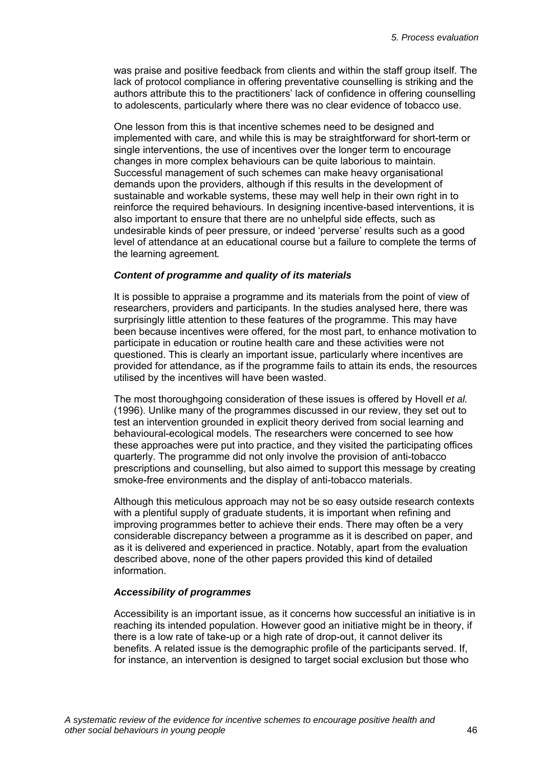was praise and positive feedback from clients and within the staff group itself. The lack of protocol compliance in offering preventative counselling is striking and the authors attribute this to the practitioners' lack of confidence in offering counselling to adolescents, particularly where there was no clear evidence of tobacco use.

One lesson from this is that incentive schemes need to be designed and implemented with care, and while this is may be straightforward for short-term or single interventions, the use of incentives over the longer term to encourage changes in more complex behaviours can be quite laborious to maintain. Successful management of such schemes can make heavy organisational demands upon the providers, although if this results in the development of sustainable and workable systems, these may well help in their own right in to reinforce the required behaviours. In designing incentive-based interventions, it is also important to ensure that there are no unhelpful side effects, such as undesirable kinds of peer pressure, or indeed 'perverse' results such as a good level of attendance at an educational course but a failure to complete the terms of the learning agreement*.* 

#### *Content of programme and quality of its materials*

It is possible to appraise a programme and its materials from the point of view of researchers, providers and participants. In the studies analysed here, there was surprisingly little attention to these features of the programme. This may have been because incentives were offered, for the most part, to enhance motivation to participate in education or routine health care and these activities were not questioned. This is clearly an important issue, particularly where incentives are provided for attendance, as if the programme fails to attain its ends, the resources utilised by the incentives will have been wasted.

The most thoroughgoing consideration of these issues is offered by Hovell *et al.* (1996). Unlike many of the programmes discussed in our review, they set out to test an intervention grounded in explicit theory derived from social learning and behavioural-ecological models. The researchers were concerned to see how these approaches were put into practice, and they visited the participating offices quarterly. The programme did not only involve the provision of anti-tobacco prescriptions and counselling, but also aimed to support this message by creating smoke-free environments and the display of anti-tobacco materials.

Although this meticulous approach may not be so easy outside research contexts with a plentiful supply of graduate students, it is important when refining and improving programmes better to achieve their ends. There may often be a very considerable discrepancy between a programme as it is described on paper, and as it is delivered and experienced in practice. Notably, apart from the evaluation described above, none of the other papers provided this kind of detailed information.

## *Accessibility of programmes*

Accessibility is an important issue, as it concerns how successful an initiative is in reaching its intended population. However good an initiative might be in theory, if there is a low rate of take-up or a high rate of drop-out, it cannot deliver its benefits. A related issue is the demographic profile of the participants served. If, for instance, an intervention is designed to target social exclusion but those who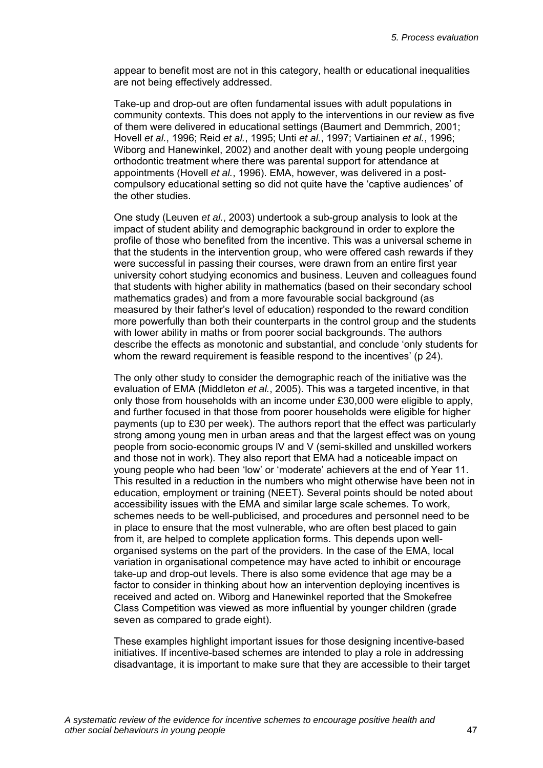appear to benefit most are not in this category, health or educational inequalities are not being effectively addressed.

Take-up and drop-out are often fundamental issues with adult populations in community contexts. This does not apply to the interventions in our review as five of them were delivered in educational settings (Baumert and Demmrich, 2001; Hovell *et al.*, 1996; Reid *et al.*, 1995; Unti *et al.*, 1997; Vartiainen *et al.*, 1996; Wiborg and Hanewinkel, 2002) and another dealt with young people undergoing orthodontic treatment where there was parental support for attendance at appointments (Hovell *et al.*, 1996). EMA, however, was delivered in a postcompulsory educational setting so did not quite have the 'captive audiences' of the other studies.

One study (Leuven *et al.*, 2003) undertook a sub-group analysis to look at the impact of student ability and demographic background in order to explore the profile of those who benefited from the incentive. This was a universal scheme in that the students in the intervention group, who were offered cash rewards if they were successful in passing their courses, were drawn from an entire first year university cohort studying economics and business. Leuven and colleagues found that students with higher ability in mathematics (based on their secondary school mathematics grades) and from a more favourable social background (as measured by their father's level of education) responded to the reward condition more powerfully than both their counterparts in the control group and the students with lower ability in maths or from poorer social backgrounds. The authors describe the effects as monotonic and substantial, and conclude 'only students for whom the reward requirement is feasible respond to the incentives' (p 24).

The only other study to consider the demographic reach of the initiative was the evaluation of EMA (Middleton *et al.*, 2005). This was a targeted incentive, in that only those from households with an income under £30,000 were eligible to apply, and further focused in that those from poorer households were eligible for higher payments (up to £30 per week). The authors report that the effect was particularly strong among young men in urban areas and that the largest effect was on young people from socio-economic groups lV and V (semi-skilled and unskilled workers and those not in work). They also report that EMA had a noticeable impact on young people who had been 'low' or 'moderate' achievers at the end of Year 11. This resulted in a reduction in the numbers who might otherwise have been not in education, employment or training (NEET). Several points should be noted about accessibility issues with the EMA and similar large scale schemes. To work, schemes needs to be well-publicised, and procedures and personnel need to be in place to ensure that the most vulnerable, who are often best placed to gain from it, are helped to complete application forms. This depends upon wellorganised systems on the part of the providers. In the case of the EMA, local variation in organisational competence may have acted to inhibit or encourage take-up and drop-out levels. There is also some evidence that age may be a factor to consider in thinking about how an intervention deploying incentives is received and acted on. Wiborg and Hanewinkel reported that the Smokefree Class Competition was viewed as more influential by younger children (grade seven as compared to grade eight).

These examples highlight important issues for those designing incentive-based initiatives. If incentive-based schemes are intended to play a role in addressing disadvantage, it is important to make sure that they are accessible to their target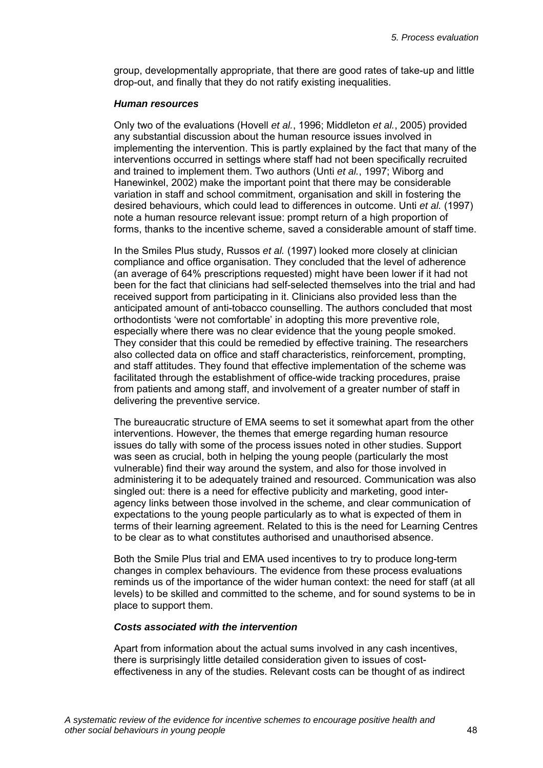group, developmentally appropriate, that there are good rates of take-up and little drop-out, and finally that they do not ratify existing inequalities.

#### *Human resources*

Only two of the evaluations (Hovell *et al.*, 1996; Middleton *et al.*, 2005) provided any substantial discussion about the human resource issues involved in implementing the intervention. This is partly explained by the fact that many of the interventions occurred in settings where staff had not been specifically recruited and trained to implement them. Two authors (Unti *et al.*, 1997; Wiborg and Hanewinkel, 2002) make the important point that there may be considerable variation in staff and school commitment, organisation and skill in fostering the desired behaviours, which could lead to differences in outcome. Unti *et al.* (1997) note a human resource relevant issue: prompt return of a high proportion of forms, thanks to the incentive scheme, saved a considerable amount of staff time.

In the Smiles Plus study, Russos *et al.* (1997) looked more closely at clinician compliance and office organisation. They concluded that the level of adherence (an average of 64% prescriptions requested) might have been lower if it had not been for the fact that clinicians had self-selected themselves into the trial and had received support from participating in it. Clinicians also provided less than the anticipated amount of anti-tobacco counselling. The authors concluded that most orthodontists 'were not comfortable' in adopting this more preventive role, especially where there was no clear evidence that the young people smoked. They consider that this could be remedied by effective training. The researchers also collected data on office and staff characteristics, reinforcement, prompting, and staff attitudes. They found that effective implementation of the scheme was facilitated through the establishment of office-wide tracking procedures, praise from patients and among staff, and involvement of a greater number of staff in delivering the preventive service.

The bureaucratic structure of EMA seems to set it somewhat apart from the other interventions. However, the themes that emerge regarding human resource issues do tally with some of the process issues noted in other studies. Support was seen as crucial, both in helping the young people (particularly the most vulnerable) find their way around the system, and also for those involved in administering it to be adequately trained and resourced. Communication was also singled out: there is a need for effective publicity and marketing, good interagency links between those involved in the scheme, and clear communication of expectations to the young people particularly as to what is expected of them in terms of their learning agreement. Related to this is the need for Learning Centres to be clear as to what constitutes authorised and unauthorised absence.

Both the Smile Plus trial and EMA used incentives to try to produce long-term changes in complex behaviours. The evidence from these process evaluations reminds us of the importance of the wider human context: the need for staff (at all levels) to be skilled and committed to the scheme, and for sound systems to be in place to support them.

#### *Costs associated with the intervention*

Apart from information about the actual sums involved in any cash incentives, there is surprisingly little detailed consideration given to issues of costeffectiveness in any of the studies. Relevant costs can be thought of as indirect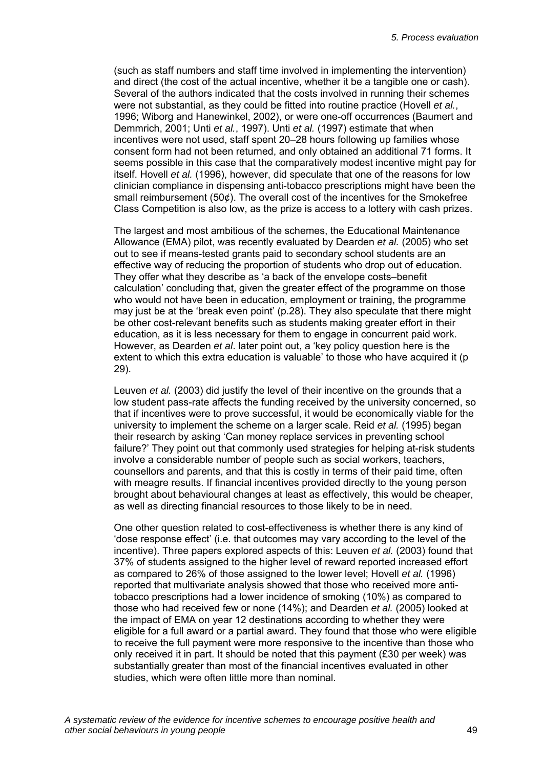(such as staff numbers and staff time involved in implementing the intervention) and direct (the cost of the actual incentive, whether it be a tangible one or cash). Several of the authors indicated that the costs involved in running their schemes were not substantial, as they could be fitted into routine practice (Hovell *et al.*, 1996; Wiborg and Hanewinkel, 2002), or were one-off occurrences (Baumert and Demmrich, 2001; Unti *et al.*, 1997). Unti *et al.* (1997) estimate that when incentives were not used, staff spent 20–28 hours following up families whose consent form had not been returned, and only obtained an additional 71 forms. It seems possible in this case that the comparatively modest incentive might pay for itself. Hovell *et al.* (1996), however, did speculate that one of the reasons for low clinician compliance in dispensing anti-tobacco prescriptions might have been the small reimbursement (50¢). The overall cost of the incentives for the Smokefree Class Competition is also low, as the prize is access to a lottery with cash prizes.

The largest and most ambitious of the schemes, the Educational Maintenance Allowance (EMA) pilot, was recently evaluated by Dearden *et al.* (2005) who set out to see if means-tested grants paid to secondary school students are an effective way of reducing the proportion of students who drop out of education. They offer what they describe as 'a back of the envelope costs–benefit calculation' concluding that, given the greater effect of the programme on those who would not have been in education, employment or training, the programme may just be at the 'break even point' (p.28). They also speculate that there might be other cost-relevant benefits such as students making greater effort in their education, as it is less necessary for them to engage in concurrent paid work. However, as Dearden *et al*. later point out, a 'key policy question here is the extent to which this extra education is valuable' to those who have acquired it (p 29).

Leuven *et al.* (2003) did justify the level of their incentive on the grounds that a low student pass-rate affects the funding received by the university concerned, so that if incentives were to prove successful, it would be economically viable for the university to implement the scheme on a larger scale. Reid *et al.* (1995) began their research by asking 'Can money replace services in preventing school failure?' They point out that commonly used strategies for helping at-risk students involve a considerable number of people such as social workers, teachers, counsellors and parents, and that this is costly in terms of their paid time, often with meagre results. If financial incentives provided directly to the young person brought about behavioural changes at least as effectively, this would be cheaper, as well as directing financial resources to those likely to be in need.

One other question related to cost-effectiveness is whether there is any kind of 'dose response effect' (i.e. that outcomes may vary according to the level of the incentive). Three papers explored aspects of this: Leuven *et al.* (2003) found that 37% of students assigned to the higher level of reward reported increased effort as compared to 26% of those assigned to the lower level; Hovell *et al.* (1996) reported that multivariate analysis showed that those who received more antitobacco prescriptions had a lower incidence of smoking (10%) as compared to those who had received few or none (14%); and Dearden *et al.* (2005) looked at the impact of EMA on year 12 destinations according to whether they were eligible for a full award or a partial award. They found that those who were eligible to receive the full payment were more responsive to the incentive than those who only received it in part. It should be noted that this payment (£30 per week) was substantially greater than most of the financial incentives evaluated in other studies, which were often little more than nominal.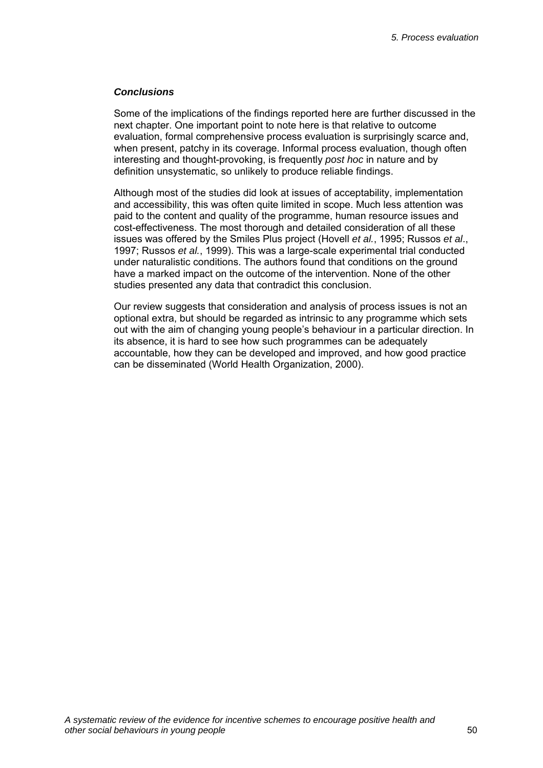## *Conclusions*

Some of the implications of the findings reported here are further discussed in the next chapter. One important point to note here is that relative to outcome evaluation, formal comprehensive process evaluation is surprisingly scarce and, when present, patchy in its coverage. Informal process evaluation, though often interesting and thought-provoking, is frequently *post hoc* in nature and by definition unsystematic, so unlikely to produce reliable findings.

Although most of the studies did look at issues of acceptability, implementation and accessibility, this was often quite limited in scope. Much less attention was paid to the content and quality of the programme, human resource issues and cost-effectiveness. The most thorough and detailed consideration of all these issues was offered by the Smiles Plus project (Hovell *et al.*, 1995; Russos *et al*., 1997; Russos *et al.*, 1999). This was a large-scale experimental trial conducted under naturalistic conditions. The authors found that conditions on the ground have a marked impact on the outcome of the intervention. None of the other studies presented any data that contradict this conclusion.

Our review suggests that consideration and analysis of process issues is not an optional extra, but should be regarded as intrinsic to any programme which sets out with the aim of changing young people's behaviour in a particular direction. In its absence, it is hard to see how such programmes can be adequately accountable, how they can be developed and improved, and how good practice can be disseminated (World Health Organization, 2000).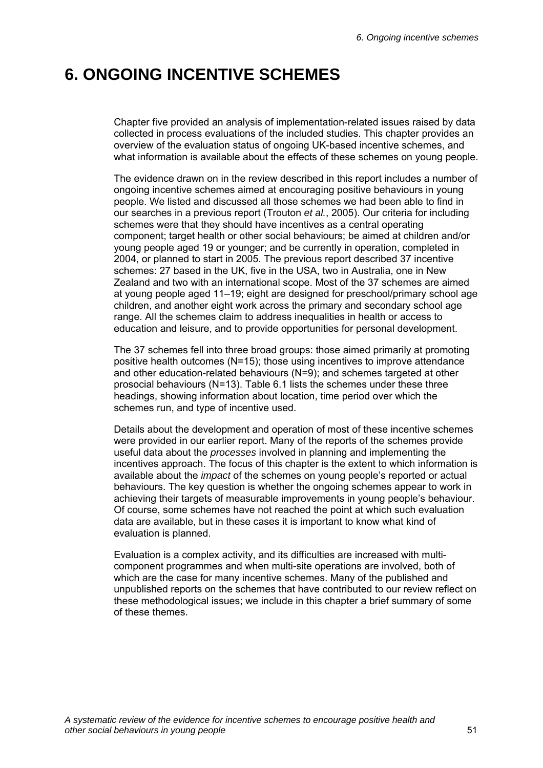# **6. ONGOING INCENTIVE SCHEMES**

Chapter five provided an analysis of implementation-related issues raised by data collected in process evaluations of the included studies. This chapter provides an overview of the evaluation status of ongoing UK-based incentive schemes, and what information is available about the effects of these schemes on young people.

The evidence drawn on in the review described in this report includes a number of ongoing incentive schemes aimed at encouraging positive behaviours in young people. We listed and discussed all those schemes we had been able to find in our searches in a previous report (Trouton *et al.*, 2005). Our criteria for including schemes were that they should have incentives as a central operating component; target health or other social behaviours; be aimed at children and/or young people aged 19 or younger; and be currently in operation, completed in 2004, or planned to start in 2005. The previous report described 37 incentive schemes: 27 based in the UK, five in the USA, two in Australia, one in New Zealand and two with an international scope. Most of the 37 schemes are aimed at young people aged 11–19; eight are designed for preschool/primary school age children, and another eight work across the primary and secondary school age range. All the schemes claim to address inequalities in health or access to education and leisure, and to provide opportunities for personal development.

The 37 schemes fell into three broad groups: those aimed primarily at promoting positive health outcomes (N=15); those using incentives to improve attendance and other education-related behaviours (N=9); and schemes targeted at other prosocial behaviours (N=13). Table 6.1 lists the schemes under these three headings, showing information about location, time period over which the schemes run, and type of incentive used.

Details about the development and operation of most of these incentive schemes were provided in our earlier report. Many of the reports of the schemes provide useful data about the *processes* involved in planning and implementing the incentives approach. The focus of this chapter is the extent to which information is available about the *impact* of the schemes on young people's reported or actual behaviours. The key question is whether the ongoing schemes appear to work in achieving their targets of measurable improvements in young people's behaviour. Of course, some schemes have not reached the point at which such evaluation data are available, but in these cases it is important to know what kind of evaluation is planned.

Evaluation is a complex activity, and its difficulties are increased with multicomponent programmes and when multi-site operations are involved, both of which are the case for many incentive schemes. Many of the published and unpublished reports on the schemes that have contributed to our review reflect on these methodological issues; we include in this chapter a brief summary of some of these themes.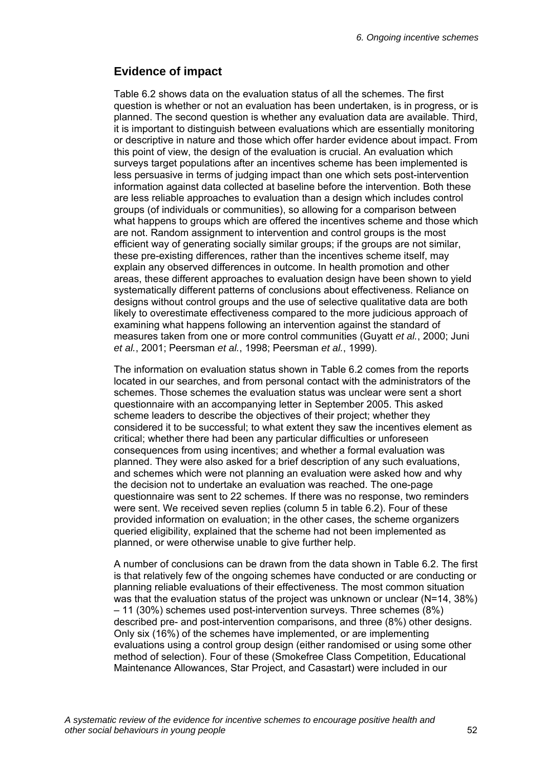## **Evidence of impact**

Table 6.2 shows data on the evaluation status of all the schemes. The first question is whether or not an evaluation has been undertaken, is in progress, or is planned. The second question is whether any evaluation data are available. Third, it is important to distinguish between evaluations which are essentially monitoring or descriptive in nature and those which offer harder evidence about impact. From this point of view, the design of the evaluation is crucial. An evaluation which surveys target populations after an incentives scheme has been implemented is less persuasive in terms of judging impact than one which sets post-intervention information against data collected at baseline before the intervention. Both these are less reliable approaches to evaluation than a design which includes control groups (of individuals or communities), so allowing for a comparison between what happens to groups which are offered the incentives scheme and those which are not. Random assignment to intervention and control groups is the most efficient way of generating socially similar groups; if the groups are not similar, these pre-existing differences, rather than the incentives scheme itself, may explain any observed differences in outcome. In health promotion and other areas, these different approaches to evaluation design have been shown to yield systematically different patterns of conclusions about effectiveness. Reliance on designs without control groups and the use of selective qualitative data are both likely to overestimate effectiveness compared to the more judicious approach of examining what happens following an intervention against the standard of measures taken from one or more control communities (Guyatt *et al.*, 2000; Juni *et al.*, 2001; Peersman *et al.*, 1998; Peersman *et al.*, 1999).

The information on evaluation status shown in Table 6.2 comes from the reports located in our searches, and from personal contact with the administrators of the schemes. Those schemes the evaluation status was unclear were sent a short questionnaire with an accompanying letter in September 2005. This asked scheme leaders to describe the objectives of their project; whether they considered it to be successful; to what extent they saw the incentives element as critical; whether there had been any particular difficulties or unforeseen consequences from using incentives; and whether a formal evaluation was planned. They were also asked for a brief description of any such evaluations, and schemes which were not planning an evaluation were asked how and why the decision not to undertake an evaluation was reached. The one-page questionnaire was sent to 22 schemes. If there was no response, two reminders were sent. We received seven replies (column 5 in table 6.2). Four of these provided information on evaluation; in the other cases, the scheme organizers queried eligibility, explained that the scheme had not been implemented as planned, or were otherwise unable to give further help.

A number of conclusions can be drawn from the data shown in Table 6.2. The first is that relatively few of the ongoing schemes have conducted or are conducting or planning reliable evaluations of their effectiveness. The most common situation was that the evaluation status of the project was unknown or unclear (N=14, 38%) – 11 (30%) schemes used post-intervention surveys. Three schemes (8%) described pre- and post-intervention comparisons, and three (8%) other designs. Only six (16%) of the schemes have implemented, or are implementing evaluations using a control group design (either randomised or using some other method of selection). Four of these (Smokefree Class Competition, Educational Maintenance Allowances, Star Project, and Casastart) were included in our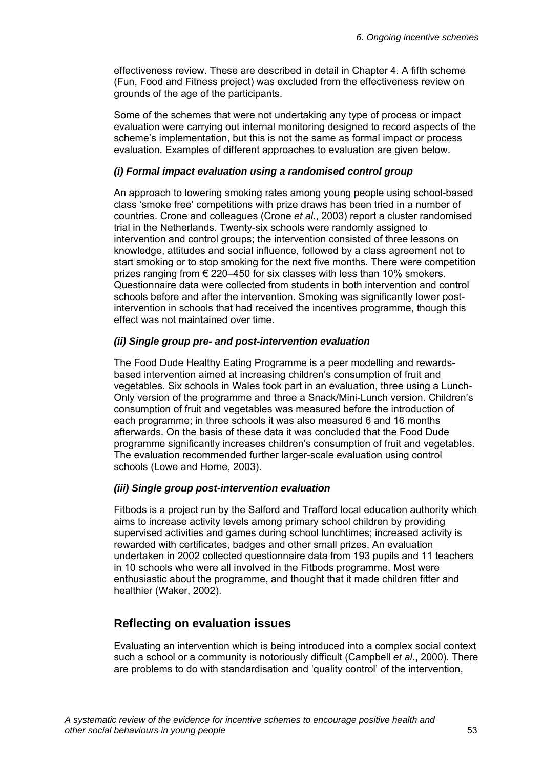effectiveness review. These are described in detail in Chapter 4. A fifth scheme (Fun, Food and Fitness project) was excluded from the effectiveness review on grounds of the age of the participants.

Some of the schemes that were not undertaking any type of process or impact evaluation were carrying out internal monitoring designed to record aspects of the scheme's implementation, but this is not the same as formal impact or process evaluation. Examples of different approaches to evaluation are given below.

## *(i) Formal impact evaluation using a randomised control group*

An approach to lowering smoking rates among young people using school-based class 'smoke free' competitions with prize draws has been tried in a number of countries. Crone and colleagues (Crone *et al.*, 2003) report a cluster randomised trial in the Netherlands. Twenty-six schools were randomly assigned to intervention and control groups; the intervention consisted of three lessons on knowledge, attitudes and social influence, followed by a class agreement not to start smoking or to stop smoking for the next five months. There were competition prizes ranging from  $\epsilon$  220–450 for six classes with less than 10% smokers. Questionnaire data were collected from students in both intervention and control schools before and after the intervention. Smoking was significantly lower postintervention in schools that had received the incentives programme, though this effect was not maintained over time.

## *(ii) Single group pre- and post-intervention evaluation*

The Food Dude Healthy Eating Programme is a peer modelling and rewardsbased intervention aimed at increasing children's consumption of fruit and vegetables. Six schools in Wales took part in an evaluation, three using a Lunch-Only version of the programme and three a Snack/Mini-Lunch version. Children's consumption of fruit and vegetables was measured before the introduction of each programme; in three schools it was also measured 6 and 16 months afterwards. On the basis of these data it was concluded that the Food Dude programme significantly increases children's consumption of fruit and vegetables. The evaluation recommended further larger-scale evaluation using control schools (Lowe and Horne, 2003).

## *(iii) Single group post-intervention evaluation*

Fitbods is a project run by the Salford and Trafford local education authority which aims to increase activity levels among primary school children by providing supervised activities and games during school lunchtimes; increased activity is rewarded with certificates, badges and other small prizes. An evaluation undertaken in 2002 collected questionnaire data from 193 pupils and 11 teachers in 10 schools who were all involved in the Fitbods programme. Most were enthusiastic about the programme, and thought that it made children fitter and healthier (Waker, 2002).

## **Reflecting on evaluation issues**

Evaluating an intervention which is being introduced into a complex social context such a school or a community is notoriously difficult (Campbell *et al.*, 2000). There are problems to do with standardisation and 'quality control' of the intervention,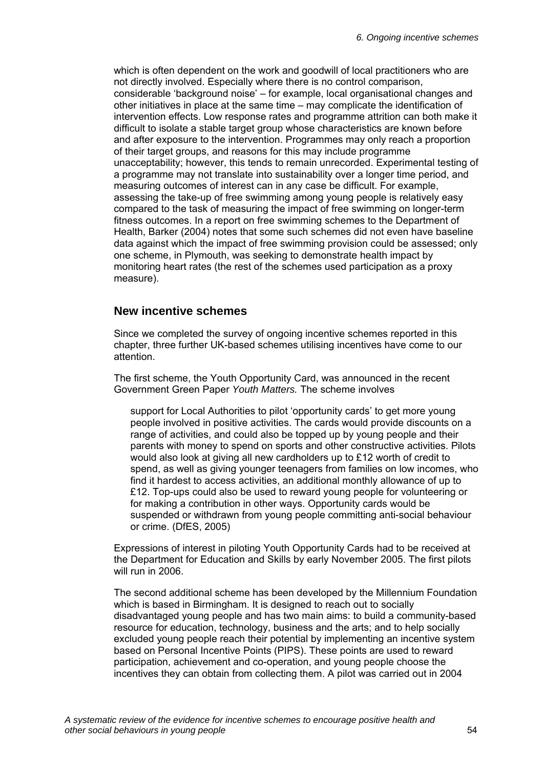which is often dependent on the work and goodwill of local practitioners who are not directly involved. Especially where there is no control comparison, considerable 'background noise' – for example, local organisational changes and other initiatives in place at the same time – may complicate the identification of intervention effects. Low response rates and programme attrition can both make it difficult to isolate a stable target group whose characteristics are known before and after exposure to the intervention. Programmes may only reach a proportion of their target groups, and reasons for this may include programme unacceptability; however, this tends to remain unrecorded. Experimental testing of a programme may not translate into sustainability over a longer time period, and measuring outcomes of interest can in any case be difficult. For example, assessing the take-up of free swimming among young people is relatively easy compared to the task of measuring the impact of free swimming on longer-term fitness outcomes. In a report on free swimming schemes to the Department of Health, Barker (2004) notes that some such schemes did not even have baseline data against which the impact of free swimming provision could be assessed; only one scheme, in Plymouth, was seeking to demonstrate health impact by monitoring heart rates (the rest of the schemes used participation as a proxy measure).

## **New incentive schemes**

Since we completed the survey of ongoing incentive schemes reported in this chapter, three further UK-based schemes utilising incentives have come to our attention.

The first scheme, the Youth Opportunity Card, was announced in the recent Government Green Paper *Youth Matters.* The scheme involves

support for Local Authorities to pilot 'opportunity cards' to get more young people involved in positive activities. The cards would provide discounts on a range of activities, and could also be topped up by young people and their parents with money to spend on sports and other constructive activities. Pilots would also look at giving all new cardholders up to £12 worth of credit to spend, as well as giving younger teenagers from families on low incomes, who find it hardest to access activities, an additional monthly allowance of up to £12. Top-ups could also be used to reward young people for volunteering or for making a contribution in other ways. Opportunity cards would be suspended or withdrawn from young people committing anti-social behaviour or crime. (DfES, 2005)

Expressions of interest in piloting Youth Opportunity Cards had to be received at the Department for Education and Skills by early November 2005. The first pilots will run in 2006.

The second additional scheme has been developed by the Millennium Foundation which is based in Birmingham. It is designed to reach out to socially disadvantaged young people and has two main aims: to build a community-based resource for education, technology, business and the arts; and to help socially excluded young people reach their potential by implementing an incentive system based on Personal Incentive Points (PIPS). These points are used to reward participation, achievement and co-operation, and young people choose the incentives they can obtain from collecting them. A pilot was carried out in 2004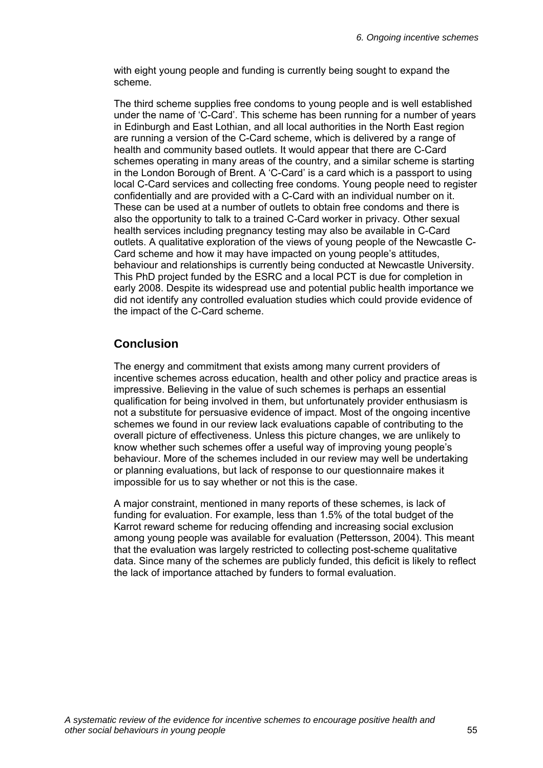with eight young people and funding is currently being sought to expand the scheme.

The third scheme supplies free condoms to young people and is well established under the name of 'C-Card'. This scheme has been running for a number of years in Edinburgh and East Lothian, and all local authorities in the North East region are running a version of the C-Card scheme, which is delivered by a range of health and community based outlets. It would appear that there are C-Card schemes operating in many areas of the country, and a similar scheme is starting in the London Borough of Brent. A 'C-Card' is a card which is a passport to using local C-Card services and collecting free condoms. Young people need to register confidentially and are provided with a C-Card with an individual number on it. These can be used at a number of outlets to obtain free condoms and there is also the opportunity to talk to a trained C-Card worker in privacy. Other sexual health services including pregnancy testing may also be available in C-Card outlets. A qualitative exploration of the views of young people of the Newcastle C-Card scheme and how it may have impacted on young people's attitudes, behaviour and relationships is currently being conducted at Newcastle University. This PhD project funded by the ESRC and a local PCT is due for completion in early 2008. Despite its widespread use and potential public health importance we did not identify any controlled evaluation studies which could provide evidence of the impact of the C-Card scheme.

## **Conclusion**

The energy and commitment that exists among many current providers of incentive schemes across education, health and other policy and practice areas is impressive. Believing in the value of such schemes is perhaps an essential qualification for being involved in them, but unfortunately provider enthusiasm is not a substitute for persuasive evidence of impact. Most of the ongoing incentive schemes we found in our review lack evaluations capable of contributing to the overall picture of effectiveness. Unless this picture changes, we are unlikely to know whether such schemes offer a useful way of improving young people's behaviour. More of the schemes included in our review may well be undertaking or planning evaluations, but lack of response to our questionnaire makes it impossible for us to say whether or not this is the case.

A major constraint, mentioned in many reports of these schemes, is lack of funding for evaluation. For example, less than 1.5% of the total budget of the Karrot reward scheme for reducing offending and increasing social exclusion among young people was available for evaluation (Pettersson, 2004). This meant that the evaluation was largely restricted to collecting post-scheme qualitative data. Since many of the schemes are publicly funded, this deficit is likely to reflect the lack of importance attached by funders to formal evaluation.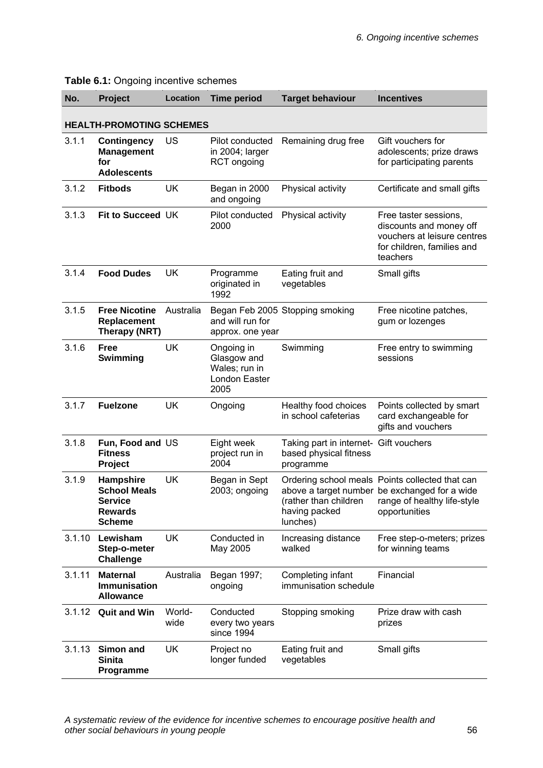| No.    | Project                                                                               | <b>Location</b> | <b>Time period</b>                                                  | <b>Target behaviour</b>                                                       | <b>Incentives</b>                                                                                                                                |
|--------|---------------------------------------------------------------------------------------|-----------------|---------------------------------------------------------------------|-------------------------------------------------------------------------------|--------------------------------------------------------------------------------------------------------------------------------------------------|
|        | <b>HEALTH-PROMOTING SCHEMES</b>                                                       |                 |                                                                     |                                                                               |                                                                                                                                                  |
| 3.1.1  | <b>Contingency</b><br><b>Management</b><br>for<br><b>Adolescents</b>                  | <b>US</b>       | Pilot conducted<br>in 2004; larger<br><b>RCT</b> ongoing            | Remaining drug free                                                           | Gift vouchers for<br>adolescents; prize draws<br>for participating parents                                                                       |
| 3.1.2  | <b>Fitbods</b>                                                                        | <b>UK</b>       | Began in 2000<br>and ongoing                                        | Physical activity                                                             | Certificate and small gifts                                                                                                                      |
| 3.1.3  | Fit to Succeed UK                                                                     |                 | Pilot conducted<br>2000                                             | Physical activity                                                             | Free taster sessions,<br>discounts and money off<br>vouchers at leisure centres<br>for children, families and<br>teachers                        |
| 3.1.4  | <b>Food Dudes</b>                                                                     | <b>UK</b>       | Programme<br>originated in<br>1992                                  | Eating fruit and<br>vegetables                                                | Small gifts                                                                                                                                      |
| 3.1.5  | <b>Free Nicotine</b><br>Replacement<br>Therapy (NRT)                                  | Australia       | and will run for<br>approx. one year                                | Began Feb 2005 Stopping smoking                                               | Free nicotine patches,<br>gum or lozenges                                                                                                        |
| 3.1.6  | <b>Free</b><br>Swimming                                                               | <b>UK</b>       | Ongoing in<br>Glasgow and<br>Wales; run in<br>London Easter<br>2005 | Swimming                                                                      | Free entry to swimming<br>sessions                                                                                                               |
| 3.1.7  | <b>Fuelzone</b>                                                                       | <b>UK</b>       | Ongoing                                                             | Healthy food choices<br>in school cafeterias                                  | Points collected by smart<br>card exchangeable for<br>gifts and vouchers                                                                         |
| 3.1.8  | Fun, Food and US<br><b>Fitness</b><br>Project                                         |                 | Eight week<br>project run in<br>2004                                | Taking part in internet- Gift vouchers<br>based physical fitness<br>programme |                                                                                                                                                  |
| 3.1.9  | Hampshire<br><b>School Meals</b><br><b>Service</b><br><b>Rewards</b><br><b>Scheme</b> | <b>UK</b>       | Began in Sept<br>2003; ongoing                                      | (rather than children<br>having packed<br>lunches)                            | Ordering school meals Points collected that can<br>above a target number be exchanged for a wide<br>range of healthy life-style<br>opportunities |
| 3.1.10 | Lewisham<br>Step-o-meter<br><b>Challenge</b>                                          | <b>UK</b>       | Conducted in<br>May 2005                                            | Increasing distance<br>walked                                                 | Free step-o-meters; prizes<br>for winning teams                                                                                                  |
| 3.1.11 | <b>Maternal</b><br><b>Immunisation</b><br><b>Allowance</b>                            | Australia       | Began 1997;<br>ongoing                                              | Completing infant<br>immunisation schedule                                    | Financial                                                                                                                                        |
| 3.1.12 | <b>Quit and Win</b>                                                                   | World-<br>wide  | Conducted<br>every two years<br>since 1994                          | Stopping smoking                                                              | Prize draw with cash<br>prizes                                                                                                                   |
| 3.1.13 | Simon and<br><b>Sinita</b><br>Programme                                               | <b>UK</b>       | Project no<br>longer funded                                         | Eating fruit and<br>vegetables                                                | Small gifts                                                                                                                                      |

**Table 6.1:** Ongoing incentive schemes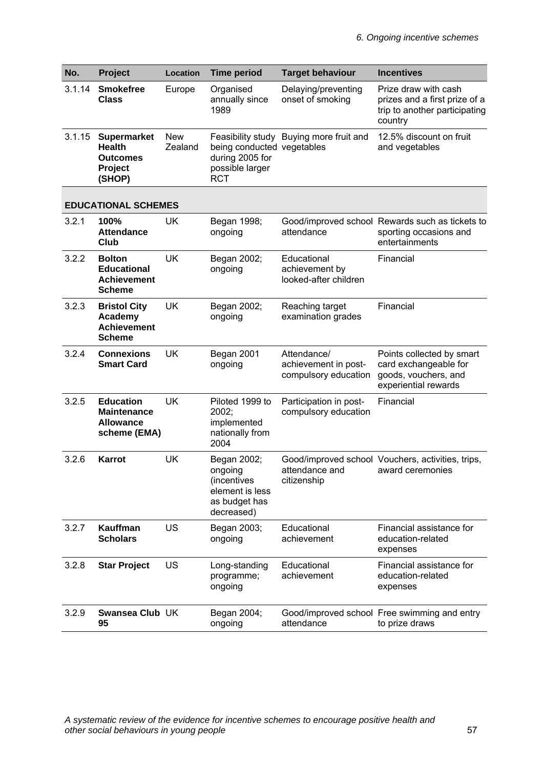| No.    | Project                                                                     | Location              | <b>Time period</b>                                                                      | <b>Target behaviour</b>                                     | <b>Incentives</b>                                                                                  |
|--------|-----------------------------------------------------------------------------|-----------------------|-----------------------------------------------------------------------------------------|-------------------------------------------------------------|----------------------------------------------------------------------------------------------------|
| 3.1.14 | <b>Smokefree</b><br><b>Class</b>                                            | Europe                | Organised<br>annually since<br>1989                                                     | Delaying/preventing<br>onset of smoking                     | Prize draw with cash<br>prizes and a first prize of a<br>trip to another participating<br>country  |
| 3.1.15 | <b>Supermarket</b><br><b>Health</b><br><b>Outcomes</b><br>Project<br>(SHOP) | <b>New</b><br>Zealand | being conducted vegetables<br>during 2005 for<br>possible larger<br><b>RCT</b>          | Feasibility study Buying more fruit and                     | 12.5% discount on fruit<br>and vegetables                                                          |
|        | <b>EDUCATIONAL SCHEMES</b>                                                  |                       |                                                                                         |                                                             |                                                                                                    |
| 3.2.1  | 100%<br><b>Attendance</b><br>Club                                           | <b>UK</b>             | Began 1998;<br>ongoing                                                                  | attendance                                                  | Good/improved school Rewards such as tickets to<br>sporting occasions and<br>entertainments        |
| 3.2.2  | <b>Bolton</b><br><b>Educational</b><br><b>Achievement</b><br><b>Scheme</b>  | <b>UK</b>             | Began 2002;<br>ongoing                                                                  | Educational<br>achievement by<br>looked-after children      | Financial                                                                                          |
| 3.2.3  | <b>Bristol City</b><br>Academy<br><b>Achievement</b><br><b>Scheme</b>       | <b>UK</b>             | Began 2002;<br>ongoing                                                                  | Reaching target<br>examination grades                       | Financial                                                                                          |
| 3.2.4  | <b>Connexions</b><br><b>Smart Card</b>                                      | <b>UK</b>             | Began 2001<br>ongoing                                                                   | Attendance/<br>achievement in post-<br>compulsory education | Points collected by smart<br>card exchangeable for<br>goods, vouchers, and<br>experiential rewards |
| 3.2.5  | <b>Education</b><br><b>Maintenance</b><br><b>Allowance</b><br>scheme (EMA)  | <b>UK</b>             | Piloted 1999 to<br>2002;<br>implemented<br>nationally from<br>2004                      | Participation in post-<br>compulsory education              | Financial                                                                                          |
| 3.2.6  | <b>Karrot</b>                                                               | <b>UK</b>             | Began 2002;<br>ongoing<br>(incentives<br>element is less<br>as budget has<br>decreased) | attendance and<br>citizenship                               | Good/improved school Vouchers, activities, trips,<br>award ceremonies                              |
| 3.2.7  | Kauffman<br><b>Scholars</b>                                                 | <b>US</b>             | Began 2003;<br>ongoing                                                                  | Educational<br>achievement                                  | Financial assistance for<br>education-related<br>expenses                                          |
| 3.2.8  | <b>Star Project</b>                                                         | US                    | Long-standing<br>programme;<br>ongoing                                                  | Educational<br>achievement                                  | Financial assistance for<br>education-related<br>expenses                                          |
| 3.2.9  | Swansea Club UK<br>95                                                       |                       | Began 2004;<br>ongoing                                                                  | attendance                                                  | Good/improved school Free swimming and entry<br>to prize draws                                     |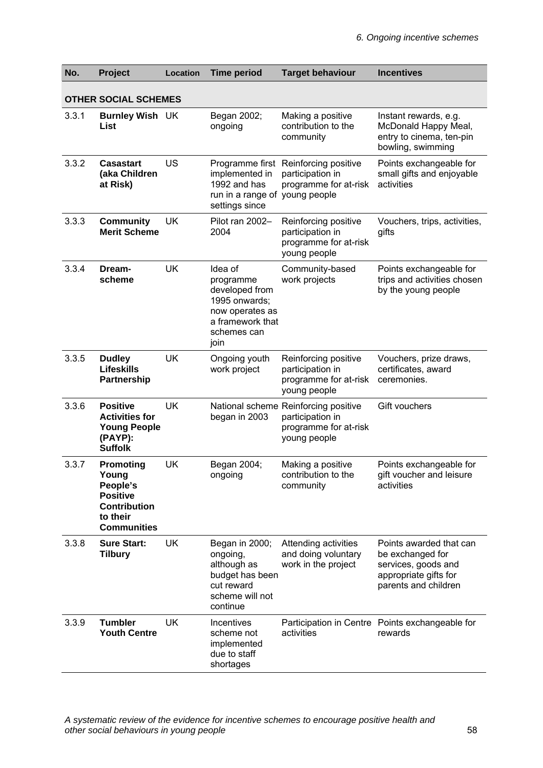| No.   | Project                                                                                                           | Location  | <b>Time period</b>                                                                                                    | <b>Target behaviour</b>                                                                           | <b>Incentives</b>                                                                                                   |
|-------|-------------------------------------------------------------------------------------------------------------------|-----------|-----------------------------------------------------------------------------------------------------------------------|---------------------------------------------------------------------------------------------------|---------------------------------------------------------------------------------------------------------------------|
|       | <b>OTHER SOCIAL SCHEMES</b>                                                                                       |           |                                                                                                                       |                                                                                                   |                                                                                                                     |
| 3.3.1 | <b>Burnley Wish UK</b><br>List                                                                                    |           | Began 2002;<br>ongoing                                                                                                | Making a positive<br>contribution to the<br>community                                             | Instant rewards, e.g.<br>McDonald Happy Meal,<br>entry to cinema, ten-pin<br>bowling, swimming                      |
| 3.3.2 | <b>Casastart</b><br>(aka Children<br>at Risk)                                                                     | US        | Programme first<br>implemented in<br>1992 and has<br>run in a range of<br>settings since                              | Reinforcing positive<br>participation in<br>programme for at-risk<br>young people                 | Points exchangeable for<br>small gifts and enjoyable<br>activities                                                  |
| 3.3.3 | <b>Community</b><br><b>Merit Scheme</b>                                                                           | UK        | Pilot ran 2002-<br>2004                                                                                               | Reinforcing positive<br>participation in<br>programme for at-risk<br>young people                 | Vouchers, trips, activities,<br>gifts                                                                               |
| 3.3.4 | Dream-<br>scheme                                                                                                  | <b>UK</b> | Idea of<br>programme<br>developed from<br>1995 onwards;<br>now operates as<br>a framework that<br>schemes can<br>join | Community-based<br>work projects                                                                  | Points exchangeable for<br>trips and activities chosen<br>by the young people                                       |
| 3.3.5 | <b>Dudley</b><br><b>Lifeskills</b><br><b>Partnership</b>                                                          | <b>UK</b> | Ongoing youth<br>work project                                                                                         | Reinforcing positive<br>participation in<br>programme for at-risk<br>young people                 | Vouchers, prize draws,<br>certificates, award<br>ceremonies.                                                        |
| 3.3.6 | <b>Positive</b><br><b>Activities for</b><br><b>Young People</b><br>(PAYP):<br><b>Suffolk</b>                      | <b>UK</b> | began in 2003                                                                                                         | National scheme Reinforcing positive<br>participation in<br>programme for at-risk<br>young people | Gift vouchers                                                                                                       |
| 3.3.7 | <b>Promoting</b><br>Young<br>People's<br><b>Positive</b><br><b>Contribution</b><br>to their<br><b>Communities</b> | <b>UK</b> | Began 2004;<br>ongoing                                                                                                | Making a positive<br>contribution to the<br>community                                             | Points exchangeable for<br>gift voucher and leisure<br>activities                                                   |
| 3.3.8 | <b>Sure Start:</b><br><b>Tilbury</b>                                                                              | <b>UK</b> | Began in 2000;<br>ongoing,<br>although as<br>budget has been<br>cut reward<br>scheme will not<br>continue             | Attending activities<br>and doing voluntary<br>work in the project                                | Points awarded that can<br>be exchanged for<br>services, goods and<br>appropriate gifts for<br>parents and children |
| 3.3.9 | <b>Tumbler</b><br><b>Youth Centre</b>                                                                             | <b>UK</b> | Incentives<br>scheme not<br>implemented<br>due to staff<br>shortages                                                  | activities                                                                                        | Participation in Centre Points exchangeable for<br>rewards                                                          |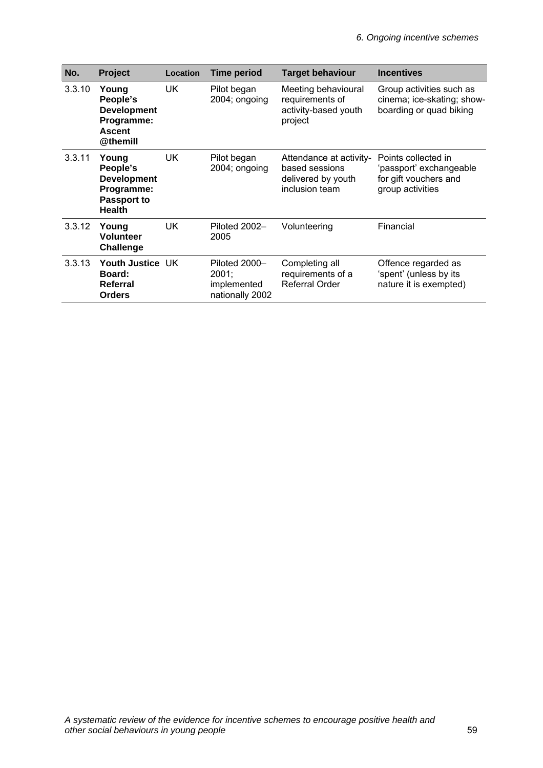| No.    | Project                                                                               | Location | <b>Time period</b>                                       | <b>Target behaviour</b>                                                           | <b>Incentives</b>                                                                           |
|--------|---------------------------------------------------------------------------------------|----------|----------------------------------------------------------|-----------------------------------------------------------------------------------|---------------------------------------------------------------------------------------------|
| 3.3.10 | Young<br>People's<br><b>Development</b><br>Programme:<br><b>Ascent</b><br>@themill    | UK.      | Pilot began<br>2004; ongoing                             | Meeting behavioural<br>requirements of<br>activity-based youth<br>project         | Group activities such as<br>cinema; ice-skating; show-<br>boarding or quad biking           |
| 3.3.11 | Young<br>People's<br><b>Development</b><br>Programme:<br>Passport to<br><b>Health</b> | UK.      | Pilot began<br>2004; ongoing                             | Attendance at activity-<br>based sessions<br>delivered by youth<br>inclusion team | Points collected in<br>'passport' exchangeable<br>for gift vouchers and<br>group activities |
| 3.3.12 | Young<br><b>Volunteer</b><br><b>Challenge</b>                                         | UK.      | Piloted 2002-<br>2005                                    | Volunteering                                                                      | Financial                                                                                   |
| 3.3.13 | Youth Justice UK<br><b>Board:</b><br>Referral<br><b>Orders</b>                        |          | Piloted 2000-<br>2001;<br>implemented<br>nationally 2002 | Completing all<br>requirements of a<br><b>Referral Order</b>                      | Offence regarded as<br>'spent' (unless by its<br>nature it is exempted)                     |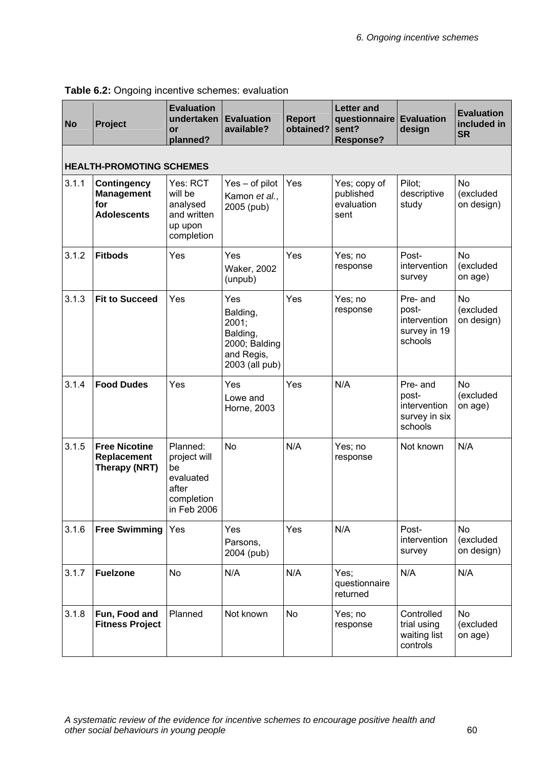| <b>No</b> | Project                                                              | <b>Evaluation</b><br>undertaken<br>or<br>planned?                                 | <b>Evaluation</b><br>available?                                                       | <b>Report</b><br>obtained? | <b>Letter and</b><br>questionnaire Evaluation<br>sent?<br><b>Response?</b> | design                                                        | <b>Evaluation</b><br>included in<br><b>SR</b> |  |  |  |  |
|-----------|----------------------------------------------------------------------|-----------------------------------------------------------------------------------|---------------------------------------------------------------------------------------|----------------------------|----------------------------------------------------------------------------|---------------------------------------------------------------|-----------------------------------------------|--|--|--|--|
|           | <b>HEALTH-PROMOTING SCHEMES</b>                                      |                                                                                   |                                                                                       |                            |                                                                            |                                                               |                                               |  |  |  |  |
| 3.1.1     | <b>Contingency</b><br><b>Management</b><br>for<br><b>Adolescents</b> | Yes: RCT<br>will be<br>analysed<br>and written<br>up upon<br>completion           | Yes - of pilot<br>Kamon et al.,<br>2005 (pub)                                         | Yes                        | Yes; copy of<br>published<br>evaluation<br>sent                            | Pilot;<br>descriptive<br>study                                | <b>No</b><br>(excluded<br>on design)          |  |  |  |  |
| 3.1.2     | <b>Fitbods</b>                                                       | Yes                                                                               | Yes<br><b>Waker, 2002</b><br>(unpub)                                                  | Yes                        | Yes; no<br>response                                                        | Post-<br>intervention<br>survey                               | <b>No</b><br>(excluded<br>on age)             |  |  |  |  |
| 3.1.3     | <b>Fit to Succeed</b>                                                | Yes                                                                               | Yes<br>Balding,<br>2001;<br>Balding,<br>2000; Balding<br>and Regis,<br>2003 (all pub) | Yes                        | Yes; no<br>response                                                        | Pre- and<br>post-<br>intervention<br>survey in 19<br>schools  | <b>No</b><br>(excluded<br>on design)          |  |  |  |  |
| 3.1.4     | <b>Food Dudes</b>                                                    | Yes                                                                               | Yes<br>Lowe and<br>Horne, 2003                                                        | Yes                        | N/A                                                                        | Pre- and<br>post-<br>intervention<br>survey in six<br>schools | N <sub>o</sub><br>(excluded<br>on age)        |  |  |  |  |
| 3.1.5     | <b>Free Nicotine</b><br>Replacement<br>Therapy (NRT)                 | Planned:<br>project will<br>be<br>evaluated<br>after<br>completion<br>in Feb 2006 | <b>No</b>                                                                             | N/A                        | Yes; no<br>response                                                        | Not known                                                     | N/A                                           |  |  |  |  |
| 3.1.6     | <b>Free Swimming</b>                                                 | Yes                                                                               | Yes<br>Parsons,<br>2004 (pub)                                                         | Yes                        | N/A                                                                        | Post-<br>intervention<br>survey                               | <b>No</b><br>(excluded<br>on design)          |  |  |  |  |
| 3.1.7     | <b>Fuelzone</b>                                                      | <b>No</b>                                                                         | N/A                                                                                   | N/A                        | Yes;<br>questionnaire<br>returned                                          | N/A                                                           | N/A                                           |  |  |  |  |
| 3.1.8     | Fun, Food and<br><b>Fitness Project</b>                              | Planned                                                                           | Not known                                                                             | <b>No</b>                  | Yes; no<br>response                                                        | Controlled<br>trial using<br>waiting list<br>controls         | <b>No</b><br>(excluded<br>on age)             |  |  |  |  |

## **Table 6.2:** Ongoing incentive schemes: evaluation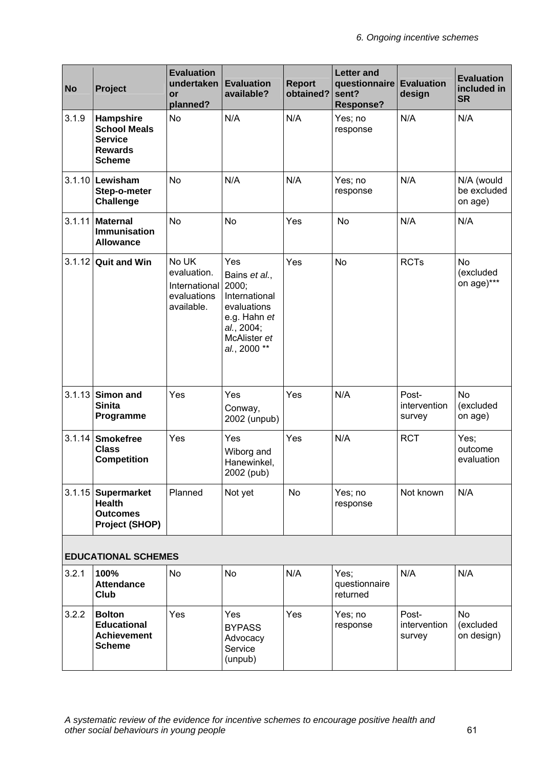| <b>No</b> | Project                                                                               | <b>Evaluation</b><br>undertaken<br>or<br>planned?                  | <b>Evaluation</b><br>available?                                                                                             | <b>Report</b><br>obtained? | <b>Letter and</b><br>questionnaire Evaluation<br>sent?<br><b>Response?</b> | design                          | <b>Evaluation</b><br>included in<br><b>SR</b> |
|-----------|---------------------------------------------------------------------------------------|--------------------------------------------------------------------|-----------------------------------------------------------------------------------------------------------------------------|----------------------------|----------------------------------------------------------------------------|---------------------------------|-----------------------------------------------|
| 3.1.9     | Hampshire<br><b>School Meals</b><br><b>Service</b><br><b>Rewards</b><br><b>Scheme</b> | No                                                                 | N/A                                                                                                                         | N/A                        | Yes; no<br>response                                                        | N/A                             | N/A                                           |
| 3.1.10    | Lewisham<br>Step-o-meter<br><b>Challenge</b>                                          | <b>No</b>                                                          | N/A                                                                                                                         | N/A                        | Yes; no<br>response                                                        | N/A                             | N/A (would<br>be excluded<br>on age)          |
| 3.1.11    | <b>Maternal</b><br><b>Immunisation</b><br><b>Allowance</b>                            | <b>No</b>                                                          | <b>No</b>                                                                                                                   | Yes                        | No                                                                         | N/A                             | N/A                                           |
| 3.1.12    | <b>Quit and Win</b>                                                                   | No UK<br>evaluation.<br>International<br>evaluations<br>available. | Yes<br>Bains et al.,<br>2000;<br>International<br>evaluations<br>e.g. Hahn et<br>al., 2004;<br>McAlister et<br>al., 2000 ** | Yes                        | No                                                                         | <b>RCTs</b>                     | <b>No</b><br>(excluded<br>on age)***          |
| 3.1.13    | Simon and<br><b>Sinita</b><br>Programme                                               | Yes                                                                | Yes<br>Conway,<br>2002 (unpub)                                                                                              | Yes                        | N/A                                                                        | Post-<br>intervention<br>survey | <b>No</b><br>(excluded<br>on age)             |
| 3.1.14    | <b>Smokefree</b><br><b>Class</b><br><b>Competition</b>                                | Yes                                                                | Yes<br>Wiborg and<br>Hanewinkel.<br>2002 (pub)                                                                              | Yes                        | N/A                                                                        | <b>RCT</b>                      | Yes;<br>outcome<br>evaluation                 |
|           | 3.1.15 Supermarket<br><b>Health</b><br><b>Outcomes</b><br><b>Project (SHOP)</b>       | Planned                                                            | Not yet                                                                                                                     | <b>No</b>                  | Yes; no<br>response                                                        | Not known                       | N/A                                           |
|           | <b>EDUCATIONAL SCHEMES</b>                                                            |                                                                    |                                                                                                                             |                            |                                                                            |                                 |                                               |
| 3.2.1     | 100%<br><b>Attendance</b><br>Club                                                     | <b>No</b>                                                          | <b>No</b>                                                                                                                   | N/A                        | Yes;<br>questionnaire<br>returned                                          | N/A                             | N/A                                           |
| 3.2.2     | <b>Bolton</b><br><b>Educational</b><br><b>Achievement</b><br><b>Scheme</b>            | Yes                                                                | Yes<br><b>BYPASS</b><br>Advocacy<br>Service<br>(unpub)                                                                      | Yes                        | Yes; no<br>response                                                        | Post-<br>intervention<br>survey | <b>No</b><br>(excluded<br>on design)          |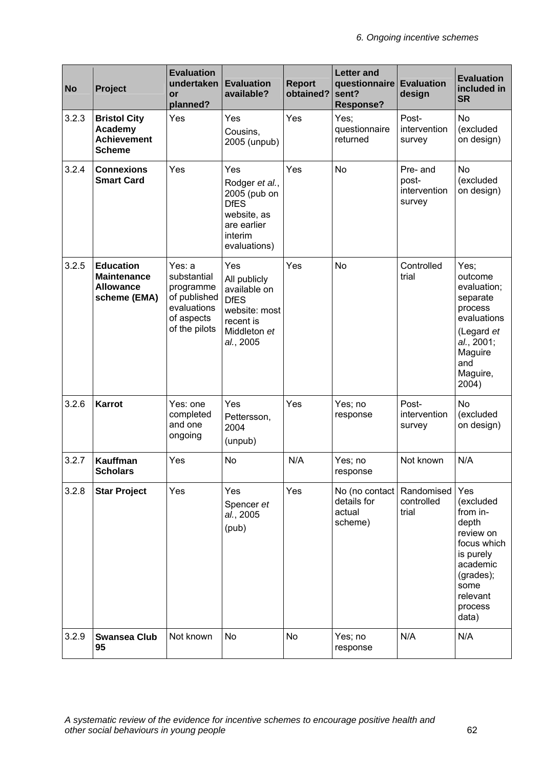| <b>No</b> | Project                                                                    | <b>Evaluation</b><br>undertaken<br>or<br>planned?                                                | <b>Evaluation</b><br>available?                                                                               | <b>Report</b><br>obtained? | <b>Letter and</b><br>questionnaire Evaluation<br>sent?<br><b>Response?</b> | design                                      | <b>Evaluation</b><br>included in<br><b>SR</b>                                                                                                   |
|-----------|----------------------------------------------------------------------------|--------------------------------------------------------------------------------------------------|---------------------------------------------------------------------------------------------------------------|----------------------------|----------------------------------------------------------------------------|---------------------------------------------|-------------------------------------------------------------------------------------------------------------------------------------------------|
| 3.2.3     | <b>Bristol City</b><br>Academy<br><b>Achievement</b><br><b>Scheme</b>      | Yes                                                                                              | Yes<br>Cousins,<br>2005 (unpub)                                                                               | Yes                        | Yes;<br>questionnaire<br>returned                                          | Post-<br>intervention<br>survey             | <b>No</b><br>(excluded<br>on design)                                                                                                            |
| 3.2.4     | <b>Connexions</b><br><b>Smart Card</b>                                     | Yes                                                                                              | Yes<br>Rodger et al.,<br>2005 (pub on<br><b>DfES</b><br>website, as<br>are earlier<br>interim<br>evaluations) | Yes                        | <b>No</b>                                                                  | Pre- and<br>post-<br>intervention<br>survey | <b>No</b><br>(excluded<br>on design)                                                                                                            |
| 3.2.5     | <b>Education</b><br><b>Maintenance</b><br><b>Allowance</b><br>scheme (EMA) | Yes: a<br>substantial<br>programme<br>of published<br>evaluations<br>of aspects<br>of the pilots | Yes<br>All publicly<br>available on<br><b>DfES</b><br>website: most<br>recent is<br>Middleton et<br>al., 2005 | Yes                        | <b>No</b>                                                                  | Controlled<br>trial                         | Yes:<br>outcome<br>evaluation;<br>separate<br>process<br>evaluations<br>(Legard et<br>al., 2001;<br>Maguire<br>and<br>Maguire,<br>2004)         |
| 3.2.6     | Karrot                                                                     | Yes: one<br>completed<br>and one<br>ongoing                                                      | Yes<br>Pettersson,<br>2004<br>(unpub)                                                                         | Yes                        | Yes; no<br>response                                                        | Post-<br>intervention<br>survey             | <b>No</b><br>(excluded<br>on design)                                                                                                            |
| 3.2.7     | Kauffman<br><b>Scholars</b>                                                | Yes                                                                                              | <b>No</b>                                                                                                     | N/A                        | Yes; no<br>response                                                        | Not known                                   | N/A                                                                                                                                             |
| 3.2.8     | <b>Star Project</b>                                                        | Yes                                                                                              | Yes<br>Spencer et<br>al., 2005<br>(pub)                                                                       | Yes                        | No (no contact)<br>details for<br>actual<br>scheme)                        | Randomised<br>controlled<br>trial           | Yes<br>(excluded<br>from in-<br>depth<br>review on<br>focus which<br>is purely<br>academic<br>(grades);<br>some<br>relevant<br>process<br>data) |
| 3.2.9     | <b>Swansea Club</b><br>95                                                  | Not known                                                                                        | No                                                                                                            | No                         | Yes; no<br>response                                                        | N/A                                         | N/A                                                                                                                                             |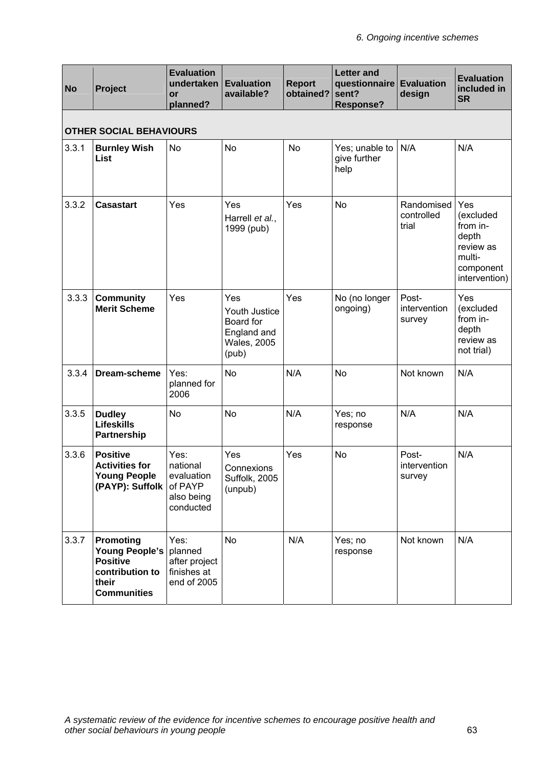| <b>No</b> | Project                                                                                                 | <b>Evaluation</b><br>undertaken<br>or<br>planned?                    | <b>Evaluation</b><br>available?                                                 | <b>Report</b><br>obtained? | <b>Letter and</b><br>questionnaire Evaluation<br>sent?<br><b>Response?</b> | design                            | <b>Evaluation</b><br>included in<br><b>SR</b>                                                     |  |  |  |  |
|-----------|---------------------------------------------------------------------------------------------------------|----------------------------------------------------------------------|---------------------------------------------------------------------------------|----------------------------|----------------------------------------------------------------------------|-----------------------------------|---------------------------------------------------------------------------------------------------|--|--|--|--|
|           | <b>OTHER SOCIAL BEHAVIOURS</b>                                                                          |                                                                      |                                                                                 |                            |                                                                            |                                   |                                                                                                   |  |  |  |  |
| 3.3.1     | <b>Burnley Wish</b><br><b>List</b>                                                                      | <b>No</b>                                                            | <b>No</b>                                                                       | <b>No</b>                  | Yes; unable to<br>give further<br>help                                     | N/A                               | N/A                                                                                               |  |  |  |  |
| 3.3.2     | <b>Casastart</b>                                                                                        | Yes                                                                  | Yes<br>Harrell et al.,<br>1999 (pub)                                            | Yes                        | <b>No</b>                                                                  | Randomised<br>controlled<br>trial | <b>Yes</b><br>(excluded<br>from in-<br>depth<br>review as<br>multi-<br>component<br>intervention) |  |  |  |  |
| 3.3.3     | <b>Community</b><br><b>Merit Scheme</b>                                                                 | Yes                                                                  | Yes<br>Youth Justice<br>Board for<br>England and<br><b>Wales, 2005</b><br>(pub) | Yes                        | No (no longer<br>ongoing)                                                  | Post-<br>intervention<br>survey   | Yes<br>(excluded<br>from in-<br>depth<br>review as<br>not trial)                                  |  |  |  |  |
| 3.3.4     | Dream-scheme                                                                                            | Yes:<br>planned for<br>2006                                          | <b>No</b>                                                                       | N/A                        | <b>No</b>                                                                  | Not known                         | N/A                                                                                               |  |  |  |  |
| 3.3.5     | <b>Dudley</b><br><b>Lifeskills</b><br>Partnership                                                       | <b>No</b>                                                            | <b>No</b>                                                                       | N/A                        | Yes; no<br>response                                                        | N/A                               | N/A                                                                                               |  |  |  |  |
| 3.3.6     | <b>Positive</b><br><b>Activities for</b><br><b>Young People</b><br>(PAYP): Suffolk                      | Yes:<br>national<br>evaluation<br>of PAYP<br>also being<br>conducted | Yes<br>Connexions<br>Suffolk, 2005<br>(unpub)                                   | Yes                        | <b>No</b>                                                                  | Post-<br>intervention<br>survey   | N/A                                                                                               |  |  |  |  |
| 3.3.7     | Promoting<br><b>Young People's</b><br><b>Positive</b><br>contribution to<br>their<br><b>Communities</b> | Yes:<br>planned<br>after project<br>finishes at<br>end of 2005       | No                                                                              | N/A                        | Yes; no<br>response                                                        | Not known                         | N/A                                                                                               |  |  |  |  |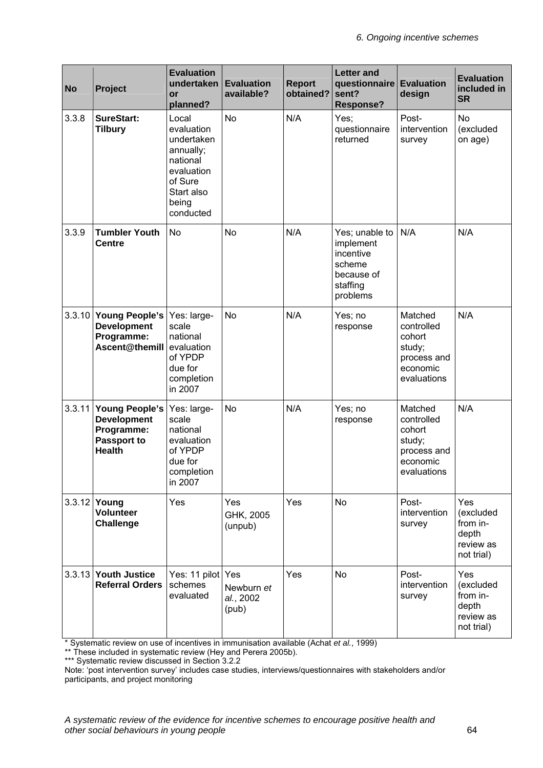| <b>No</b> | Project                                                                                   | <b>Evaluation</b><br>undertaken<br>or<br>planned?                                                                       | <b>Evaluation</b><br>available?  | <b>Report</b><br>obtained? | <b>Letter and</b><br>questionnaire Evaluation<br>sent?<br><b>Response?</b>               | design                                                                              | <b>Evaluation</b><br>included in<br><b>SR</b>                    |
|-----------|-------------------------------------------------------------------------------------------|-------------------------------------------------------------------------------------------------------------------------|----------------------------------|----------------------------|------------------------------------------------------------------------------------------|-------------------------------------------------------------------------------------|------------------------------------------------------------------|
| 3.3.8     | <b>SureStart:</b><br><b>Tilbury</b>                                                       | Local<br>evaluation<br>undertaken<br>annually;<br>national<br>evaluation<br>of Sure<br>Start also<br>being<br>conducted | <b>No</b>                        | N/A                        | Yes;<br>questionnaire<br>returned                                                        | Post-<br>intervention<br>survey                                                     | <b>No</b><br>(excluded<br>on age)                                |
| 3.3.9     | <b>Tumbler Youth</b><br><b>Centre</b>                                                     | <b>No</b>                                                                                                               | No                               | N/A                        | Yes; unable to<br>implement<br>incentive<br>scheme<br>because of<br>staffing<br>problems | N/A                                                                                 | N/A                                                              |
| 3.3.10    | <b>Young People's</b><br><b>Development</b><br>Programme:<br>Ascent@themill               | Yes: large-<br>scale<br>national<br>evaluation<br>of YPDP<br>due for<br>completion<br>in 2007                           | No                               | N/A                        | Yes; no<br>response                                                                      | Matched<br>controlled<br>cohort<br>study;<br>process and<br>economic<br>evaluations | N/A                                                              |
| 3.3.11    | <b>Young People's</b><br><b>Development</b><br>Programme:<br>Passport to<br><b>Health</b> | Yes: large-<br>scale<br>national<br>evaluation<br>of YPDP<br>due for<br>completion<br>in 2007                           | <b>No</b>                        | N/A                        | Yes; no<br>response                                                                      | Matched<br>controlled<br>cohort<br>study;<br>process and<br>economic<br>evaluations | N/A                                                              |
| 3.3.12    | Young<br><b>Volunteer</b><br><b>Challenge</b>                                             | Yes                                                                                                                     | Yes<br>GHK, 2005<br>(unpub)      | Yes                        | <b>No</b>                                                                                | Post-<br>intervention<br>survey                                                     | Yes<br>(excluded<br>from in-<br>depth<br>review as<br>not trial) |
| 3.3.13    | <b>Youth Justice</b><br><b>Referral Orders</b>                                            | Yes: 11 pilot Yes<br>schemes<br>evaluated                                                                               | Newburn et<br>al., 2002<br>(pub) | Yes                        | No                                                                                       | Post-<br>intervention<br>survey                                                     | Yes<br>(excluded<br>from in-<br>depth<br>review as<br>not trial) |

\* Systematic review on use of incentives in immunisation available (Achat *et al.*, 1999)

\*\* These included in systematic review (Hey and Perera 2005b).

\*\*\* Systematic review discussed in Section 3.2.2

Note: 'post intervention survey' includes case studies, interviews/questionnaires with stakeholders and/or participants, and project monitoring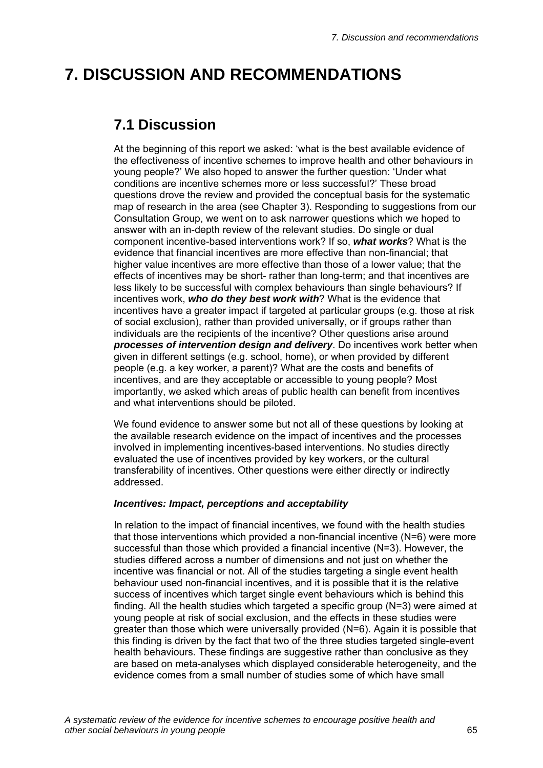# **7. DISCUSSION AND RECOMMENDATIONS**

## **7.1 Discussion**

At the beginning of this report we asked: 'what is the best available evidence of the effectiveness of incentive schemes to improve health and other behaviours in young people?' We also hoped to answer the further question: 'Under what conditions are incentive schemes more or less successful?' These broad questions drove the review and provided the conceptual basis for the systematic map of research in the area (see Chapter 3). Responding to suggestions from our Consultation Group, we went on to ask narrower questions which we hoped to answer with an in-depth review of the relevant studies. Do single or dual component incentive-based interventions work? If so, *what works*? What is the evidence that financial incentives are more effective than non-financial; that higher value incentives are more effective than those of a lower value; that the effects of incentives may be short- rather than long-term; and that incentives are less likely to be successful with complex behaviours than single behaviours? If incentives work, *who do they best work with*? What is the evidence that incentives have a greater impact if targeted at particular groups (e.g. those at risk of social exclusion), rather than provided universally, or if groups rather than individuals are the recipients of the incentive? Other questions arise around *processes of intervention design and delivery*. Do incentives work better when given in different settings (e.g. school, home), or when provided by different people (e.g. a key worker, a parent)? What are the costs and benefits of incentives, and are they acceptable or accessible to young people? Most importantly, we asked which areas of public health can benefit from incentives and what interventions should be piloted.

We found evidence to answer some but not all of these questions by looking at the available research evidence on the impact of incentives and the processes involved in implementing incentives-based interventions. No studies directly evaluated the use of incentives provided by key workers, or the cultural transferability of incentives. Other questions were either directly or indirectly addressed.

## *Incentives: Impact, perceptions and acceptability*

In relation to the impact of financial incentives, we found with the health studies that those interventions which provided a non-financial incentive (N=6) were more successful than those which provided a financial incentive (N=3). However, the studies differed across a number of dimensions and not just on whether the incentive was financial or not. All of the studies targeting a single event health behaviour used non-financial incentives, and it is possible that it is the relative success of incentives which target single event behaviours which is behind this finding. All the health studies which targeted a specific group (N=3) were aimed at young people at risk of social exclusion, and the effects in these studies were greater than those which were universally provided (N=6). Again it is possible that this finding is driven by the fact that two of the three studies targeted single-event health behaviours. These findings are suggestive rather than conclusive as they are based on meta-analyses which displayed considerable heterogeneity, and the evidence comes from a small number of studies some of which have small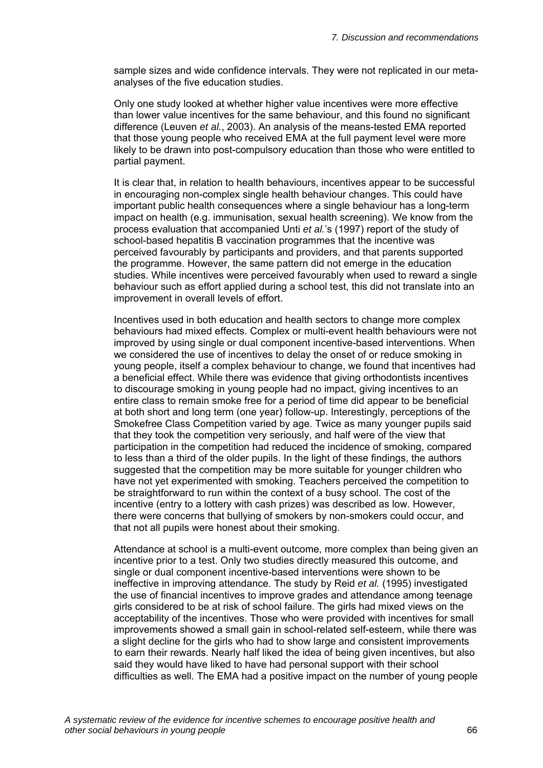sample sizes and wide confidence intervals. They were not replicated in our metaanalyses of the five education studies.

Only one study looked at whether higher value incentives were more effective than lower value incentives for the same behaviour, and this found no significant difference (Leuven *et al.*, 2003). An analysis of the means-tested EMA reported that those young people who received EMA at the full payment level were more likely to be drawn into post-compulsory education than those who were entitled to partial payment.

It is clear that, in relation to health behaviours, incentives appear to be successful in encouraging non-complex single health behaviour changes. This could have important public health consequences where a single behaviour has a long-term impact on health (e.g. immunisation, sexual health screening). We know from the process evaluation that accompanied Unti *et al.*'s (1997) report of the study of school-based hepatitis B vaccination programmes that the incentive was perceived favourably by participants and providers, and that parents supported the programme. However, the same pattern did not emerge in the education studies. While incentives were perceived favourably when used to reward a single behaviour such as effort applied during a school test, this did not translate into an improvement in overall levels of effort.

Incentives used in both education and health sectors to change more complex behaviours had mixed effects. Complex or multi-event health behaviours were not improved by using single or dual component incentive-based interventions. When we considered the use of incentives to delay the onset of or reduce smoking in young people, itself a complex behaviour to change, we found that incentives had a beneficial effect. While there was evidence that giving orthodontists incentives to discourage smoking in young people had no impact, giving incentives to an entire class to remain smoke free for a period of time did appear to be beneficial at both short and long term (one year) follow-up. Interestingly, perceptions of the Smokefree Class Competition varied by age. Twice as many younger pupils said that they took the competition very seriously, and half were of the view that participation in the competition had reduced the incidence of smoking, compared to less than a third of the older pupils. In the light of these findings, the authors suggested that the competition may be more suitable for younger children who have not yet experimented with smoking. Teachers perceived the competition to be straightforward to run within the context of a busy school. The cost of the incentive (entry to a lottery with cash prizes) was described as low. However, there were concerns that bullying of smokers by non-smokers could occur, and that not all pupils were honest about their smoking.

Attendance at school is a multi-event outcome, more complex than being given an incentive prior to a test. Only two studies directly measured this outcome, and single or dual component incentive-based interventions were shown to be ineffective in improving attendance. The study by Reid *et al.* (1995) investigated the use of financial incentives to improve grades and attendance among teenage girls considered to be at risk of school failure. The girls had mixed views on the acceptability of the incentives. Those who were provided with incentives for small improvements showed a small gain in school-related self-esteem, while there was a slight decline for the girls who had to show large and consistent improvements to earn their rewards. Nearly half liked the idea of being given incentives, but also said they would have liked to have had personal support with their school difficulties as well. The EMA had a positive impact on the number of young people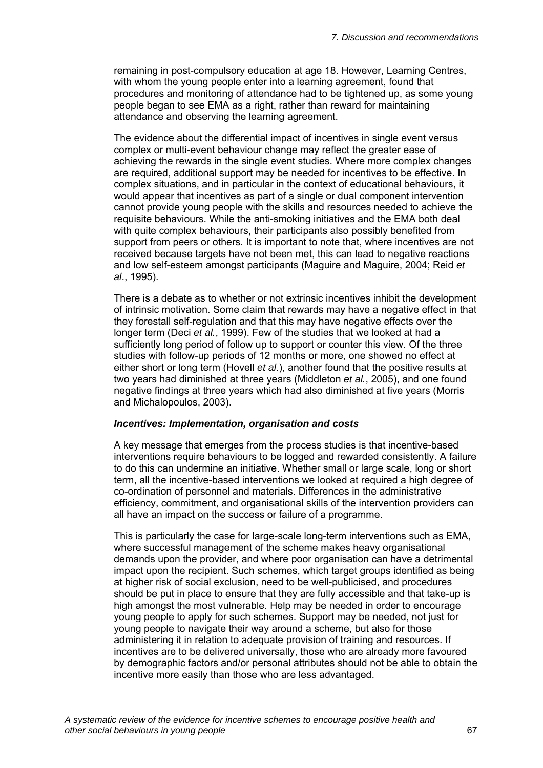remaining in post-compulsory education at age 18. However, Learning Centres, with whom the young people enter into a learning agreement, found that procedures and monitoring of attendance had to be tightened up, as some young people began to see EMA as a right, rather than reward for maintaining attendance and observing the learning agreement.

The evidence about the differential impact of incentives in single event versus complex or multi-event behaviour change may reflect the greater ease of achieving the rewards in the single event studies. Where more complex changes are required, additional support may be needed for incentives to be effective. In complex situations, and in particular in the context of educational behaviours, it would appear that incentives as part of a single or dual component intervention cannot provide young people with the skills and resources needed to achieve the requisite behaviours. While the anti-smoking initiatives and the EMA both deal with quite complex behaviours, their participants also possibly benefited from support from peers or others. It is important to note that, where incentives are not received because targets have not been met, this can lead to negative reactions and low self-esteem amongst participants (Maguire and Maguire, 2004; Reid *et al*., 1995).

There is a debate as to whether or not extrinsic incentives inhibit the development of intrinsic motivation. Some claim that rewards may have a negative effect in that they forestall self-regulation and that this may have negative effects over the longer term (Deci *et al.*, 1999). Few of the studies that we looked at had a sufficiently long period of follow up to support or counter this view. Of the three studies with follow-up periods of 12 months or more, one showed no effect at either short or long term (Hovell *et al*.), another found that the positive results at two years had diminished at three years (Middleton *et al.*, 2005), and one found negative findings at three years which had also diminished at five years (Morris and Michalopoulos, 2003).

## *Incentives: Implementation, organisation and costs*

A key message that emerges from the process studies is that incentive-based interventions require behaviours to be logged and rewarded consistently. A failure to do this can undermine an initiative. Whether small or large scale, long or short term, all the incentive-based interventions we looked at required a high degree of co-ordination of personnel and materials. Differences in the administrative efficiency, commitment, and organisational skills of the intervention providers can all have an impact on the success or failure of a programme.

This is particularly the case for large-scale long-term interventions such as EMA, where successful management of the scheme makes heavy organisational demands upon the provider, and where poor organisation can have a detrimental impact upon the recipient. Such schemes, which target groups identified as being at higher risk of social exclusion, need to be well-publicised, and procedures should be put in place to ensure that they are fully accessible and that take-up is high amongst the most vulnerable. Help may be needed in order to encourage young people to apply for such schemes. Support may be needed, not just for young people to navigate their way around a scheme, but also for those administering it in relation to adequate provision of training and resources. If incentives are to be delivered universally, those who are already more favoured by demographic factors and/or personal attributes should not be able to obtain the incentive more easily than those who are less advantaged.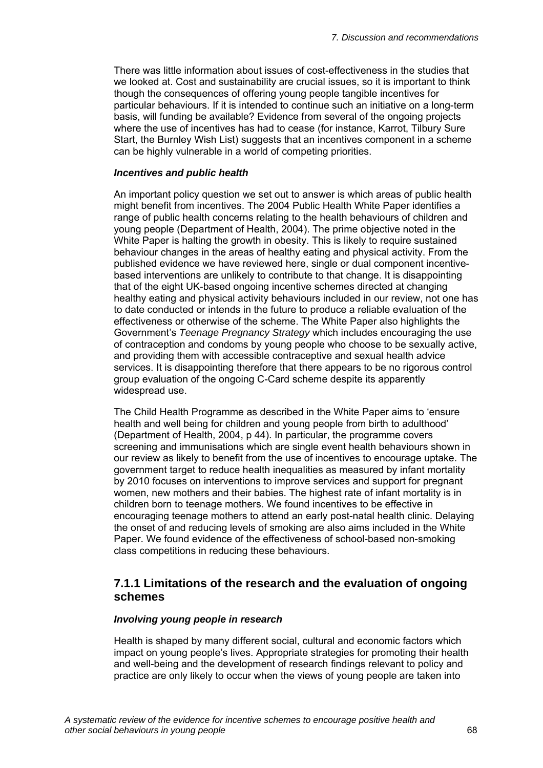There was little information about issues of cost-effectiveness in the studies that we looked at. Cost and sustainability are crucial issues, so it is important to think though the consequences of offering young people tangible incentives for particular behaviours. If it is intended to continue such an initiative on a long-term basis, will funding be available? Evidence from several of the ongoing projects where the use of incentives has had to cease (for instance, Karrot, Tilbury Sure Start, the Burnley Wish List) suggests that an incentives component in a scheme can be highly vulnerable in a world of competing priorities.

## *Incentives and public health*

An important policy question we set out to answer is which areas of public health might benefit from incentives. The 2004 Public Health White Paper identifies a range of public health concerns relating to the health behaviours of children and young people (Department of Health, 2004). The prime objective noted in the White Paper is halting the growth in obesity. This is likely to require sustained behaviour changes in the areas of healthy eating and physical activity. From the published evidence we have reviewed here, single or dual component incentivebased interventions are unlikely to contribute to that change. It is disappointing that of the eight UK-based ongoing incentive schemes directed at changing healthy eating and physical activity behaviours included in our review, not one has to date conducted or intends in the future to produce a reliable evaluation of the effectiveness or otherwise of the scheme. The White Paper also highlights the Government's *Teenage Pregnancy Strategy* which includes encouraging the use of contraception and condoms by young people who choose to be sexually active, and providing them with accessible contraceptive and sexual health advice services. It is disappointing therefore that there appears to be no rigorous control group evaluation of the ongoing C-Card scheme despite its apparently widespread use.

The Child Health Programme as described in the White Paper aims to 'ensure health and well being for children and young people from birth to adulthood' (Department of Health, 2004, p 44). In particular, the programme covers screening and immunisations which are single event health behaviours shown in our review as likely to benefit from the use of incentives to encourage uptake. The government target to reduce health inequalities as measured by infant mortality by 2010 focuses on interventions to improve services and support for pregnant women, new mothers and their babies. The highest rate of infant mortality is in children born to teenage mothers. We found incentives to be effective in encouraging teenage mothers to attend an early post-natal health clinic. Delaying the onset of and reducing levels of smoking are also aims included in the White Paper. We found evidence of the effectiveness of school-based non-smoking class competitions in reducing these behaviours.

## **7.1.1 Limitations of the research and the evaluation of ongoing schemes**

## *Involving young people in research*

Health is shaped by many different social, cultural and economic factors which impact on young people's lives. Appropriate strategies for promoting their health and well-being and the development of research findings relevant to policy and practice are only likely to occur when the views of young people are taken into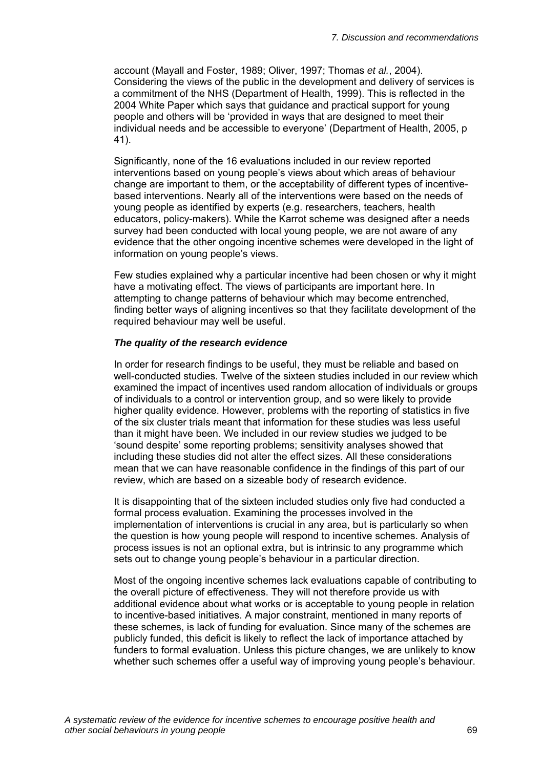account (Mayall and Foster, 1989; Oliver, 1997; Thomas *et al.*, 2004). Considering the views of the public in the development and delivery of services is a commitment of the NHS (Department of Health, 1999). This is reflected in the 2004 White Paper which says that guidance and practical support for young people and others will be 'provided in ways that are designed to meet their individual needs and be accessible to everyone' (Department of Health, 2005, p 41).

Significantly, none of the 16 evaluations included in our review reported interventions based on young people's views about which areas of behaviour change are important to them, or the acceptability of different types of incentivebased interventions. Nearly all of the interventions were based on the needs of young people as identified by experts (e.g. researchers, teachers, health educators, policy-makers). While the Karrot scheme was designed after a needs survey had been conducted with local young people, we are not aware of any evidence that the other ongoing incentive schemes were developed in the light of information on young people's views.

Few studies explained why a particular incentive had been chosen or why it might have a motivating effect. The views of participants are important here. In attempting to change patterns of behaviour which may become entrenched, finding better ways of aligning incentives so that they facilitate development of the required behaviour may well be useful.

## *The quality of the research evidence*

In order for research findings to be useful, they must be reliable and based on well-conducted studies. Twelve of the sixteen studies included in our review which examined the impact of incentives used random allocation of individuals or groups of individuals to a control or intervention group, and so were likely to provide higher quality evidence. However, problems with the reporting of statistics in five of the six cluster trials meant that information for these studies was less useful than it might have been. We included in our review studies we judged to be 'sound despite' some reporting problems; sensitivity analyses showed that including these studies did not alter the effect sizes. All these considerations mean that we can have reasonable confidence in the findings of this part of our review, which are based on a sizeable body of research evidence.

It is disappointing that of the sixteen included studies only five had conducted a formal process evaluation. Examining the processes involved in the implementation of interventions is crucial in any area, but is particularly so when the question is how young people will respond to incentive schemes. Analysis of process issues is not an optional extra, but is intrinsic to any programme which sets out to change young people's behaviour in a particular direction.

Most of the ongoing incentive schemes lack evaluations capable of contributing to the overall picture of effectiveness. They will not therefore provide us with additional evidence about what works or is acceptable to young people in relation to incentive-based initiatives. A major constraint, mentioned in many reports of these schemes, is lack of funding for evaluation. Since many of the schemes are publicly funded, this deficit is likely to reflect the lack of importance attached by funders to formal evaluation. Unless this picture changes, we are unlikely to know whether such schemes offer a useful way of improving young people's behaviour.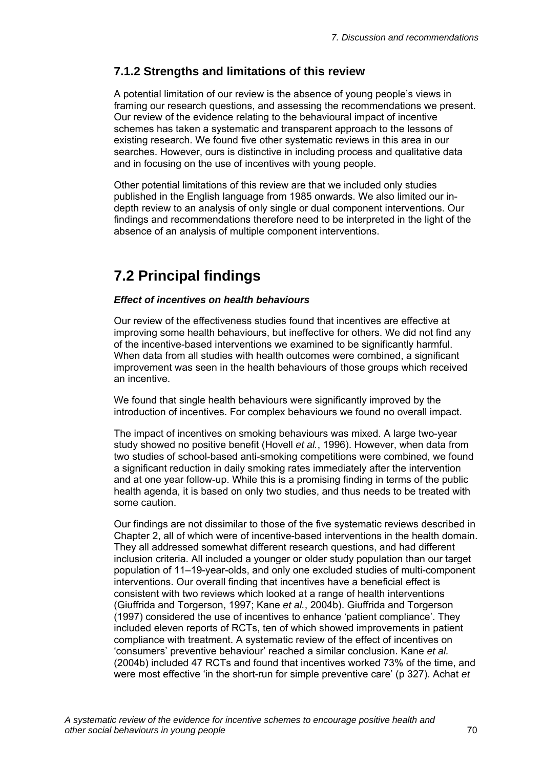# **7.1.2 Strengths and limitations of this review**

A potential limitation of our review is the absence of young people's views in framing our research questions, and assessing the recommendations we present. Our review of the evidence relating to the behavioural impact of incentive schemes has taken a systematic and transparent approach to the lessons of existing research. We found five other systematic reviews in this area in our searches. However, ours is distinctive in including process and qualitative data and in focusing on the use of incentives with young people.

Other potential limitations of this review are that we included only studies published in the English language from 1985 onwards. We also limited our indepth review to an analysis of only single or dual component interventions. Our findings and recommendations therefore need to be interpreted in the light of the absence of an analysis of multiple component interventions.

# **7.2 Principal findings**

## *Effect of incentives on health behaviours*

Our review of the effectiveness studies found that incentives are effective at improving some health behaviours, but ineffective for others. We did not find any of the incentive-based interventions we examined to be significantly harmful. When data from all studies with health outcomes were combined, a significant improvement was seen in the health behaviours of those groups which received an incentive.

We found that single health behaviours were significantly improved by the introduction of incentives. For complex behaviours we found no overall impact.

The impact of incentives on smoking behaviours was mixed. A large two-year study showed no positive benefit (Hovell *et al.*, 1996). However, when data from two studies of school-based anti-smoking competitions were combined, we found a significant reduction in daily smoking rates immediately after the intervention and at one year follow-up. While this is a promising finding in terms of the public health agenda, it is based on only two studies, and thus needs to be treated with some caution.

Our findings are not dissimilar to those of the five systematic reviews described in Chapter 2, all of which were of incentive-based interventions in the health domain. They all addressed somewhat different research questions, and had different inclusion criteria. All included a younger or older study population than our target population of 11–19-year-olds, and only one excluded studies of multi-component interventions. Our overall finding that incentives have a beneficial effect is consistent with two reviews which looked at a range of health interventions (Giuffrida and Torgerson, 1997; Kane *et al.*, 2004b). Giuffrida and Torgerson (1997) considered the use of incentives to enhance 'patient compliance'. They included eleven reports of RCTs, ten of which showed improvements in patient compliance with treatment. A systematic review of the effect of incentives on 'consumers' preventive behaviour' reached a similar conclusion. Kane *et al.*  (2004b) included 47 RCTs and found that incentives worked 73% of the time, and were most effective 'in the short-run for simple preventive care' (p 327). Achat *et*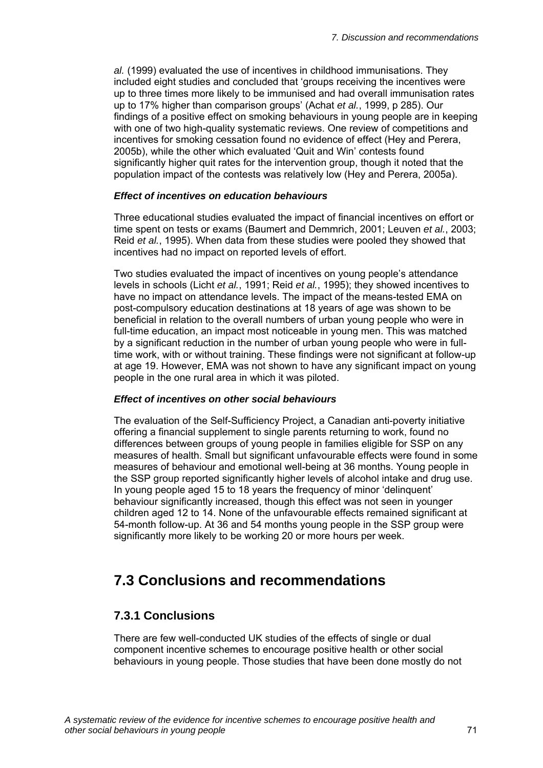*al.* (1999) evaluated the use of incentives in childhood immunisations. They included eight studies and concluded that 'groups receiving the incentives were up to three times more likely to be immunised and had overall immunisation rates up to 17% higher than comparison groups' (Achat *et al.*, 1999, p 285). Our findings of a positive effect on smoking behaviours in young people are in keeping with one of two high-quality systematic reviews. One review of competitions and incentives for smoking cessation found no evidence of effect (Hey and Perera, 2005b), while the other which evaluated 'Quit and Win' contests found significantly higher quit rates for the intervention group, though it noted that the population impact of the contests was relatively low (Hey and Perera, 2005a).

### *Effect of incentives on education behaviours*

Three educational studies evaluated the impact of financial incentives on effort or time spent on tests or exams (Baumert and Demmrich, 2001; Leuven *et al.*, 2003; Reid *et al.*, 1995). When data from these studies were pooled they showed that incentives had no impact on reported levels of effort.

Two studies evaluated the impact of incentives on young people's attendance levels in schools (Licht *et al.*, 1991; Reid *et al.*, 1995); they showed incentives to have no impact on attendance levels. The impact of the means-tested EMA on post-compulsory education destinations at 18 years of age was shown to be beneficial in relation to the overall numbers of urban young people who were in full-time education, an impact most noticeable in young men. This was matched by a significant reduction in the number of urban young people who were in fulltime work, with or without training. These findings were not significant at follow-up at age 19. However, EMA was not shown to have any significant impact on young people in the one rural area in which it was piloted.

### *Effect of incentives on other social behaviours*

The evaluation of the Self-Sufficiency Project, a Canadian anti-poverty initiative offering a financial supplement to single parents returning to work, found no differences between groups of young people in families eligible for SSP on any measures of health. Small but significant unfavourable effects were found in some measures of behaviour and emotional well-being at 36 months. Young people in the SSP group reported significantly higher levels of alcohol intake and drug use. In young people aged 15 to 18 years the frequency of minor 'delinquent' behaviour significantly increased, though this effect was not seen in younger children aged 12 to 14. None of the unfavourable effects remained significant at 54-month follow-up. At 36 and 54 months young people in the SSP group were significantly more likely to be working 20 or more hours per week.

# **7.3 Conclusions and recommendations**

# **7.3.1 Conclusions**

There are few well-conducted UK studies of the effects of single or dual component incentive schemes to encourage positive health or other social behaviours in young people. Those studies that have been done mostly do not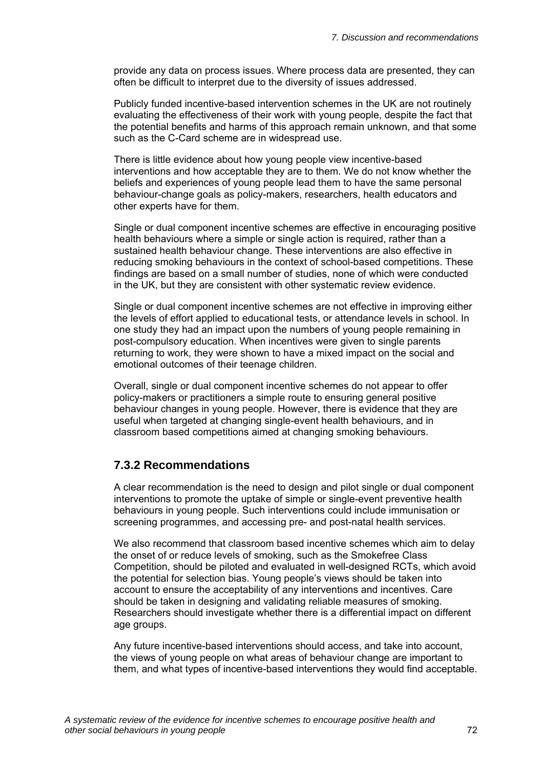provide any data on process issues. Where process data are presented, they can often be difficult to interpret due to the diversity of issues addressed.

Publicly funded incentive-based intervention schemes in the UK are not routinely evaluating the effectiveness of their work with young people, despite the fact that the potential benefits and harms of this approach remain unknown, and that some such as the C-Card scheme are in widespread use.

There is little evidence about how young people view incentive-based interventions and how acceptable they are to them. We do not know whether the beliefs and experiences of young people lead them to have the same personal behaviour-change goals as policy-makers, researchers, health educators and other experts have for them.

Single or dual component incentive schemes are effective in encouraging positive health behaviours where a simple or single action is required, rather than a sustained health behaviour change. These interventions are also effective in reducing smoking behaviours in the context of school-based competitions. These findings are based on a small number of studies, none of which were conducted in the UK, but they are consistent with other systematic review evidence.

Single or dual component incentive schemes are not effective in improving either the levels of effort applied to educational tests, or attendance levels in school. In one study they had an impact upon the numbers of young people remaining in post-compulsory education. When incentives were given to single parents returning to work, they were shown to have a mixed impact on the social and emotional outcomes of their teenage children.

Overall, single or dual component incentive schemes do not appear to offer policy-makers or practitioners a simple route to ensuring general positive behaviour changes in young people. However, there is evidence that they are useful when targeted at changing single-event health behaviours, and in classroom based competitions aimed at changing smoking behaviours.

# **7.3.2 Recommendations**

A clear recommendation is the need to design and pilot single or dual component interventions to promote the uptake of simple or single-event preventive health behaviours in young people. Such interventions could include immunisation or screening programmes, and accessing pre- and post-natal health services.

We also recommend that classroom based incentive schemes which aim to delay the onset of or reduce levels of smoking, such as the Smokefree Class Competition, should be piloted and evaluated in well-designed RCTs, which avoid the potential for selection bias. Young people's views should be taken into account to ensure the acceptability of any interventions and incentives. Care should be taken in designing and validating reliable measures of smoking. Researchers should investigate whether there is a differential impact on different age groups.

Any future incentive-based interventions should access, and take into account, the views of young people on what areas of behaviour change are important to them, and what types of incentive-based interventions they would find acceptable.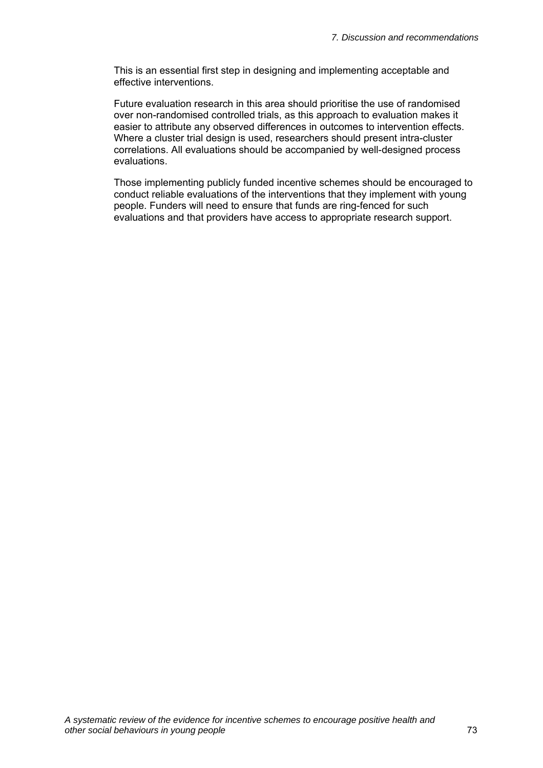This is an essential first step in designing and implementing acceptable and effective interventions.

Future evaluation research in this area should prioritise the use of randomised over non-randomised controlled trials, as this approach to evaluation makes it easier to attribute any observed differences in outcomes to intervention effects. Where a cluster trial design is used, researchers should present intra-cluster correlations. All evaluations should be accompanied by well-designed process evaluations.

Those implementing publicly funded incentive schemes should be encouraged to conduct reliable evaluations of the interventions that they implement with young people. Funders will need to ensure that funds are ring-fenced for such evaluations and that providers have access to appropriate research support.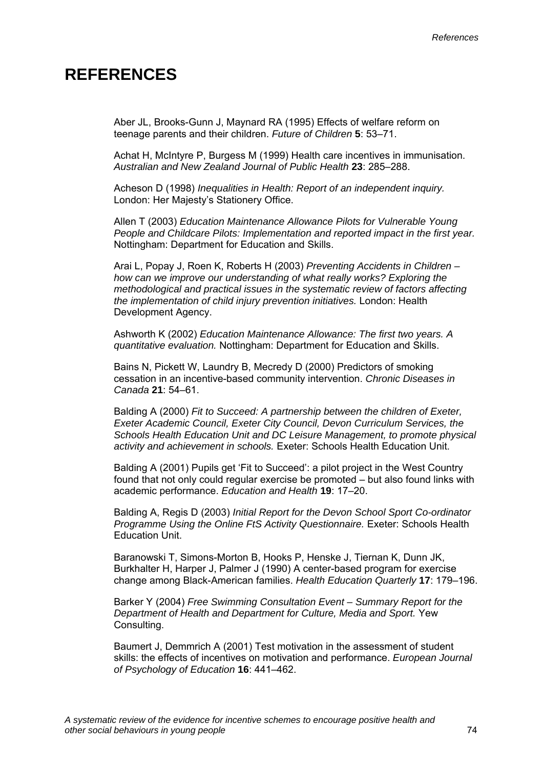# **REFERENCES**

Aber JL, Brooks-Gunn J, Maynard RA (1995) Effects of welfare reform on teenage parents and their children. *Future of Children* **5**: 53–71.

Achat H, McIntyre P, Burgess M (1999) Health care incentives in immunisation. *Australian and New Zealand Journal of Public Health* **23**: 285–288.

Acheson D (1998) *Inequalities in Health: Report of an independent inquiry.*  London: Her Majesty's Stationery Office.

Allen T (2003) *Education Maintenance Allowance Pilots for Vulnerable Young People and Childcare Pilots: Implementation and reported impact in the first year.*  Nottingham: Department for Education and Skills.

Arai L, Popay J, Roen K, Roberts H (2003) *Preventing Accidents in Children – how can we improve our understanding of what really works? Exploring the methodological and practical issues in the systematic review of factors affecting the implementation of child injury prevention initiatives.* London: Health Development Agency.

Ashworth K (2002) *Education Maintenance Allowance: The first two years. A quantitative evaluation.* Nottingham: Department for Education and Skills.

Bains N, Pickett W, Laundry B, Mecredy D (2000) Predictors of smoking cessation in an incentive-based community intervention. *Chronic Diseases in Canada* **21**: 54–61.

Balding A (2000) *Fit to Succeed: A partnership between the children of Exeter, Exeter Academic Council, Exeter City Council, Devon Curriculum Services, the Schools Health Education Unit and DC Leisure Management, to promote physical activity and achievement in schools.* Exeter: Schools Health Education Unit.

Balding A (2001) Pupils get 'Fit to Succeed': a pilot project in the West Country found that not only could regular exercise be promoted – but also found links with academic performance. *Education and Health* **19**: 17–20.

Balding A, Regis D (2003) *Initial Report for the Devon School Sport Co-ordinator Programme Using the Online FtS Activity Questionnaire.* Exeter: Schools Health Education Unit.

Baranowski T, Simons-Morton B, Hooks P, Henske J, Tiernan K, Dunn JK, Burkhalter H, Harper J, Palmer J (1990) A center-based program for exercise change among Black-American families. *Health Education Quarterly* **17**: 179–196.

Barker Y (2004) *Free Swimming Consultation Event – Summary Report for the Department of Health and Department for Culture, Media and Sport.* Yew Consulting.

Baumert J, Demmrich A (2001) Test motivation in the assessment of student skills: the effects of incentives on motivation and performance. *European Journal of Psychology of Education* **16**: 441–462.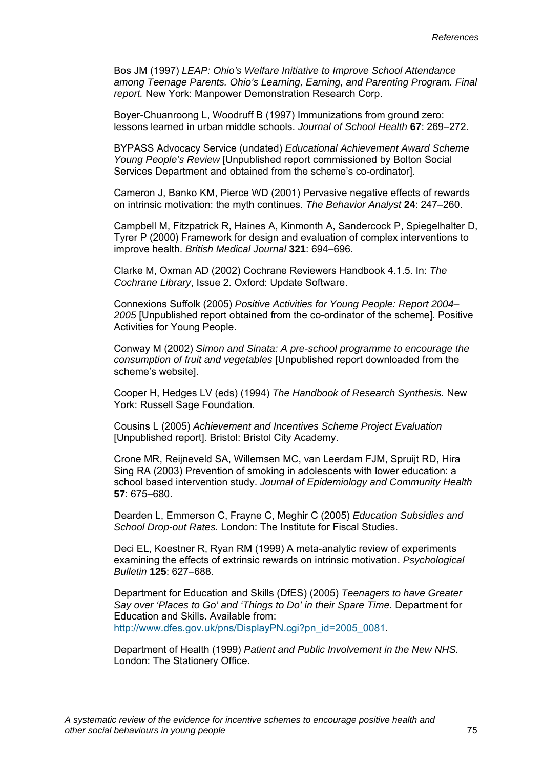Bos JM (1997) *LEAP: Ohio's Welfare Initiative to Improve School Attendance among Teenage Parents. Ohio's Learning, Earning, and Parenting Program. Final report.* New York: Manpower Demonstration Research Corp.

Boyer-Chuanroong L, Woodruff B (1997) Immunizations from ground zero: lessons learned in urban middle schools. *Journal of School Health* **67**: 269–272.

BYPASS Advocacy Service (undated) *Educational Achievement Award Scheme Young People's Review* [Unpublished report commissioned by Bolton Social Services Department and obtained from the scheme's co-ordinator].

Cameron J, Banko KM, Pierce WD (2001) Pervasive negative effects of rewards on intrinsic motivation: the myth continues. *The Behavior Analyst* **24**: 247–260.

Campbell M, Fitzpatrick R, Haines A, Kinmonth A, Sandercock P, Spiegelhalter D, Tyrer P (2000) Framework for design and evaluation of complex interventions to improve health. *British Medical Journal* **321**: 694–696.

Clarke M, Oxman AD (2002) Cochrane Reviewers Handbook 4.1.5. In: *The Cochrane Library*, Issue 2. Oxford: Update Software.

Connexions Suffolk (2005) *Positive Activities for Young People: Report 2004– 2005* [Unpublished report obtained from the co-ordinator of the scheme]. Positive Activities for Young People.

Conway M (2002) *Simon and Sinata: A pre-school programme to encourage the consumption of fruit and vegetables* [Unpublished report downloaded from the scheme's website].

Cooper H, Hedges LV (eds) (1994) *The Handbook of Research Synthesis.* New York: Russell Sage Foundation.

Cousins L (2005) *Achievement and Incentives Scheme Project Evaluation* [Unpublished report]. Bristol: Bristol City Academy.

Crone MR, Reijneveld SA, Willemsen MC, van Leerdam FJM, Spruijt RD, Hira Sing RA (2003) Prevention of smoking in adolescents with lower education: a school based intervention study. *Journal of Epidemiology and Community Health* **57**: 675–680.

Dearden L, Emmerson C, Frayne C, Meghir C (2005) *Education Subsidies and School Drop-out Rates.* London: The Institute for Fiscal Studies.

Deci EL, Koestner R, Ryan RM (1999) A meta-analytic review of experiments examining the effects of extrinsic rewards on intrinsic motivation. *Psychological Bulletin* **125**: 627–688.

Department for Education and Skills (DfES) (2005) *Teenagers to have Greater Say over 'Places to Go' and 'Things to Do' in their Spare Time*. Department for Education and Skills. Available from: [http://www.dfes.gov.uk/pns/DisplayPN.cgi?pn\\_id=2005\\_0081.](http://www.dfes.gov.uk/pns/DisplayPN.cgi?pn_id=2005_0081)

Department of Health (1999) *Patient and Public Involvement in the New NHS.*  London: The Stationery Office.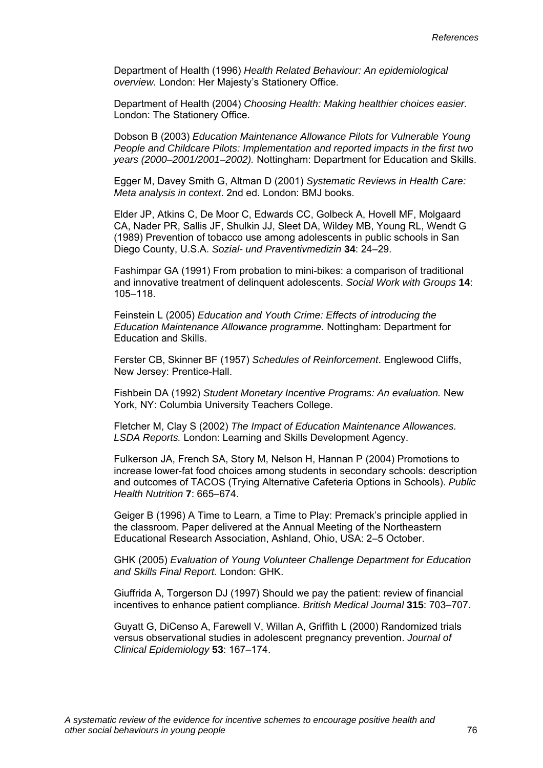Department of Health (1996) *Health Related Behaviour: An epidemiological overview.* London: Her Majesty's Stationery Office.

Department of Health (2004) *Choosing Health: Making healthier choices easier.*  London: The Stationery Office.

Dobson B (2003) *Education Maintenance Allowance Pilots for Vulnerable Young People and Childcare Pilots: Implementation and reported impacts in the first two years (2000–2001/2001–2002).* Nottingham: Department for Education and Skills.

Egger M, Davey Smith G, Altman D (2001) *Systematic Reviews in Health Care: Meta analysis in context*. 2nd ed. London: BMJ books.

Elder JP, Atkins C, De Moor C, Edwards CC, Golbeck A, Hovell MF, Molgaard CA, Nader PR, Sallis JF, Shulkin JJ, Sleet DA, Wildey MB, Young RL, Wendt G (1989) Prevention of tobacco use among adolescents in public schools in San Diego County, U.S.A. *Sozial- und Praventivmedizin* **34**: 24–29.

Fashimpar GA (1991) From probation to mini-bikes: a comparison of traditional and innovative treatment of delinquent adolescents. *Social Work with Groups* **14**: 105–118.

Feinstein L (2005) *Education and Youth Crime: Effects of introducing the Education Maintenance Allowance programme.* Nottingham: Department for Education and Skills.

Ferster CB, Skinner BF (1957) *Schedules of Reinforcement*. Englewood Cliffs, New Jersey: Prentice-Hall.

Fishbein DA (1992) *Student Monetary Incentive Programs: An evaluation.* New York, NY: Columbia University Teachers College.

Fletcher M, Clay S (2002) *The Impact of Education Maintenance Allowances. LSDA Reports.* London: Learning and Skills Development Agency.

Fulkerson JA, French SA, Story M, Nelson H, Hannan P (2004) Promotions to increase lower-fat food choices among students in secondary schools: description and outcomes of TACOS (Trying Alternative Cafeteria Options in Schools). *Public Health Nutrition* **7**: 665–674.

Geiger B (1996) A Time to Learn, a Time to Play: Premack's principle applied in the classroom. Paper delivered at the Annual Meeting of the Northeastern Educational Research Association, Ashland, Ohio, USA: 2–5 October.

GHK (2005) *Evaluation of Young Volunteer Challenge Department for Education and Skills Final Report.* London: GHK.

Giuffrida A, Torgerson DJ (1997) Should we pay the patient: review of financial incentives to enhance patient compliance. *British Medical Journal* **315**: 703–707.

Guyatt G, DiCenso A, Farewell V, Willan A, Griffith L (2000) Randomized trials versus observational studies in adolescent pregnancy prevention. *Journal of Clinical Epidemiology* **53**: 167–174.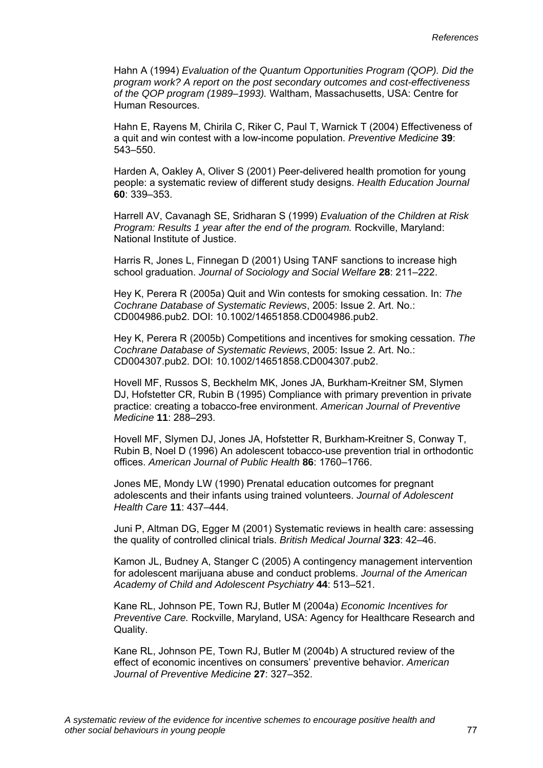Hahn A (1994) *Evaluation of the Quantum Opportunities Program (QOP). Did the program work? A report on the post secondary outcomes and cost-effectiveness of the QOP program (1989–1993).* Waltham, Massachusetts, USA: Centre for Human Resources.

Hahn E, Rayens M, Chirila C, Riker C, Paul T, Warnick T (2004) Effectiveness of a quit and win contest with a low-income population. *Preventive Medicine* **39**: 543–550.

Harden A, Oakley A, Oliver S (2001) Peer-delivered health promotion for young people: a systematic review of different study designs. *Health Education Journal* **60**: 339–353.

Harrell AV, Cavanagh SE, Sridharan S (1999) *Evaluation of the Children at Risk Program: Results 1 year after the end of the program.* Rockville, Maryland: National Institute of Justice.

Harris R, Jones L, Finnegan D (2001) Using TANF sanctions to increase high school graduation. *Journal of Sociology and Social Welfare* **28**: 211–222.

Hey K, Perera R (2005a) Quit and Win contests for smoking cessation. In: *The Cochrane Database of Systematic Reviews*, 2005: Issue 2. Art. No.: CD004986.pub2. DOI: 10.1002/14651858.CD004986.pub2.

Hey K, Perera R (2005b) Competitions and incentives for smoking cessation. *The Cochrane Database of Systematic Reviews*, 2005: Issue 2. Art. No.: CD004307.pub2. DOI: 10.1002/14651858.CD004307.pub2.

Hovell MF, Russos S, Beckhelm MK, Jones JA, Burkham-Kreitner SM, Slymen DJ, Hofstetter CR, Rubin B (1995) Compliance with primary prevention in private practice: creating a tobacco-free environment. *American Journal of Preventive Medicine* **11**: 288–293.

Hovell MF, Slymen DJ, Jones JA, Hofstetter R, Burkham-Kreitner S, Conway T, Rubin B, Noel D (1996) An adolescent tobacco-use prevention trial in orthodontic offices. *American Journal of Public Health* **86**: 1760–1766.

Jones ME, Mondy LW (1990) Prenatal education outcomes for pregnant adolescents and their infants using trained volunteers. *Journal of Adolescent Health Care* **11**: 437–444.

Juni P, Altman DG, Egger M (2001) Systematic reviews in health care: assessing the quality of controlled clinical trials. *British Medical Journal* **323**: 42–46.

Kamon JL, Budney A, Stanger C (2005) A contingency management intervention for adolescent marijuana abuse and conduct problems. *Journal of the American Academy of Child and Adolescent Psychiatry* **44**: 513–521.

Kane RL, Johnson PE, Town RJ, Butler M (2004a) *Economic Incentives for Preventive Care.* Rockville, Maryland, USA: Agency for Healthcare Research and Quality.

Kane RL, Johnson PE, Town RJ, Butler M (2004b) A structured review of the effect of economic incentives on consumers' preventive behavior. *American Journal of Preventive Medicine* **27**: 327–352.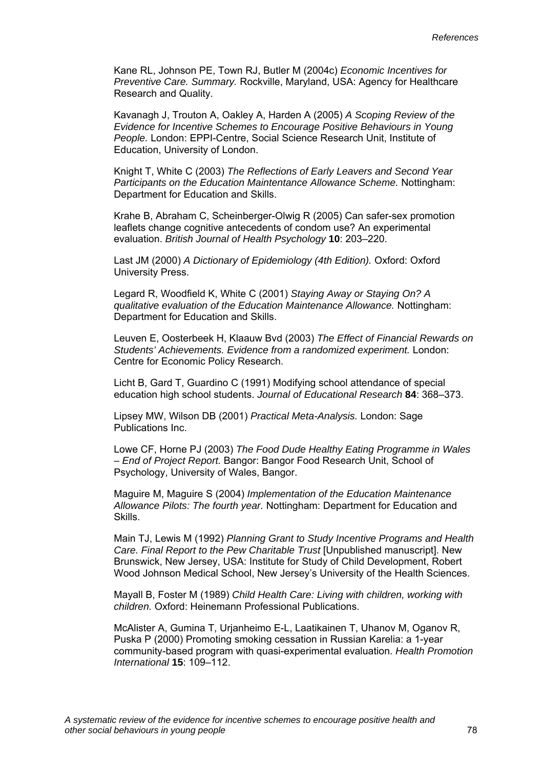Kane RL, Johnson PE, Town RJ, Butler M (2004c) *Economic Incentives for Preventive Care. Summary.* Rockville, Maryland, USA: Agency for Healthcare Research and Quality.

Kavanagh J, Trouton A, Oakley A, Harden A (2005) *A Scoping Review of the Evidence for Incentive Schemes to Encourage Positive Behaviours in Young People.* London: EPPI-Centre, Social Science Research Unit, Institute of Education, University of London.

Knight T, White C (2003) *The Reflections of Early Leavers and Second Year Participants on the Education Maintentance Allowance Scheme.* Nottingham: Department for Education and Skills.

Krahe B, Abraham C, Scheinberger-Olwig R (2005) Can safer-sex promotion leaflets change cognitive antecedents of condom use? An experimental evaluation. *British Journal of Health Psychology* **10**: 203–220.

Last JM (2000) *A Dictionary of Epidemiology (4th Edition).* Oxford: Oxford University Press.

Legard R, Woodfield K, White C (2001) *Staying Away or Staying On? A qualitative evaluation of the Education Maintenance Allowance.* Nottingham: Department for Education and Skills.

Leuven E, Oosterbeek H, Klaauw Bvd (2003) *The Effect of Financial Rewards on Students' Achievements. Evidence from a randomized experiment.* London: Centre for Economic Policy Research.

Licht B, Gard T, Guardino C (1991) Modifying school attendance of special education high school students. *Journal of Educational Research* **84**: 368–373.

Lipsey MW, Wilson DB (2001) *Practical Meta-Analysis.* London: Sage Publications Inc.

Lowe CF, Horne PJ (2003) *The Food Dude Healthy Eating Programme in Wales – End of Project Report.* Bangor: Bangor Food Research Unit, School of Psychology, University of Wales, Bangor.

Maguire M, Maguire S (2004) *Implementation of the Education Maintenance Allowance Pilots: The fourth year.* Nottingham: Department for Education and Skills.

Main TJ, Lewis M (1992) *Planning Grant to Study Incentive Programs and Health Care. Final Report to the Pew Charitable Trust* [Unpublished manuscript]. New Brunswick, New Jersey, USA: Institute for Study of Child Development, Robert Wood Johnson Medical School, New Jersey's University of the Health Sciences.

Mayall B, Foster M (1989) *Child Health Care: Living with children, working with children.* Oxford: Heinemann Professional Publications.

McAlister A, Gumina T, Urjanheimo E-L, Laatikainen T, Uhanov M, Oganov R, Puska P (2000) Promoting smoking cessation in Russian Karelia: a 1-year community-based program with quasi-experimental evaluation. *Health Promotion International* **15**: 109–112.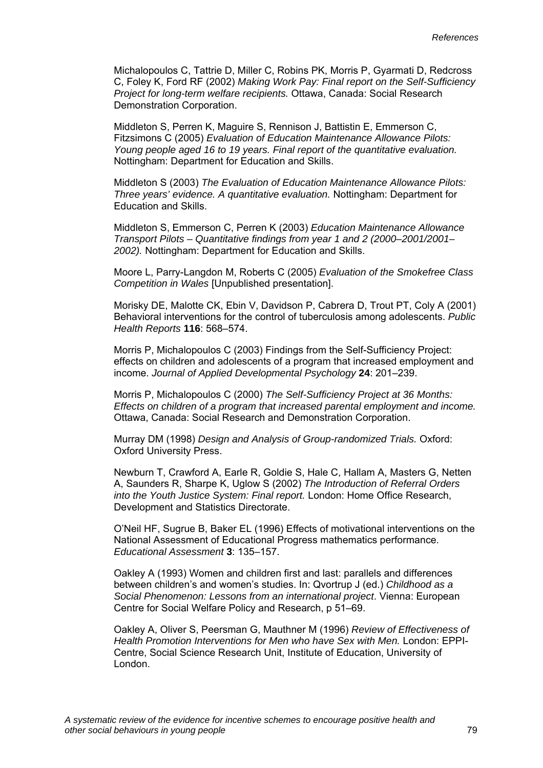Michalopoulos C, Tattrie D, Miller C, Robins PK, Morris P, Gyarmati D, Redcross C, Foley K, Ford RF (2002) *Making Work Pay: Final report on the Self-Sufficiency Project for long-term welfare recipients.* Ottawa, Canada: Social Research Demonstration Corporation.

Middleton S, Perren K, Maguire S, Rennison J, Battistin E, Emmerson C, Fitzsimons C (2005) *Evaluation of Education Maintenance Allowance Pilots: Young people aged 16 to 19 years. Final report of the quantitative evaluation.*  Nottingham: Department for Education and Skills.

Middleton S (2003) *The Evaluation of Education Maintenance Allowance Pilots: Three years' evidence. A quantitative evaluation.* Nottingham: Department for Education and Skills.

Middleton S, Emmerson C, Perren K (2003) *Education Maintenance Allowance Transport Pilots – Quantitative findings from year 1 and 2 (2000–2001/2001– 2002).* Nottingham: Department for Education and Skills.

Moore L, Parry-Langdon M, Roberts C (2005) *Evaluation of the Smokefree Class Competition in Wales* [Unpublished presentation].

Morisky DE, Malotte CK, Ebin V, Davidson P, Cabrera D, Trout PT, Coly A (2001) Behavioral interventions for the control of tuberculosis among adolescents. *Public Health Reports* **116**: 568–574.

Morris P, Michalopoulos C (2003) Findings from the Self-Sufficiency Project: effects on children and adolescents of a program that increased employment and income. *Journal of Applied Developmental Psychology* **24**: 201–239.

Morris P, Michalopoulos C (2000) *The Self-Sufficiency Project at 36 Months: Effects on children of a program that increased parental employment and income.*  Ottawa, Canada: Social Research and Demonstration Corporation.

Murray DM (1998) *Design and Analysis of Group-randomized Trials.* Oxford: Oxford University Press.

Newburn T, Crawford A, Earle R, Goldie S, Hale C, Hallam A, Masters G, Netten A, Saunders R, Sharpe K, Uglow S (2002) *The Introduction of Referral Orders into the Youth Justice System: Final report.* London: Home Office Research, Development and Statistics Directorate.

O'Neil HF, Sugrue B, Baker EL (1996) Effects of motivational interventions on the National Assessment of Educational Progress mathematics performance. *Educational Assessment* **3**: 135–157.

Oakley A (1993) Women and children first and last: parallels and differences between children's and women's studies. In: Qvortrup J (ed.) *Childhood as a Social Phenomenon: Lessons from an international project*. Vienna: European Centre for Social Welfare Policy and Research, p 51–69.

Oakley A, Oliver S, Peersman G, Mauthner M (1996) *Review of Effectiveness of Health Promotion Interventions for Men who have Sex with Men.* London: EPPI-Centre, Social Science Research Unit, Institute of Education, University of London.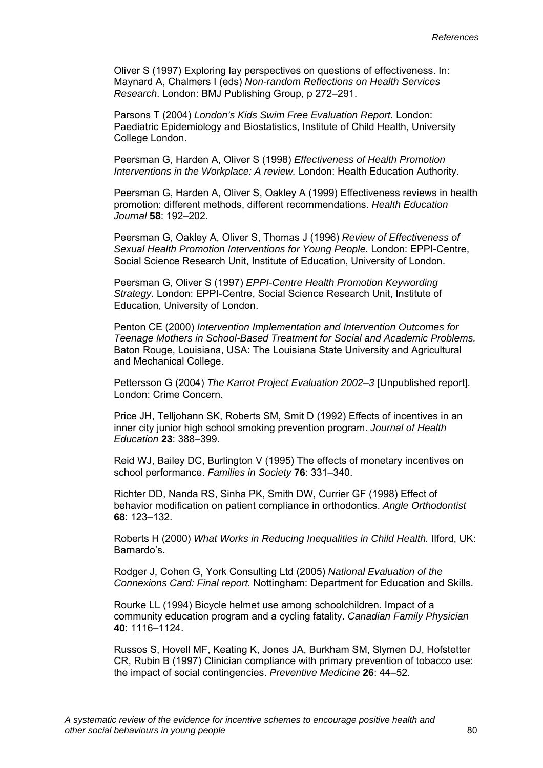Oliver S (1997) Exploring lay perspectives on questions of effectiveness. In: Maynard A, Chalmers I (eds) *Non-random Reflections on Health Services Research*. London: BMJ Publishing Group, p 272–291.

Parsons T (2004) *London's Kids Swim Free Evaluation Report.* London: Paediatric Epidemiology and Biostatistics, Institute of Child Health, University College London.

Peersman G, Harden A, Oliver S (1998) *Effectiveness of Health Promotion Interventions in the Workplace: A review.* London: Health Education Authority.

Peersman G, Harden A, Oliver S, Oakley A (1999) Effectiveness reviews in health promotion: different methods, different recommendations. *Health Education Journal* **58**: 192–202.

Peersman G, Oakley A, Oliver S, Thomas J (1996) *Review of Effectiveness of Sexual Health Promotion Interventions for Young People.* London: EPPI-Centre, Social Science Research Unit, Institute of Education, University of London.

Peersman G, Oliver S (1997) *EPPI-Centre Health Promotion Keywording Strategy.* London: EPPI-Centre, Social Science Research Unit, Institute of Education, University of London.

Penton CE (2000) *Intervention Implementation and Intervention Outcomes for Teenage Mothers in School-Based Treatment for Social and Academic Problems.*  Baton Rouge, Louisiana, USA: The Louisiana State University and Agricultural and Mechanical College.

Pettersson G (2004) *The Karrot Project Evaluation 2002–3* [Unpublished report]. London: Crime Concern.

Price JH, Telljohann SK, Roberts SM, Smit D (1992) Effects of incentives in an inner city junior high school smoking prevention program. *Journal of Health Education* **23**: 388–399.

Reid WJ, Bailey DC, Burlington V (1995) The effects of monetary incentives on school performance. *Families in Society* **76**: 331–340.

Richter DD, Nanda RS, Sinha PK, Smith DW, Currier GF (1998) Effect of behavior modification on patient compliance in orthodontics. *Angle Orthodontist* **68**: 123–132.

Roberts H (2000) *What Works in Reducing Inequalities in Child Health.* Ilford, UK: Barnardo's.

Rodger J, Cohen G, York Consulting Ltd (2005) *National Evaluation of the Connexions Card: Final report.* Nottingham: Department for Education and Skills.

Rourke LL (1994) Bicycle helmet use among schoolchildren. Impact of a community education program and a cycling fatality. *Canadian Family Physician* **40**: 1116–1124.

Russos S, Hovell MF, Keating K, Jones JA, Burkham SM, Slymen DJ, Hofstetter CR, Rubin B (1997) Clinician compliance with primary prevention of tobacco use: the impact of social contingencies. *Preventive Medicine* **26**: 44–52.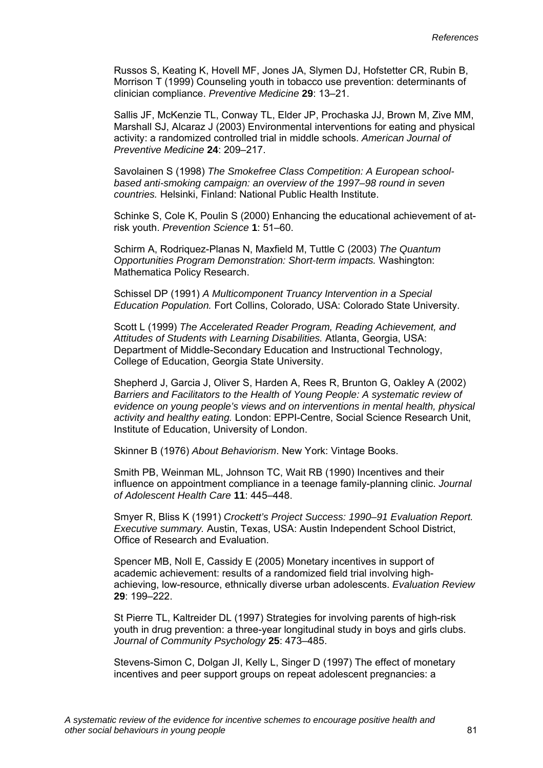Russos S, Keating K, Hovell MF, Jones JA, Slymen DJ, Hofstetter CR, Rubin B, Morrison T (1999) Counseling youth in tobacco use prevention: determinants of clinician compliance. *Preventive Medicine* **29**: 13–21.

Sallis JF, McKenzie TL, Conway TL, Elder JP, Prochaska JJ, Brown M, Zive MM, Marshall SJ, Alcaraz J (2003) Environmental interventions for eating and physical activity: a randomized controlled trial in middle schools. *American Journal of Preventive Medicine* **24**: 209–217.

Savolainen S (1998) *The Smokefree Class Competition: A European schoolbased anti-smoking campaign: an overview of the 1997–98 round in seven countries.* Helsinki, Finland: National Public Health Institute.

Schinke S, Cole K, Poulin S (2000) Enhancing the educational achievement of atrisk youth. *Prevention Science* **1**: 51–60.

Schirm A, Rodriquez-Planas N, Maxfield M, Tuttle C (2003) *The Quantum Opportunities Program Demonstration: Short-term impacts.* Washington: Mathematica Policy Research.

Schissel DP (1991) *A Multicomponent Truancy Intervention in a Special Education Population.* Fort Collins, Colorado, USA: Colorado State University.

Scott L (1999) *The Accelerated Reader Program, Reading Achievement, and Attitudes of Students with Learning Disabilities.* Atlanta, Georgia, USA: Department of Middle-Secondary Education and Instructional Technology, College of Education, Georgia State University.

Shepherd J, Garcia J, Oliver S, Harden A, Rees R, Brunton G, Oakley A (2002) *Barriers and Facilitators to the Health of Young People: A systematic review of evidence on young people's views and on interventions in mental health, physical activity and healthy eating.* London: EPPI-Centre, Social Science Research Unit, Institute of Education, University of London.

Skinner B (1976) *About Behaviorism*. New York: Vintage Books.

Smith PB, Weinman ML, Johnson TC, Wait RB (1990) Incentives and their influence on appointment compliance in a teenage family-planning clinic. *Journal of Adolescent Health Care* **11**: 445–448.

Smyer R, Bliss K (1991) *Crockett's Project Success: 1990–91 Evaluation Report. Executive summary.* Austin, Texas, USA: Austin Independent School District, Office of Research and Evaluation.

Spencer MB, Noll E, Cassidy E (2005) Monetary incentives in support of academic achievement: results of a randomized field trial involving highachieving, low-resource, ethnically diverse urban adolescents. *Evaluation Review* **29**: 199–222.

St Pierre TL, Kaltreider DL (1997) Strategies for involving parents of high-risk youth in drug prevention: a three-year longitudinal study in boys and girls clubs. *Journal of Community Psychology* **25**: 473–485.

Stevens-Simon C, Dolgan JI, Kelly L, Singer D (1997) The effect of monetary incentives and peer support groups on repeat adolescent pregnancies: a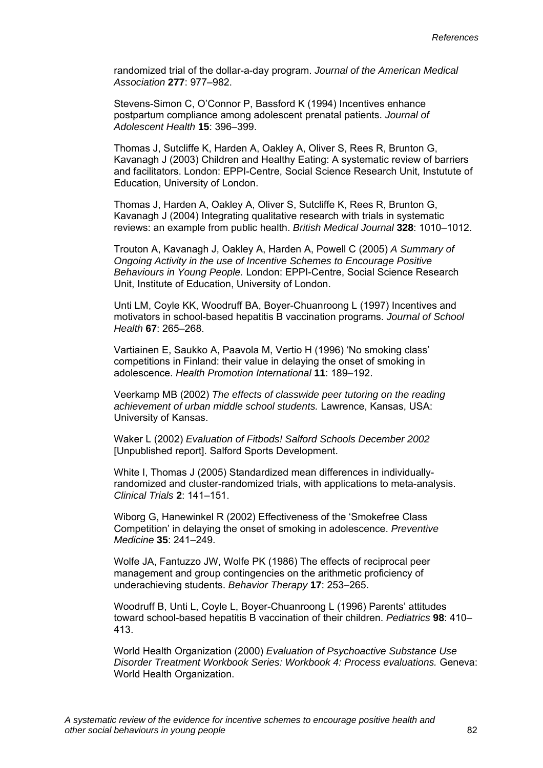randomized trial of the dollar-a-day program. *Journal of the American Medical Association* **277**: 977–982.

Stevens-Simon C, O'Connor P, Bassford K (1994) Incentives enhance postpartum compliance among adolescent prenatal patients. *Journal of Adolescent Health* **15**: 396–399.

Thomas J, Sutcliffe K, Harden A, Oakley A, Oliver S, Rees R, Brunton G, Kavanagh J (2003) Children and Healthy Eating: A systematic review of barriers and facilitators. London: EPPI-Centre, Social Science Research Unit, Instutute of Education, University of London.

Thomas J, Harden A, Oakley A, Oliver S, Sutcliffe K, Rees R, Brunton G, Kavanagh J (2004) Integrating qualitative research with trials in systematic reviews: an example from public health. *British Medical Journal* **328**: 1010–1012.

Trouton A, Kavanagh J, Oakley A, Harden A, Powell C (2005) *A Summary of Ongoing Activity in the use of Incentive Schemes to Encourage Positive Behaviours in Young People.* London: EPPI-Centre, Social Science Research Unit, Institute of Education, University of London.

Unti LM, Coyle KK, Woodruff BA, Boyer-Chuanroong L (1997) Incentives and motivators in school-based hepatitis B vaccination programs. *Journal of School Health* **67**: 265–268.

Vartiainen E, Saukko A, Paavola M, Vertio H (1996) 'No smoking class' competitions in Finland: their value in delaying the onset of smoking in adolescence. *Health Promotion International* **11**: 189–192.

Veerkamp MB (2002) *The effects of classwide peer tutoring on the reading achievement of urban middle school students.* Lawrence, Kansas, USA: University of Kansas.

Waker L (2002) *Evaluation of Fitbods! Salford Schools December 2002* [Unpublished report]. Salford Sports Development.

White I, Thomas J (2005) Standardized mean differences in individuallyrandomized and cluster-randomized trials, with applications to meta-analysis. *Clinical Trials* **2**: 141–151.

Wiborg G, Hanewinkel R (2002) Effectiveness of the 'Smokefree Class Competition' in delaying the onset of smoking in adolescence. *Preventive Medicine* **35**: 241–249.

Wolfe JA, Fantuzzo JW, Wolfe PK (1986) The effects of reciprocal peer management and group contingencies on the arithmetic proficiency of underachieving students. *Behavior Therapy* **17**: 253–265.

Woodruff B, Unti L, Coyle L, Boyer-Chuanroong L (1996) Parents' attitudes toward school-based hepatitis B vaccination of their children. *Pediatrics* **98**: 410– 413.

World Health Organization (2000) *Evaluation of Psychoactive Substance Use Disorder Treatment Workbook Series: Workbook 4: Process evaluations.* Geneva: World Health Organization.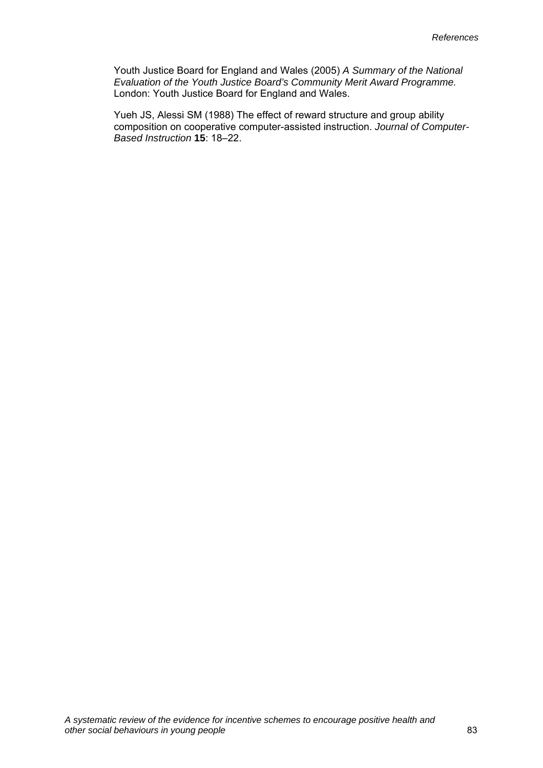Youth Justice Board for England and Wales (2005) *A Summary of the National Evaluation of the Youth Justice Board's Community Merit Award Programme.*  London: Youth Justice Board for England and Wales.

Yueh JS, Alessi SM (1988) The effect of reward structure and group ability composition on cooperative computer-assisted instruction. *Journal of Computer-Based Instruction* **15**: 18–22.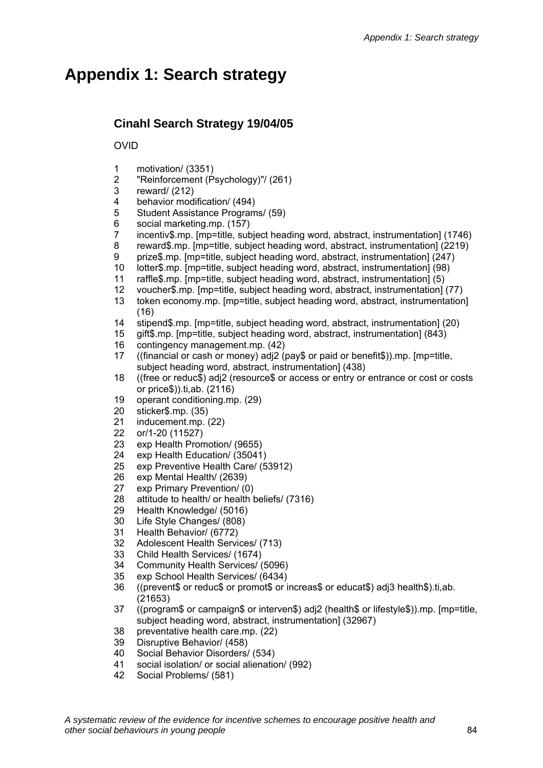# **Appendix 1: Search strategy**

# **Cinahl Search Strategy 19/04/05**

OVID

- 1 motivation/ (3351)
- 2 "Reinforcement (Psychology)"/ (261)
- 3 reward/ (212)
- 4 behavior modification/ (494)
- 5 Student Assistance Programs/ (59)
- 6 social marketing.mp. (157)
- 7 incentiv\$.mp. [mp=title, subject heading word, abstract, instrumentation] (1746)
- 8 reward\$.mp. [mp=title, subject heading word, abstract, instrumentation] (2219)
- 9 prize\$.mp. [mp=title, subject heading word, abstract, instrumentation] (247)
- 10 lotter\$.mp. [mp=title, subject heading word, abstract, instrumentation] (98)
- 11 raffle\$.mp. [mp=title, subject heading word, abstract, instrumentation] (5)
- 12 voucher\$.mp. [mp=title, subject heading word, abstract, instrumentation] (77)
- 13 token economy.mp. [mp=title, subject heading word, abstract, instrumentation] (16)
- 14 stipend\$.mp. [mp=title, subject heading word, abstract, instrumentation] (20)
- 15 gift\$.mp. [mp=title, subject heading word, abstract, instrumentation] (843)
- 16 contingency management.mp. (42)
- 17 ((financial or cash or money) adj2 (pay\$ or paid or benefit\$)).mp. [mp=title, subject heading word, abstract, instrumentation] (438)
- 18 ((free or reduc\$) adj2 (resource\$ or access or entry or entrance or cost or costs or price\$)).ti,ab. (2116)
- 19 operant conditioning.mp. (29)
- 20 sticker\$.mp. (35)
- 21 inducement.mp. (22)
- 22 or/1-20 (11527)
- 23 exp Health Promotion/ (9655)
- 24 exp Health Education/ (35041)
- 25 exp Preventive Health Care/ (53912)
- 26 exp Mental Health/ (2639)
- 27 exp Primary Prevention/ (0)
- 28 attitude to health/ or health beliefs/ (7316)
- 29 Health Knowledge/ (5016)
- 30 Life Style Changes/ (808)
- 31 Health Behavior/ (6772)
- 32 Adolescent Health Services/ (713)
- 33 Child Health Services/ (1674)
- 34 Community Health Services/ (5096)
- 35 exp School Health Services/ (6434)
- 36 ((prevent\$ or reduc\$ or promot\$ or increas\$ or educat\$) adj3 health\$).ti,ab. (21653)
- 37 ((program\$ or campaign\$ or interven\$) adj2 (health\$ or lifestyle\$)).mp. [mp=title, subject heading word, abstract, instrumentation] (32967)
- 38 preventative health care.mp. (22)
- 39 Disruptive Behavior/ (458)
- 40 Social Behavior Disorders/ (534)<br>41 social isolation/ or social alienation
- social isolation/ or social alienation/ (992)
- 42 Social Problems/ (581)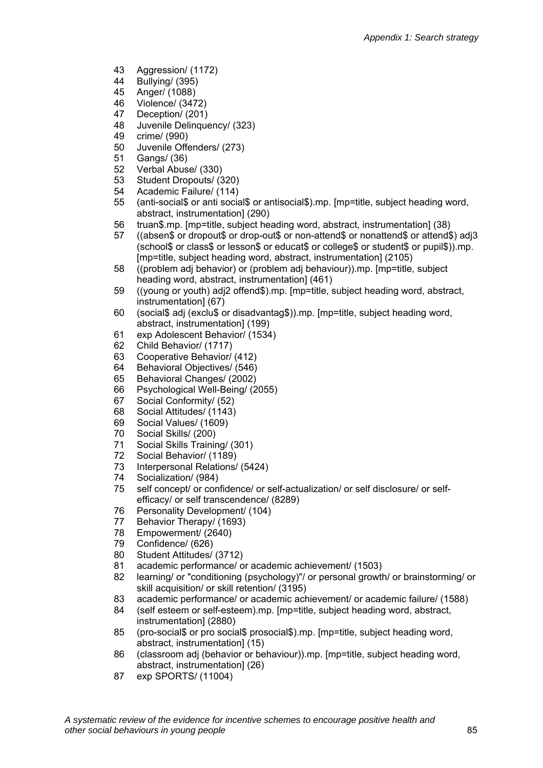- 43 Aggression/ (1172)
- 44 Bullying/ (395)
- 45 Anger/ (1088)
- 46 Violence/ (3472)
- 47 Deception/ (201)
- 48 Juvenile Delinquency/ (323)
- 49 crime/ (990)
- 50 Juvenile Offenders/ (273)
- 51 Gangs/ (36)
- 52 Verbal Abuse/ (330)
- 53 Student Dropouts/ (320)
- 54 Academic Failure/ (114)
- 55 (anti-social\$ or anti social\$ or antisocial\$).mp. [mp=title, subject heading word, abstract, instrumentation] (290)
- 56 truan\$.mp. [mp=title, subject heading word, abstract, instrumentation] (38)
- 57 ((absen\$ or dropout\$ or drop-out\$ or non-attend\$ or nonattend\$ or attend\$) adj3 (school\$ or class\$ or lesson\$ or educat\$ or college\$ or student\$ or pupil\$)).mp. [mp=title, subject heading word, abstract, instrumentation] (2105)
- 58 ((problem adj behavior) or (problem adj behaviour)).mp. [mp=title, subject heading word, abstract, instrumentation] (461)
- 59 ((young or youth) adj2 offend\$).mp. [mp=title, subject heading word, abstract, instrumentation] (67)
- 60 (social\$ adj (exclu\$ or disadvantag\$)).mp. [mp=title, subject heading word, abstract, instrumentation] (199)
- 61 exp Adolescent Behavior/ (1534)
- 62 Child Behavior/ (1717)
- 63 Cooperative Behavior/ (412)
- 64 Behavioral Objectives/ (546)
- 65 Behavioral Changes/ (2002)
- 66 Psychological Well-Being/ (2055)
- 67 Social Conformity/ (52)
- 68 Social Attitudes/ (1143)
- 69 Social Values/ (1609)
- 70 Social Skills/ (200)
- 71 Social Skills Training/ (301)
- 72 Social Behavior/ (1189)
- 73 Interpersonal Relations/ (5424)
- 74 Socialization/ (984)
- 75 self concept/ or confidence/ or self-actualization/ or self disclosure/ or selfefficacy/ or self transcendence/ (8289)
- 76 Personality Development/ (104)
- 77 Behavior Therapy/ (1693)
- 78 Empowerment/ (2640)
- 79 Confidence/ (626)
- 80 Student Attitudes/ (3712)
- 81 academic performance/ or academic achievement/ (1503)
- 82 learning/ or "conditioning (psychology)"/ or personal growth/ or brainstorming/ or skill acquisition/ or skill retention/ (3195)
- 83 academic performance/ or academic achievement/ or academic failure/ (1588)
- 84 (self esteem or self-esteem).mp. [mp=title, subject heading word, abstract, instrumentation] (2880)
- 85 (pro-social\$ or pro social\$ prosocial\$).mp. [mp=title, subject heading word, abstract, instrumentation] (15)
- 86 (classroom adj (behavior or behaviour)).mp. [mp=title, subject heading word, abstract, instrumentation] (26)
- 87 exp SPORTS/ (11004)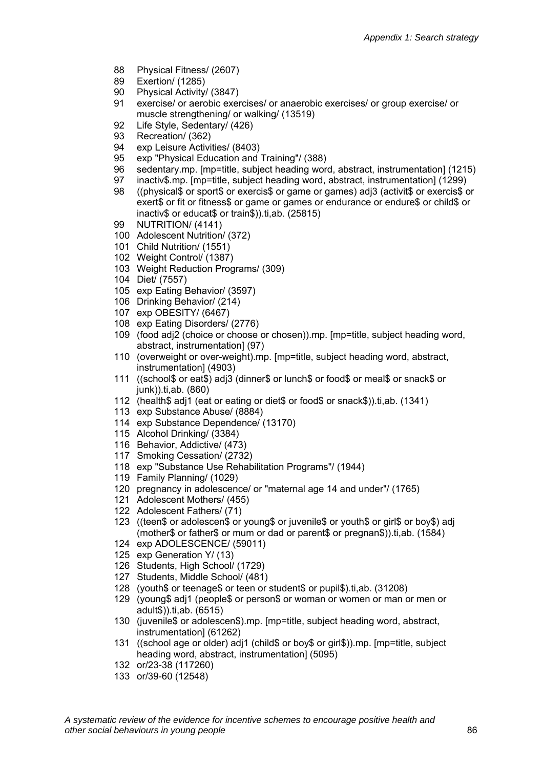- 88 Physical Fitness/ (2607)
- 89 Exertion/ (1285)
- 90 Physical Activity/ (3847)
- 91 exercise/ or aerobic exercises/ or anaerobic exercises/ or group exercise/ or muscle strengthening/ or walking/ (13519)
- 92 Life Style, Sedentary/ (426)
- 93 Recreation/ (362)
- 94 exp Leisure Activities/ (8403)
- 95 exp "Physical Education and Training"/ (388)
- 96 sedentary.mp. [mp=title, subject heading word, abstract, instrumentation] (1215)
- 97 inactiv\$.mp. [mp=title, subject heading word, abstract, instrumentation] (1299)
- 98 ((physical\$ or sport\$ or exercis\$ or game or games) adj3 (activit\$ or exercis\$ or exert\$ or fit or fitness\$ or game or games or endurance or endure\$ or child\$ or inactiv\$ or educat\$ or train\$)).ti,ab. (25815)
- 99 NUTRITION/ (4141)
- 100 Adolescent Nutrition/ (372)
- 101 Child Nutrition/ (1551)
- 102 Weight Control/ (1387)
- 103 Weight Reduction Programs/ (309)
- 104 Diet/ (7557)
- 105 exp Eating Behavior/ (3597)
- 106 Drinking Behavior/ (214)
- 107 exp OBESITY/ (6467)
- 108 exp Eating Disorders/ (2776)
- 109 (food adj2 (choice or choose or chosen)).mp. [mp=title, subject heading word, abstract, instrumentation] (97)
- 110 (overweight or over-weight).mp. [mp=title, subject heading word, abstract, instrumentation] (4903)
- 111 ((school\$ or eat\$) adj3 (dinner\$ or lunch\$ or food\$ or meal\$ or snack\$ or junk)).ti,ab. (860)
- 112 (health\$ adj1 (eat or eating or diet\$ or food\$ or snack\$)).ti,ab. (1341)
- 113 exp Substance Abuse/ (8884)
- 114 exp Substance Dependence/ (13170)
- 115 Alcohol Drinking/ (3384)
- 116 Behavior, Addictive/ (473)
- 117 Smoking Cessation/ (2732)
- 118 exp "Substance Use Rehabilitation Programs"/ (1944)
- 119 Family Planning/ (1029)
- 120 pregnancy in adolescence/ or "maternal age 14 and under"/ (1765)
- 121 Adolescent Mothers/ (455)
- 122 Adolescent Fathers/ (71)
- 123 ((teen\$ or adolescen\$ or young\$ or juvenile\$ or youth\$ or girl\$ or boy\$) adj (mother\$ or father\$ or mum or dad or parent\$ or pregnan\$)).ti,ab. (1584)
- 124 exp ADOLESCENCE/ (59011)
- 125 exp Generation Y/ (13)
- 126 Students, High School/ (1729)
- 127 Students, Middle School/ (481)
- 128 (youth\$ or teenage\$ or teen or student\$ or pupil\$).ti,ab. (31208)
- 129 (young\$ adj1 (people\$ or person\$ or woman or women or man or men or adult\$)).ti,ab. (6515)
- 130 (juvenile\$ or adolescen\$).mp. [mp=title, subject heading word, abstract, instrumentation] (61262)
- 131 ((school age or older) adj1 (child\$ or boy\$ or girl\$)).mp. [mp=title, subject heading word, abstract, instrumentation] (5095)
- 132 or/23-38 (117260)
- 133 or/39-60 (12548)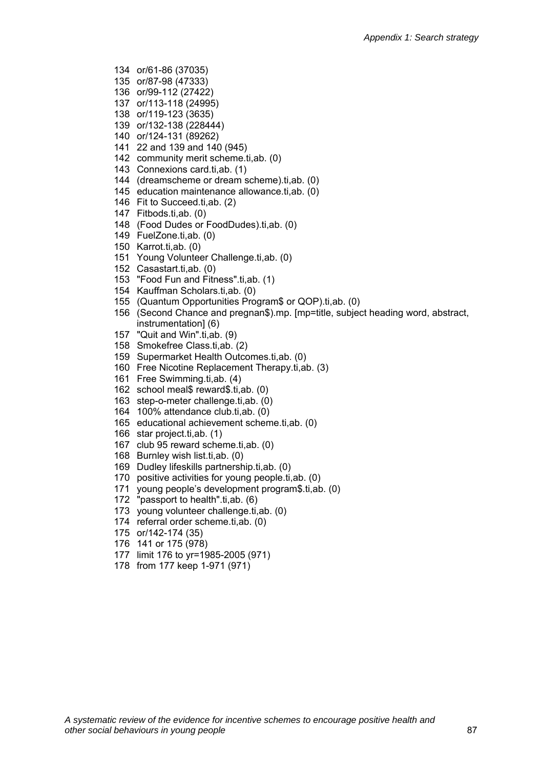- 134 or/61-86 (37035)
- 135 or/87-98 (47333)
- 136 or/99-112 (27422)
- 137 or/113-118 (24995)
- 138 or/119-123 (3635)
- 139 or/132-138 (228444)
- 140 or/124-131 (89262)
- 141 22 and 139 and 140 (945)
- 142 community merit scheme.ti,ab. (0)
- 143 Connexions card.ti,ab. (1)
- 144 (dreamscheme or dream scheme).ti,ab. (0)
- 145 education maintenance allowance.ti,ab. (0)
- 146 Fit to Succeed.ti,ab. (2)
- 147 Fitbods.ti,ab. (0)
- 148 (Food Dudes or FoodDudes).ti,ab. (0)
- 149 FuelZone.ti,ab. (0)
- 150 Karrot.ti,ab. (0)
- 151 Young Volunteer Challenge.ti,ab. (0)
- 152 Casastart.ti,ab. (0)
- 153 "Food Fun and Fitness".ti,ab. (1)
- 154 Kauffman Scholars.ti,ab. (0)
- 155 (Quantum Opportunities Program\$ or QOP).ti,ab. (0)
- 156 (Second Chance and pregnan\$).mp. [mp=title, subject heading word, abstract, instrumentation] (6)
- 157 "Quit and Win".ti,ab. (9)
- 158 Smokefree Class.ti,ab. (2)
- 159 Supermarket Health Outcomes.ti,ab. (0)
- 160 Free Nicotine Replacement Therapy.ti,ab. (3)
- 161 Free Swimming.ti,ab. (4)
- 162 school meal\$ reward\$.ti,ab. (0)
- 163 step-o-meter challenge.ti,ab. (0)
- 164 100% attendance club.ti,ab. (0)
- 165 educational achievement scheme.ti,ab. (0)
- 166 star project.ti,ab. (1)
- 167 club 95 reward scheme.ti,ab. (0)
- 168 Burnley wish list.ti,ab. (0)
- 169 Dudley lifeskills partnership.ti,ab. (0)
- 170 positive activities for young people.ti,ab. (0)
- 171 young people's development program\$.ti,ab. (0)
- 172 "passport to health".ti,ab. (6)
- 173 young volunteer challenge.ti,ab. (0)
- 174 referral order scheme.ti,ab. (0)
- 175 or/142-174 (35)
- 176 141 or 175 (978)
- 177 limit 176 to yr=1985-2005 (971)
- 178 from 177 keep 1-971 (971)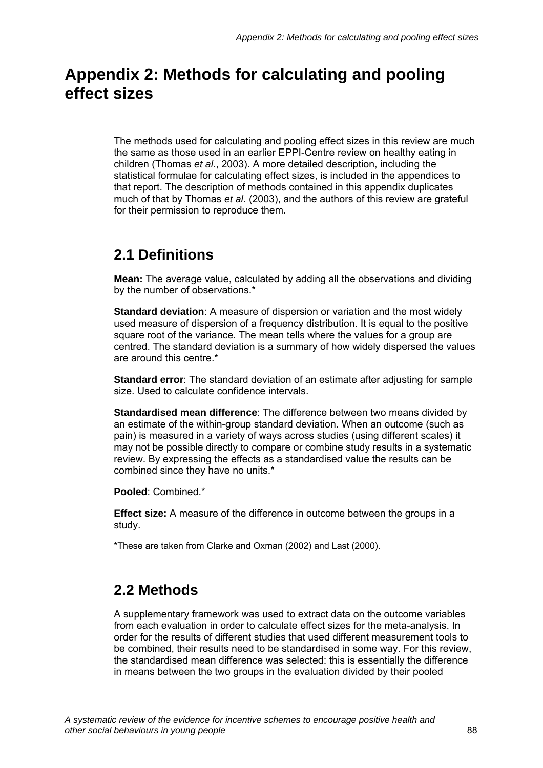# **Appendix 2: Methods for calculating and pooling effect sizes**

The methods used for calculating and pooling effect sizes in this review are much the same as those used in an earlier EPPI-Centre review on healthy eating in children (Thomas *et al*., 2003). A more detailed description, including the statistical formulae for calculating effect sizes, is included in the appendices to that report. The description of methods contained in this appendix duplicates much of that by Thomas *et al.* (2003), and the authors of this review are grateful for their permission to reproduce them.

# **2.1 Definitions**

**Mean:** The average value, calculated by adding all the observations and dividing by the number of observations.\*

**Standard deviation**: A measure of dispersion or variation and the most widely used measure of dispersion of a frequency distribution. It is equal to the positive square root of the variance. The mean tells where the values for a group are centred. The standard deviation is a summary of how widely dispersed the values are around this centre.\*

**Standard error**: The standard deviation of an estimate after adjusting for sample size. Used to calculate confidence intervals.

**Standardised mean difference**: The difference between two means divided by an estimate of the within-group standard deviation. When an outcome (such as pain) is measured in a variety of ways across studies (using different scales) it may not be possible directly to compare or combine study results in a systematic review. By expressing the effects as a standardised value the results can be combined since they have no units.\*

**Pooled**: Combined.\*

**Effect size:** A measure of the difference in outcome between the groups in a study.

\*These are taken from Clarke and Oxman (2002) and Last (2000).

# **2.2 Methods**

A supplementary framework was used to extract data on the outcome variables from each evaluation in order to calculate effect sizes for the meta-analysis. In order for the results of different studies that used different measurement tools to be combined, their results need to be standardised in some way. For this review, the standardised mean difference was selected: this is essentially the difference in means between the two groups in the evaluation divided by their pooled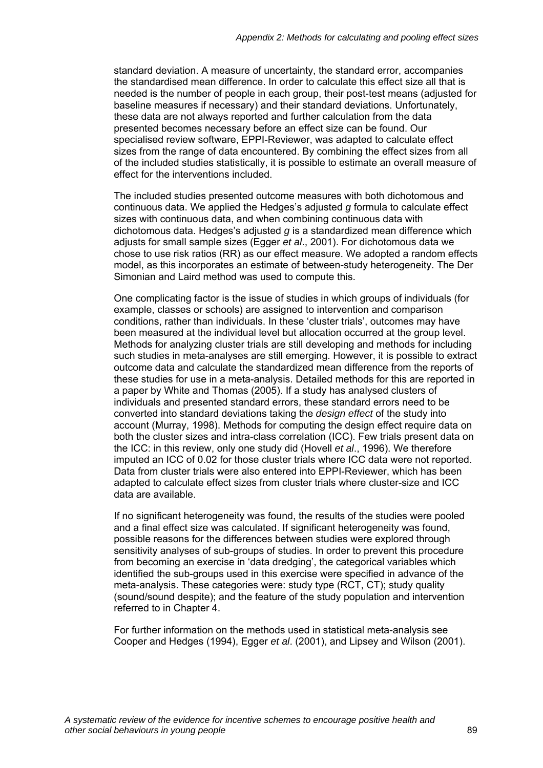standard deviation. A measure of uncertainty, the standard error, accompanies the standardised mean difference. In order to calculate this effect size all that is needed is the number of people in each group, their post-test means (adjusted for baseline measures if necessary) and their standard deviations. Unfortunately, these data are not always reported and further calculation from the data presented becomes necessary before an effect size can be found. Our specialised review software, EPPI-Reviewer, was adapted to calculate effect sizes from the range of data encountered. By combining the effect sizes from all of the included studies statistically, it is possible to estimate an overall measure of effect for the interventions included.

The included studies presented outcome measures with both dichotomous and continuous data. We applied the Hedges's adjusted *g* formula to calculate effect sizes with continuous data, and when combining continuous data with dichotomous data. Hedges's adjusted *g* is a standardized mean difference which adjusts for small sample sizes (Egger *et al*., 2001). For dichotomous data we chose to use risk ratios (RR) as our effect measure. We adopted a random effects model, as this incorporates an estimate of between-study heterogeneity. The Der Simonian and Laird method was used to compute this.

One complicating factor is the issue of studies in which groups of individuals (for example, classes or schools) are assigned to intervention and comparison conditions, rather than individuals. In these 'cluster trials', outcomes may have been measured at the individual level but allocation occurred at the group level. Methods for analyzing cluster trials are still developing and methods for including such studies in meta-analyses are still emerging. However, it is possible to extract outcome data and calculate the standardized mean difference from the reports of these studies for use in a meta-analysis. Detailed methods for this are reported in a paper by White and Thomas (2005). If a study has analysed clusters of individuals and presented standard errors, these standard errors need to be converted into standard deviations taking the *design effect* of the study into account (Murray, 1998). Methods for computing the design effect require data on both the cluster sizes and intra-class correlation (ICC). Few trials present data on the ICC: in this review, only one study did (Hovell *et al*., 1996). We therefore imputed an ICC of 0.02 for those cluster trials where ICC data were not reported. Data from cluster trials were also entered into EPPI-Reviewer, which has been adapted to calculate effect sizes from cluster trials where cluster-size and ICC data are available.

If no significant heterogeneity was found, the results of the studies were pooled and a final effect size was calculated. If significant heterogeneity was found, possible reasons for the differences between studies were explored through sensitivity analyses of sub-groups of studies. In order to prevent this procedure from becoming an exercise in 'data dredging', the categorical variables which identified the sub-groups used in this exercise were specified in advance of the meta-analysis. These categories were: study type (RCT, CT); study quality (sound/sound despite); and the feature of the study population and intervention referred to in Chapter 4.

For further information on the methods used in statistical meta-analysis see Cooper and Hedges (1994), Egger *et al*. (2001), and Lipsey and Wilson (2001).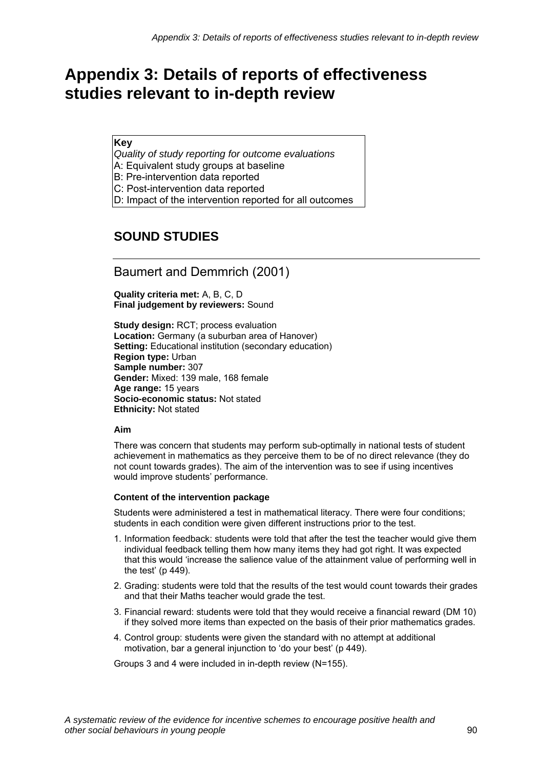# **Appendix 3: Details of reports of effectiveness studies relevant to in-depth review**

**Key** 

*Quality of study reporting for outcome evaluations* 

A: Equivalent study groups at baseline

B: Pre-intervention data reported

C: Post-intervention data reported

D: Impact of the intervention reported for all outcomes

# **SOUND STUDIES**

# Baumert and Demmrich (2001)

**Quality criteria met:** A, B, C, D **Final judgement by reviewers:** Sound

**Study design:** RCT; process evaluation **Location:** Germany (a suburban area of Hanover) **Setting: Educational institution (secondary education) Region type:** Urban **Sample number:** 307 **Gender:** Mixed: 139 male, 168 female **Age range:** 15 years **Socio-economic status:** Not stated **Ethnicity:** Not stated

#### **Aim**

There was concern that students may perform sub-optimally in national tests of student achievement in mathematics as they perceive them to be of no direct relevance (they do not count towards grades). The aim of the intervention was to see if using incentives would improve students' performance.

#### **Content of the intervention package**

Students were administered a test in mathematical literacy. There were four conditions; students in each condition were given different instructions prior to the test.

- 1. Information feedback: students were told that after the test the teacher would give them individual feedback telling them how many items they had got right. It was expected that this would 'increase the salience value of the attainment value of performing well in the test' (p 449).
- 2. Grading: students were told that the results of the test would count towards their grades and that their Maths teacher would grade the test.
- 3. Financial reward: students were told that they would receive a financial reward (DM 10) if they solved more items than expected on the basis of their prior mathematics grades.
- 4. Control group: students were given the standard with no attempt at additional motivation, bar a general injunction to 'do your best' (p 449).

Groups 3 and 4 were included in in-depth review (N=155).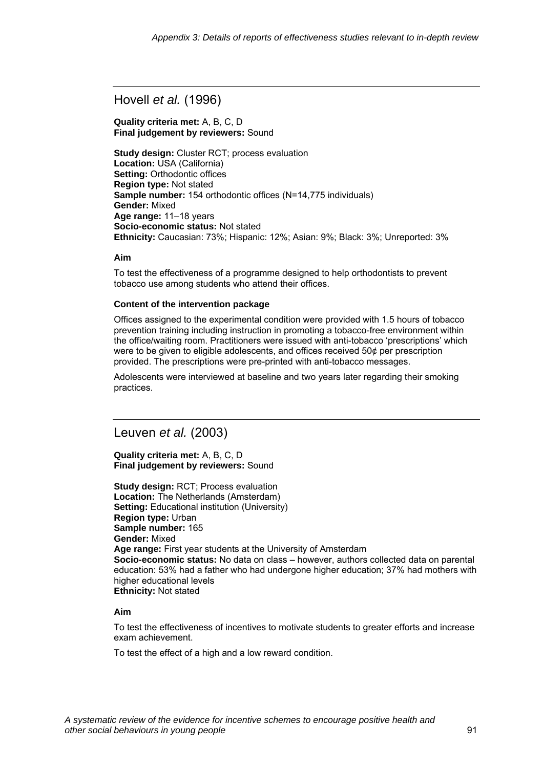Hovell *et al.* (1996)

**Quality criteria met:** A, B, C, D **Final judgement by reviewers:** Sound

**Study design:** Cluster RCT; process evaluation **Location:** USA (California) **Setting:** Orthodontic offices **Region type:** Not stated **Sample number:** 154 orthodontic offices (N=14,775 individuals) **Gender:** Mixed **Age range:** 11–18 years **Socio-economic status:** Not stated **Ethnicity:** Caucasian: 73%; Hispanic: 12%; Asian: 9%; Black: 3%; Unreported: 3%

#### **Aim**

To test the effectiveness of a programme designed to help orthodontists to prevent tobacco use among students who attend their offices.

#### **Content of the intervention package**

Offices assigned to the experimental condition were provided with 1.5 hours of tobacco prevention training including instruction in promoting a tobacco-free environment within the office/waiting room. Practitioners were issued with anti-tobacco 'prescriptions' which were to be given to eligible adolescents, and offices received 50¢ per prescription provided. The prescriptions were pre-printed with anti-tobacco messages.

Adolescents were interviewed at baseline and two years later regarding their smoking practices.

## Leuven *et al.* (2003)

**Quality criteria met:** A, B, C, D **Final judgement by reviewers:** Sound

**Study design:** RCT; Process evaluation **Location:** The Netherlands (Amsterdam) **Setting:** Educational institution (University) **Region type:** Urban **Sample number:** 165 **Gender:** Mixed **Age range:** First year students at the University of Amsterdam **Socio-economic status:** No data on class – however, authors collected data on parental education: 53% had a father who had undergone higher education; 37% had mothers with higher educational levels **Ethnicity:** Not stated

#### **Aim**

To test the effectiveness of incentives to motivate students to greater efforts and increase exam achievement.

To test the effect of a high and a low reward condition.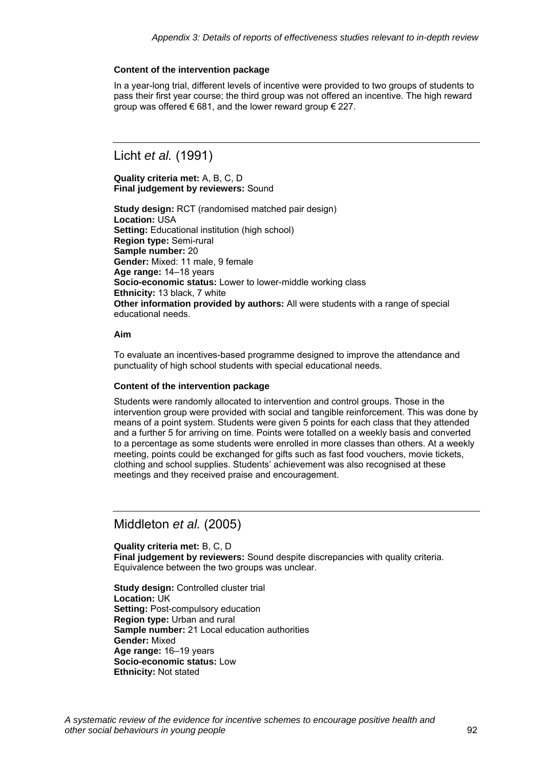#### **Content of the intervention package**

In a year-long trial, different levels of incentive were provided to two groups of students to pass their first year course; the third group was not offered an incentive. The high reward group was offered  $\epsilon$  681, and the lower reward group  $\epsilon$  227.

# Licht *et al.* (1991)

**Quality criteria met:** A, B, C, D **Final judgement by reviewers:** Sound

**Study design:** RCT (randomised matched pair design) **Location:** USA **Setting:** Educational institution (high school) **Region type:** Semi-rural **Sample number:** 20 **Gender:** Mixed: 11 male, 9 female **Age range:** 14–18 years **Socio-economic status:** Lower to lower-middle working class **Ethnicity:** 13 black, 7 white **Other information provided by authors:** All were students with a range of special educational needs.

#### **Aim**

To evaluate an incentives-based programme designed to improve the attendance and punctuality of high school students with special educational needs.

#### **Content of the intervention package**

Students were randomly allocated to intervention and control groups. Those in the intervention group were provided with social and tangible reinforcement. This was done by means of a point system. Students were given 5 points for each class that they attended and a further 5 for arriving on time. Points were totalled on a weekly basis and converted to a percentage as some students were enrolled in more classes than others. At a weekly meeting, points could be exchanged for gifts such as fast food vouchers, movie tickets, clothing and school supplies. Students' achievement was also recognised at these meetings and they received praise and encouragement.

# Middleton *et al.* (2005)

**Quality criteria met:** B, C, D **Final judgement by reviewers:** Sound despite discrepancies with quality criteria. Equivalence between the two groups was unclear.

**Study design:** Controlled cluster trial **Location:** UK **Setting: Post-compulsory education Region type:** Urban and rural **Sample number:** 21 Local education authorities **Gender:** Mixed **Age range:** 16–19 years **Socio-economic status:** Low **Ethnicity:** Not stated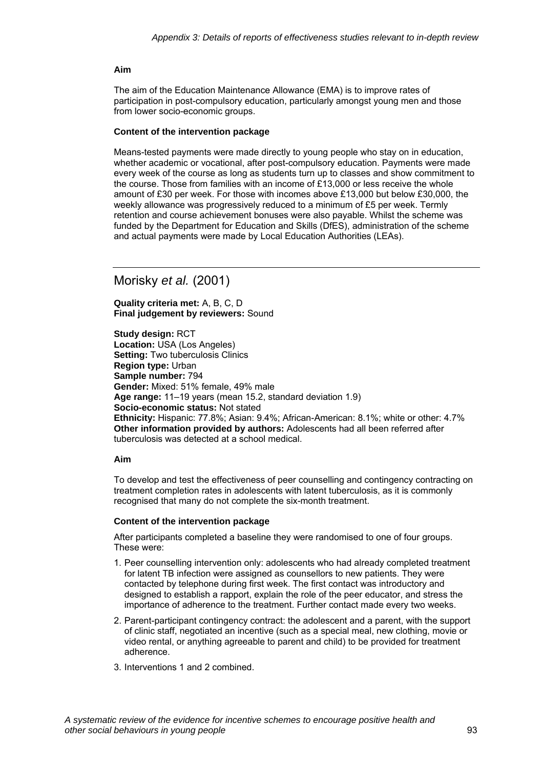#### **Aim**

The aim of the Education Maintenance Allowance (EMA) is to improve rates of participation in post-compulsory education, particularly amongst young men and those from lower socio-economic groups.

#### **Content of the intervention package**

Means-tested payments were made directly to young people who stay on in education, whether academic or vocational, after post-compulsory education. Payments were made every week of the course as long as students turn up to classes and show commitment to the course. Those from families with an income of £13,000 or less receive the whole amount of £30 per week. For those with incomes above £13,000 but below £30,000, the weekly allowance was progressively reduced to a minimum of £5 per week. Termly retention and course achievement bonuses were also payable. Whilst the scheme was funded by the Department for Education and Skills (DfES), administration of the scheme and actual payments were made by Local Education Authorities (LEAs).

Morisky *et al.* (2001)

**Quality criteria met:** A, B, C, D **Final judgement by reviewers:** Sound

**Study design:** RCT **Location:** USA (Los Angeles) **Setting: Two tuberculosis Clinics Region type:** Urban **Sample number:** 794 **Gender:** Mixed: 51% female, 49% male **Age range:** 11–19 years (mean 15.2, standard deviation 1.9) **Socio-economic status:** Not stated **Ethnicity:** Hispanic: 77.8%; Asian: 9.4%; African-American: 8.1%; white or other: 4.7% **Other information provided by authors:** Adolescents had all been referred after tuberculosis was detected at a school medical.

#### **Aim**

To develop and test the effectiveness of peer counselling and contingency contracting on treatment completion rates in adolescents with latent tuberculosis, as it is commonly recognised that many do not complete the six-month treatment.

#### **Content of the intervention package**

After participants completed a baseline they were randomised to one of four groups. These were:

- 1. Peer counselling intervention only: adolescents who had already completed treatment for latent TB infection were assigned as counsellors to new patients. They were contacted by telephone during first week. The first contact was introductory and designed to establish a rapport, explain the role of the peer educator, and stress the importance of adherence to the treatment. Further contact made every two weeks.
- 2. Parent-participant contingency contract: the adolescent and a parent, with the support of clinic staff, negotiated an incentive (such as a special meal, new clothing, movie or video rental, or anything agreeable to parent and child) to be provided for treatment adherence.
- 3. Interventions 1 and 2 combined.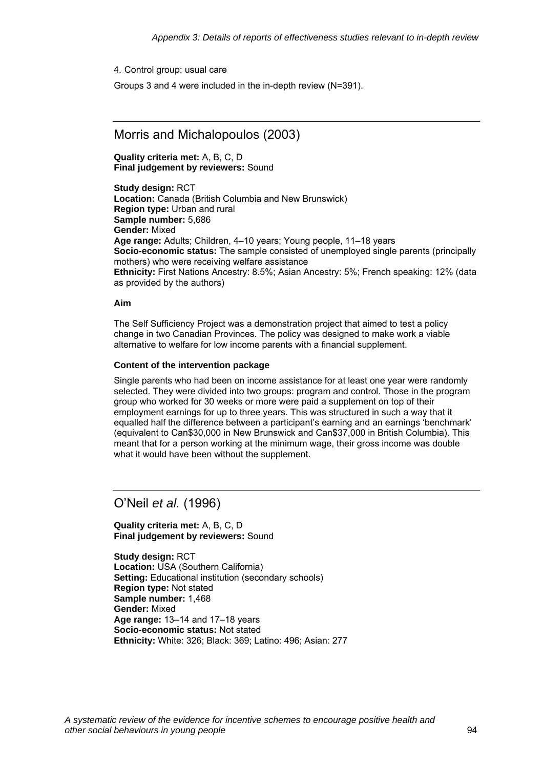4. Control group: usual care

Groups 3 and 4 were included in the in-depth review (N=391).

### Morris and Michalopoulos (2003)

**Quality criteria met:** A, B, C, D **Final judgement by reviewers:** Sound

**Study design:** RCT **Location:** Canada (British Columbia and New Brunswick) **Region type:** Urban and rural **Sample number:** 5,686 **Gender:** Mixed **Age range:** Adults; Children, 4–10 years; Young people, 11–18 years **Socio-economic status:** The sample consisted of unemployed single parents (principally mothers) who were receiving welfare assistance **Ethnicity:** First Nations Ancestry: 8.5%; Asian Ancestry: 5%; French speaking: 12% (data as provided by the authors)

#### **Aim**

The Self Sufficiency Project was a demonstration project that aimed to test a policy change in two Canadian Provinces. The policy was designed to make work a viable alternative to welfare for low income parents with a financial supplement.

#### **Content of the intervention package**

Single parents who had been on income assistance for at least one year were randomly selected. They were divided into two groups: program and control. Those in the program group who worked for 30 weeks or more were paid a supplement on top of their employment earnings for up to three years. This was structured in such a way that it equalled half the difference between a participant's earning and an earnings 'benchmark' (equivalent to Can\$30,000 in New Brunswick and Can\$37,000 in British Columbia). This meant that for a person working at the minimum wage, their gross income was double what it would have been without the supplement.

### O'Neil *et al.* (1996)

**Quality criteria met:** A, B, C, D **Final judgement by reviewers:** Sound

**Study design:** RCT **Location:** USA (Southern California) **Setting: Educational institution (secondary schools) Region type:** Not stated **Sample number:** 1,468 **Gender:** Mixed **Age range:** 13–14 and 17–18 years **Socio-economic status:** Not stated **Ethnicity:** White: 326; Black: 369; Latino: 496; Asian: 277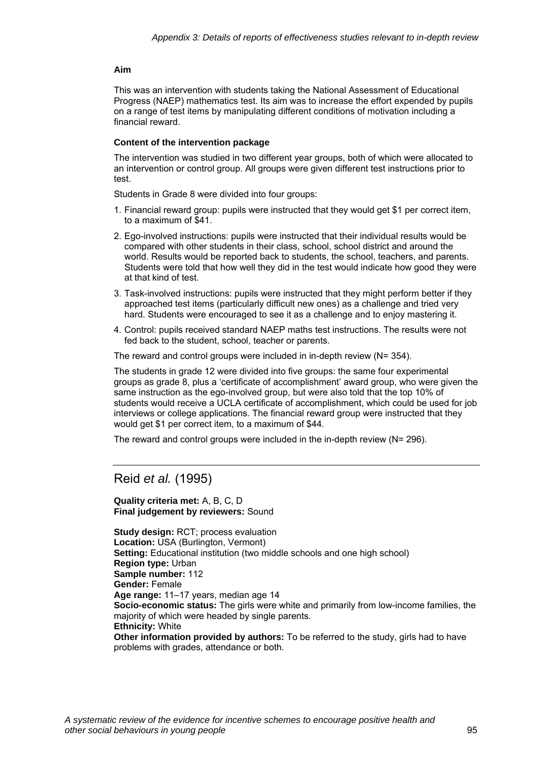#### **Aim**

This was an intervention with students taking the National Assessment of Educational Progress (NAEP) mathematics test. Its aim was to increase the effort expended by pupils on a range of test items by manipulating different conditions of motivation including a financial reward.

#### **Content of the intervention package**

The intervention was studied in two different year groups, both of which were allocated to an intervention or control group. All groups were given different test instructions prior to test.

Students in Grade 8 were divided into four groups:

- 1. Financial reward group: pupils were instructed that they would get \$1 per correct item, to a maximum of \$41.
- 2. Ego-involved instructions: pupils were instructed that their individual results would be compared with other students in their class, school, school district and around the world. Results would be reported back to students, the school, teachers, and parents. Students were told that how well they did in the test would indicate how good they were at that kind of test.
- 3. Task-involved instructions: pupils were instructed that they might perform better if they approached test items (particularly difficult new ones) as a challenge and tried very hard. Students were encouraged to see it as a challenge and to enjoy mastering it.
- 4. Control: pupils received standard NAEP maths test instructions. The results were not fed back to the student, school, teacher or parents.

The reward and control groups were included in in-depth review (N= 354).

The students in grade 12 were divided into five groups: the same four experimental groups as grade 8, plus a 'certificate of accomplishment' award group, who were given the same instruction as the ego-involved group, but were also told that the top 10% of students would receive a UCLA certificate of accomplishment, which could be used for job interviews or college applications. The financial reward group were instructed that they would get \$1 per correct item, to a maximum of \$44.

The reward and control groups were included in the in-depth review (N= 296).

## Reid *et al.* (1995)

**Quality criteria met:** A, B, C, D **Final judgement by reviewers:** Sound

**Study design:** RCT; process evaluation **Location:** USA (Burlington, Vermont) **Setting:** Educational institution (two middle schools and one high school) **Region type:** Urban **Sample number:** 112 **Gender:** Female **Age range:** 11–17 years, median age 14 **Socio-economic status:** The girls were white and primarily from low-income families, the majority of which were headed by single parents. **Ethnicity:** White **Other information provided by authors:** To be referred to the study, girls had to have problems with grades, attendance or both.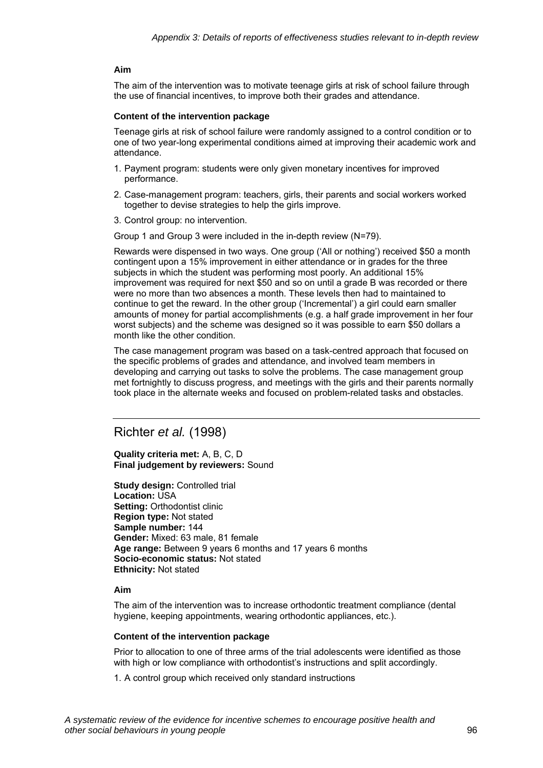#### **Aim**

The aim of the intervention was to motivate teenage girls at risk of school failure through the use of financial incentives, to improve both their grades and attendance.

#### **Content of the intervention package**

Teenage girls at risk of school failure were randomly assigned to a control condition or to one of two year-long experimental conditions aimed at improving their academic work and attendance.

- 1. Payment program: students were only given monetary incentives for improved performance.
- 2. Case-management program: teachers, girls, their parents and social workers worked together to devise strategies to help the girls improve.
- 3. Control group: no intervention.

Group 1 and Group 3 were included in the in-depth review (N=79).

Rewards were dispensed in two ways. One group ('All or nothing') received \$50 a month contingent upon a 15% improvement in either attendance or in grades for the three subjects in which the student was performing most poorly. An additional 15% improvement was required for next \$50 and so on until a grade B was recorded or there were no more than two absences a month. These levels then had to maintained to continue to get the reward. In the other group ('Incremental') a girl could earn smaller amounts of money for partial accomplishments (e.g. a half grade improvement in her four worst subjects) and the scheme was designed so it was possible to earn \$50 dollars a month like the other condition.

The case management program was based on a task-centred approach that focused on the specific problems of grades and attendance, and involved team members in developing and carrying out tasks to solve the problems. The case management group met fortnightly to discuss progress, and meetings with the girls and their parents normally took place in the alternate weeks and focused on problem-related tasks and obstacles.

### Richter *et al.* (1998)

#### **Quality criteria met:** A, B, C, D **Final judgement by reviewers:** Sound

**Study design: Controlled trial Location:** USA **Setting:** Orthodontist clinic **Region type:** Not stated **Sample number:** 144 **Gender:** Mixed: 63 male, 81 female **Age range:** Between 9 years 6 months and 17 years 6 months **Socio-economic status:** Not stated **Ethnicity:** Not stated

#### **Aim**

The aim of the intervention was to increase orthodontic treatment compliance (dental hygiene, keeping appointments, wearing orthodontic appliances, etc.).

#### **Content of the intervention package**

Prior to allocation to one of three arms of the trial adolescents were identified as those with high or low compliance with orthodontist's instructions and split accordingly.

1. A control group which received only standard instructions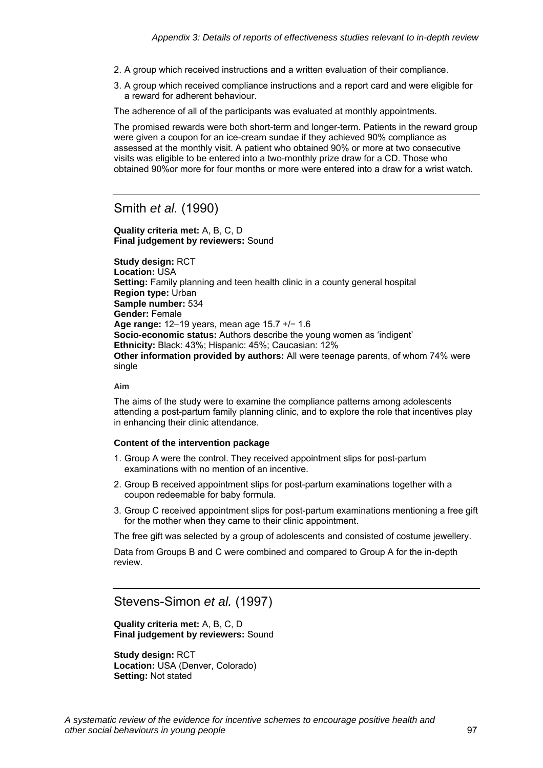- 2. A group which received instructions and a written evaluation of their compliance.
- 3. A group which received compliance instructions and a report card and were eligible for a reward for adherent behaviour.

The adherence of all of the participants was evaluated at monthly appointments.

The promised rewards were both short-term and longer-term. Patients in the reward group were given a coupon for an ice-cream sundae if they achieved 90% compliance as assessed at the monthly visit. A patient who obtained 90% or more at two consecutive visits was eligible to be entered into a two-monthly prize draw for a CD. Those who obtained 90%or more for four months or more were entered into a draw for a wrist watch.

Smith *et al.* (1990)

#### **Quality criteria met:** A, B, C, D **Final judgement by reviewers:** Sound

**Study design:** RCT **Location:** USA **Setting:** Family planning and teen health clinic in a county general hospital **Region type:** Urban **Sample number:** 534 **Gender:** Female **Age range:** 12–19 years, mean age 15.7 +/− 1.6 **Socio-economic status:** Authors describe the young women as 'indigent' **Ethnicity:** Black: 43%; Hispanic: 45%; Caucasian: 12% **Other information provided by authors:** All were teenage parents, of whom 74% were single

#### **Aim**

The aims of the study were to examine the compliance patterns among adolescents attending a post-partum family planning clinic, and to explore the role that incentives play in enhancing their clinic attendance.

#### **Content of the intervention package**

- 1. Group A were the control. They received appointment slips for post-partum examinations with no mention of an incentive.
- 2. Group B received appointment slips for post-partum examinations together with a coupon redeemable for baby formula.
- 3. Group C received appointment slips for post-partum examinations mentioning a free gift for the mother when they came to their clinic appointment.

The free gift was selected by a group of adolescents and consisted of costume jewellery.

Data from Groups B and C were combined and compared to Group A for the in-depth review.

## Stevens-Simon *et al.* (1997)

**Quality criteria met:** A, B, C, D **Final judgement by reviewers:** Sound

**Study design:** RCT **Location:** USA (Denver, Colorado) **Setting:** Not stated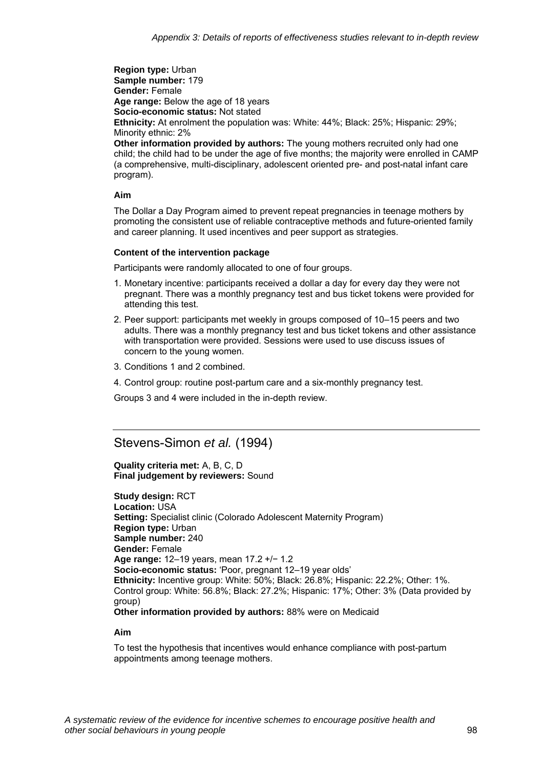**Region type:** Urban **Sample number:** 179 **Gender:** Female **Age range:** Below the age of 18 years **Socio-economic status:** Not stated **Ethnicity:** At enrolment the population was: White: 44%; Black: 25%; Hispanic: 29%; Minority ethnic: 2% **Other information provided by authors:** The young mothers recruited only had one

child; the child had to be under the age of five months; the majority were enrolled in CAMP (a comprehensive, multi-disciplinary, adolescent oriented pre- and post-natal infant care program).

#### **Aim**

The Dollar a Day Program aimed to prevent repeat pregnancies in teenage mothers by promoting the consistent use of reliable contraceptive methods and future-oriented family and career planning. It used incentives and peer support as strategies.

#### **Content of the intervention package**

Participants were randomly allocated to one of four groups.

- 1. Monetary incentive: participants received a dollar a day for every day they were not pregnant. There was a monthly pregnancy test and bus ticket tokens were provided for attending this test.
- 2. Peer support: participants met weekly in groups composed of 10–15 peers and two adults. There was a monthly pregnancy test and bus ticket tokens and other assistance with transportation were provided. Sessions were used to use discuss issues of concern to the young women.
- 3. Conditions 1 and 2 combined.
- 4. Control group: routine post-partum care and a six-monthly pregnancy test.

Groups 3 and 4 were included in the in-depth review.

## Stevens-Simon *et al.* (1994)

**Quality criteria met:** A, B, C, D **Final judgement by reviewers:** Sound

**Study design:** RCT **Location:** USA **Setting:** Specialist clinic (Colorado Adolescent Maternity Program) **Region type:** Urban **Sample number:** 240 **Gender:** Female **Age range:** 12–19 years, mean 17.2 +/− 1.2 **Socio-economic status:** 'Poor, pregnant 12–19 year olds' **Ethnicity:** Incentive group: White: 50%; Black: 26.8%; Hispanic: 22.2%; Other: 1%. Control group: White: 56.8%; Black: 27.2%; Hispanic: 17%; Other: 3% (Data provided by group) **Other information provided by authors:** 88% were on Medicaid

#### **Aim**

To test the hypothesis that incentives would enhance compliance with post-partum appointments among teenage mothers.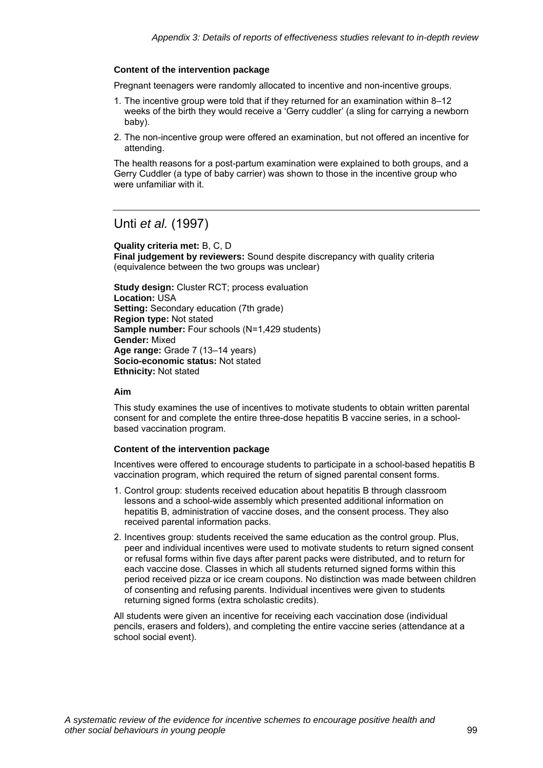#### **Content of the intervention package**

Pregnant teenagers were randomly allocated to incentive and non-incentive groups.

- 1. The incentive group were told that if they returned for an examination within 8–12 weeks of the birth they would receive a 'Gerry cuddler' (a sling for carrying a newborn baby).
- 2. The non-incentive group were offered an examination, but not offered an incentive for attending.

The health reasons for a post-partum examination were explained to both groups, and a Gerry Cuddler (a type of baby carrier) was shown to those in the incentive group who were unfamiliar with it.

### Unti *et al.* (1997)

**Quality criteria met:** B, C, D **Final judgement by reviewers:** Sound despite discrepancy with quality criteria (equivalence between the two groups was unclear)

**Study design:** Cluster RCT; process evaluation **Location:** USA **Setting:** Secondary education (7th grade) **Region type:** Not stated **Sample number:** Four schools (N=1,429 students) **Gender:** Mixed **Age range:** Grade 7 (13–14 years) **Socio-economic status:** Not stated **Ethnicity:** Not stated

#### **Aim**

This study examines the use of incentives to motivate students to obtain written parental consent for and complete the entire three-dose hepatitis B vaccine series, in a schoolbased vaccination program.

#### **Content of the intervention package**

Incentives were offered to encourage students to participate in a school-based hepatitis B vaccination program, which required the return of signed parental consent forms.

- 1. Control group: students received education about hepatitis B through classroom lessons and a school-wide assembly which presented additional information on hepatitis B, administration of vaccine doses, and the consent process. They also received parental information packs.
- 2. Incentives group: students received the same education as the control group. Plus, peer and individual incentives were used to motivate students to return signed consent or refusal forms within five days after parent packs were distributed, and to return for each vaccine dose. Classes in which all students returned signed forms within this period received pizza or ice cream coupons. No distinction was made between children of consenting and refusing parents. Individual incentives were given to students returning signed forms (extra scholastic credits).

All students were given an incentive for receiving each vaccination dose (individual pencils, erasers and folders), and completing the entire vaccine series (attendance at a school social event).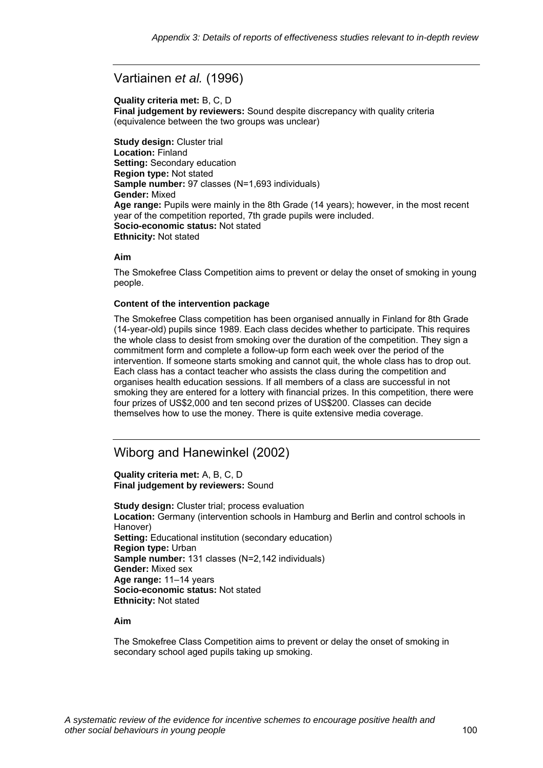# Vartiainen *et al.* (1996)

#### **Quality criteria met:** B, C, D

**Final judgement by reviewers:** Sound despite discrepancy with quality criteria (equivalence between the two groups was unclear)

**Study design:** Cluster trial **Location:** Finland **Setting:** Secondary education **Region type:** Not stated **Sample number:** 97 classes (N=1,693 individuals) **Gender:** Mixed **Age range:** Pupils were mainly in the 8th Grade (14 years); however, in the most recent year of the competition reported, 7th grade pupils were included. **Socio-economic status:** Not stated **Ethnicity:** Not stated

#### **Aim**

The Smokefree Class Competition aims to prevent or delay the onset of smoking in young people.

#### **Content of the intervention package**

The Smokefree Class competition has been organised annually in Finland for 8th Grade (14-year-old) pupils since 1989. Each class decides whether to participate. This requires the whole class to desist from smoking over the duration of the competition. They sign a commitment form and complete a follow-up form each week over the period of the intervention. If someone starts smoking and cannot quit, the whole class has to drop out. Each class has a contact teacher who assists the class during the competition and organises health education sessions. If all members of a class are successful in not smoking they are entered for a lottery with financial prizes. In this competition, there were four prizes of US\$2,000 and ten second prizes of US\$200. Classes can decide themselves how to use the money. There is quite extensive media coverage.

# Wiborg and Hanewinkel (2002)

**Quality criteria met:** A, B, C, D **Final judgement by reviewers:** Sound

**Study design:** Cluster trial; process evaluation **Location:** Germany (intervention schools in Hamburg and Berlin and control schools in Hanover) **Setting:** Educational institution (secondary education) **Region type:** Urban **Sample number:** 131 classes (N=2,142 individuals) **Gender:** Mixed sex **Age range:** 11–14 years **Socio-economic status:** Not stated **Ethnicity:** Not stated

#### **Aim**

The Smokefree Class Competition aims to prevent or delay the onset of smoking in secondary school aged pupils taking up smoking.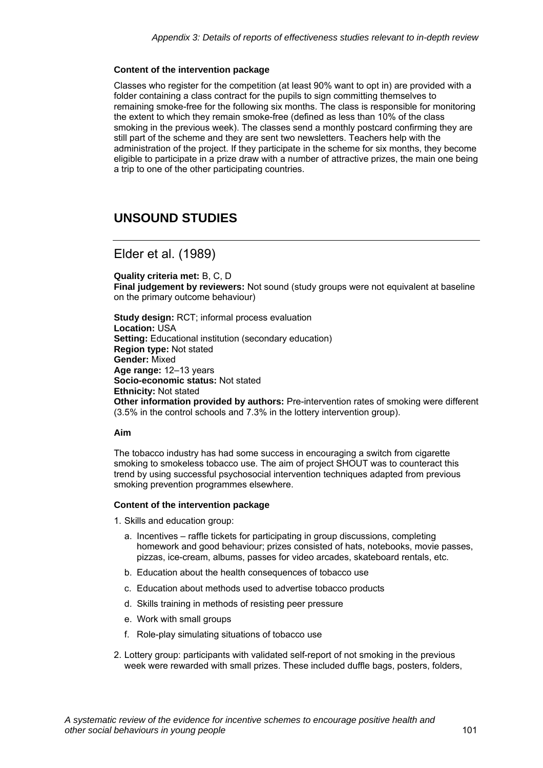#### **Content of the intervention package**

Classes who register for the competition (at least 90% want to opt in) are provided with a folder containing a class contract for the pupils to sign committing themselves to remaining smoke-free for the following six months. The class is responsible for monitoring the extent to which they remain smoke-free (defined as less than 10% of the class smoking in the previous week). The classes send a monthly postcard confirming they are still part of the scheme and they are sent two newsletters. Teachers help with the administration of the project. If they participate in the scheme for six months, they become eligible to participate in a prize draw with a number of attractive prizes, the main one being a trip to one of the other participating countries.

# **UNSOUND STUDIES**

### Elder et al. (1989)

**Quality criteria met:** B, C, D **Final judgement by reviewers:** Not sound (study groups were not equivalent at baseline on the primary outcome behaviour)

**Study design:** RCT; informal process evaluation **Location:** USA **Setting:** Educational institution (secondary education) **Region type:** Not stated **Gender:** Mixed **Age range:** 12–13 years **Socio-economic status:** Not stated **Ethnicity:** Not stated **Other information provided by authors:** Pre-intervention rates of smoking were different (3.5% in the control schools and 7.3% in the lottery intervention group).

#### **Aim**

The tobacco industry has had some success in encouraging a switch from cigarette smoking to smokeless tobacco use. The aim of project SHOUT was to counteract this trend by using successful psychosocial intervention techniques adapted from previous smoking prevention programmes elsewhere.

#### **Content of the intervention package**

1. Skills and education group:

- a. Incentives raffle tickets for participating in group discussions, completing homework and good behaviour; prizes consisted of hats, notebooks, movie passes, pizzas, ice-cream, albums, passes for video arcades, skateboard rentals, etc.
- b. Education about the health consequences of tobacco use
- c. Education about methods used to advertise tobacco products
- d. Skills training in methods of resisting peer pressure
- e. Work with small groups
- f. Role-play simulating situations of tobacco use
- 2. Lottery group: participants with validated self-report of not smoking in the previous week were rewarded with small prizes. These included duffle bags, posters, folders,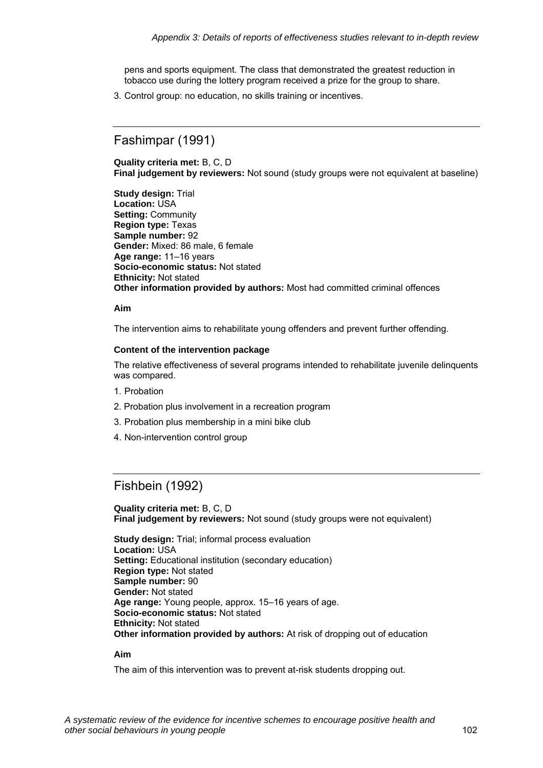pens and sports equipment. The class that demonstrated the greatest reduction in tobacco use during the lottery program received a prize for the group to share.

3. Control group: no education, no skills training or incentives.

## Fashimpar (1991)

**Quality criteria met:** B, C, D **Final judgement by reviewers:** Not sound (study groups were not equivalent at baseline)

**Study design:** Trial **Location:** USA **Setting:** Community **Region type:** Texas **Sample number:** 92 **Gender:** Mixed: 86 male, 6 female **Age range:** 11–16 years **Socio-economic status:** Not stated **Ethnicity:** Not stated **Other information provided by authors:** Most had committed criminal offences

#### **Aim**

The intervention aims to rehabilitate young offenders and prevent further offending.

#### **Content of the intervention package**

The relative effectiveness of several programs intended to rehabilitate juvenile delinquents was compared.

- 1. Probation
- 2. Probation plus involvement in a recreation program
- 3. Probation plus membership in a mini bike club
- 4. Non-intervention control group

### Fishbein (1992)

**Quality criteria met:** B, C, D **Final judgement by reviewers:** Not sound (study groups were not equivalent)

**Study design:** Trial; informal process evaluation **Location:** USA **Setting:** Educational institution (secondary education) **Region type:** Not stated **Sample number:** 90 **Gender:** Not stated **Age range:** Young people, approx. 15–16 years of age. **Socio-economic status:** Not stated **Ethnicity:** Not stated **Other information provided by authors:** At risk of dropping out of education

#### **Aim**

The aim of this intervention was to prevent at-risk students dropping out.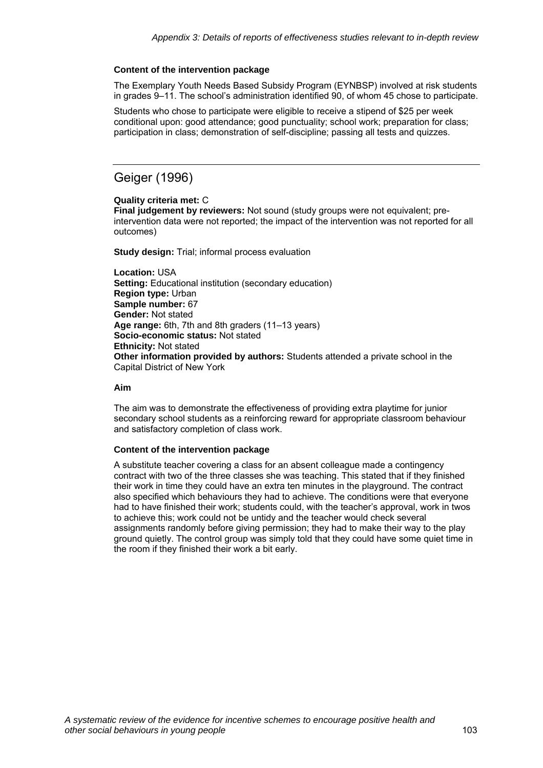#### **Content of the intervention package**

The Exemplary Youth Needs Based Subsidy Program (EYNBSP) involved at risk students in grades 9–11. The school's administration identified 90, of whom 45 chose to participate.

Students who chose to participate were eligible to receive a stipend of \$25 per week conditional upon: good attendance; good punctuality; school work; preparation for class; participation in class; demonstration of self-discipline; passing all tests and quizzes.

# Geiger (1996)

#### **Quality criteria met:** C

**Final judgement by reviewers:** Not sound (study groups were not equivalent; preintervention data were not reported; the impact of the intervention was not reported for all outcomes)

**Study design:** Trial; informal process evaluation

**Location:** USA **Setting: Educational institution (secondary education) Region type:** Urban **Sample number:** 67 **Gender:** Not stated **Age range:** 6th, 7th and 8th graders (11–13 years) **Socio-economic status:** Not stated **Ethnicity:** Not stated **Other information provided by authors:** Students attended a private school in the Capital District of New York

#### **Aim**

The aim was to demonstrate the effectiveness of providing extra playtime for junior secondary school students as a reinforcing reward for appropriate classroom behaviour and satisfactory completion of class work.

#### **Content of the intervention package**

A substitute teacher covering a class for an absent colleague made a contingency contract with two of the three classes she was teaching. This stated that if they finished their work in time they could have an extra ten minutes in the playground. The contract also specified which behaviours they had to achieve. The conditions were that everyone had to have finished their work; students could, with the teacher's approval, work in twos to achieve this; work could not be untidy and the teacher would check several assignments randomly before giving permission; they had to make their way to the play ground quietly. The control group was simply told that they could have some quiet time in the room if they finished their work a bit early.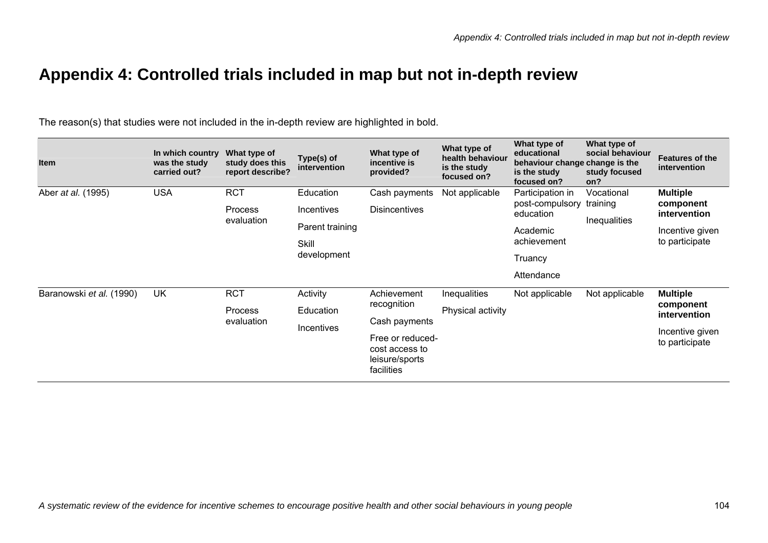# **Appendix 4: Controlled trials included in map but not in-depth review**

The reason(s) that studies were not included in the in-depth review are highlighted in bold.

| <b>Item</b>              | In which country<br>was the study<br>carried out? | What type of<br>study does this<br>report describe? | Type(s) of<br>intervention  | What type of<br>incentive is<br>provided?                          | What type of<br>health behaviour<br>is the study<br>focused on? | What type of<br>educational<br>behaviour change change is the<br>is the study<br>focused on? | What type of<br>social behaviour<br>study focused<br>on? | <b>Features of the</b><br>intervention              |
|--------------------------|---------------------------------------------------|-----------------------------------------------------|-----------------------------|--------------------------------------------------------------------|-----------------------------------------------------------------|----------------------------------------------------------------------------------------------|----------------------------------------------------------|-----------------------------------------------------|
| Aber at al. (1995)       | <b>USA</b>                                        | <b>RCT</b>                                          | Education                   | Cash payments                                                      | Not applicable                                                  | Participation in<br>post-compulsory training<br>education                                    | Vocational<br><b>Inequalities</b>                        | <b>Multiple</b><br>component<br>intervention        |
|                          |                                                   | Process<br>evaluation                               | Incentives                  | <b>Disincentives</b>                                               |                                                                 |                                                                                              |                                                          |                                                     |
|                          |                                                   |                                                     | Parent training             |                                                                    |                                                                 | Academic<br>achievement                                                                      |                                                          | Incentive given<br>to participate                   |
|                          |                                                   |                                                     | <b>Skill</b><br>development |                                                                    |                                                                 |                                                                                              |                                                          |                                                     |
|                          |                                                   |                                                     |                             |                                                                    |                                                                 | Truancy                                                                                      |                                                          |                                                     |
|                          |                                                   |                                                     |                             |                                                                    |                                                                 | Attendance                                                                                   |                                                          |                                                     |
| Baranowski et al. (1990) | <b>UK</b>                                         | <b>RCT</b>                                          | Activity                    | Achievement<br>recognition<br>Cash payments                        | <b>Inequalities</b>                                             | Not applicable                                                                               | Not applicable                                           | <b>Multiple</b><br>component<br><i>intervention</i> |
|                          |                                                   | Process<br>evaluation                               | Education                   |                                                                    | Physical activity                                               |                                                                                              |                                                          |                                                     |
|                          |                                                   |                                                     | Incentives                  |                                                                    |                                                                 |                                                                                              |                                                          |                                                     |
|                          |                                                   |                                                     |                             | Free or reduced-<br>cost access to<br>leisure/sports<br>facilities |                                                                 |                                                                                              |                                                          | Incentive given<br>to participate                   |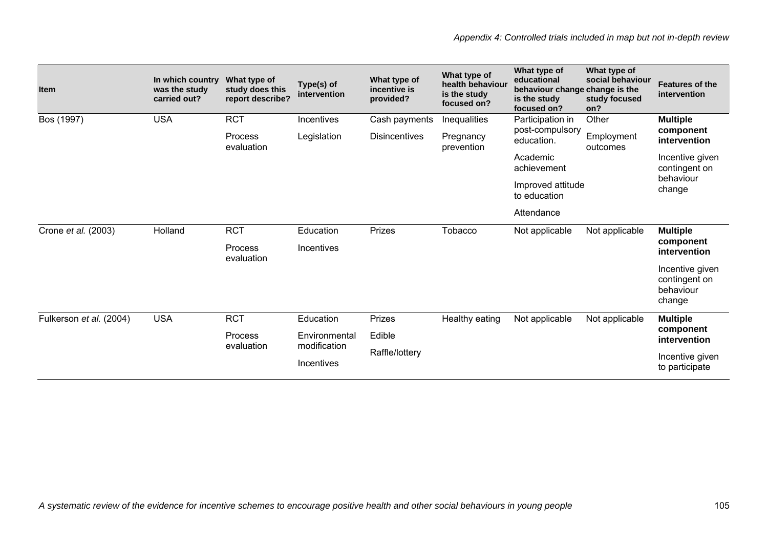| <b>Item</b>             | In which country<br>was the study<br>carried out? | What type of<br>study does this<br>report describe? | Type(s) of<br>intervention        | What type of<br>incentive is<br>provided? | What type of<br>health behaviour<br>is the study<br>focused on? | What type of<br>educational<br>behaviour change change is the<br>is the study<br>focused on? | What type of<br>social behaviour<br>study focused<br>on? | <b>Features of the</b><br>intervention                  |
|-------------------------|---------------------------------------------------|-----------------------------------------------------|-----------------------------------|-------------------------------------------|-----------------------------------------------------------------|----------------------------------------------------------------------------------------------|----------------------------------------------------------|---------------------------------------------------------|
| Bos (1997)              | <b>USA</b>                                        | <b>RCT</b>                                          | Incentives                        | Cash payments                             | Inequalities                                                    | Participation in                                                                             | Other                                                    | <b>Multiple</b>                                         |
|                         |                                                   | Process<br>evaluation                               | Legislation                       | <b>Disincentives</b>                      | Pregnancy<br>prevention                                         | post-compulsory<br>education.                                                                | Employment<br>outcomes                                   | component<br>intervention                               |
|                         |                                                   |                                                     |                                   |                                           |                                                                 | Academic<br>achievement                                                                      |                                                          | Incentive given<br>contingent on                        |
|                         |                                                   |                                                     | Improved attitude<br>to education |                                           | behaviour<br>change                                             |                                                                                              |                                                          |                                                         |
|                         |                                                   |                                                     |                                   |                                           |                                                                 | Attendance                                                                                   |                                                          |                                                         |
| Crone et al. (2003)     | Holland                                           | <b>RCT</b>                                          | Education                         | Prizes                                    | Tobacco                                                         | Not applicable                                                                               | Not applicable                                           | <b>Multiple</b><br>component<br>intervention            |
|                         |                                                   | Process<br>evaluation                               | Incentives                        |                                           |                                                                 |                                                                                              |                                                          |                                                         |
|                         |                                                   |                                                     |                                   |                                           |                                                                 |                                                                                              |                                                          | Incentive given<br>contingent on<br>behaviour<br>change |
| Fulkerson et al. (2004) | <b>USA</b>                                        | <b>RCT</b>                                          | Education                         | Prizes                                    | Healthy eating                                                  | Not applicable                                                                               | Not applicable                                           | <b>Multiple</b>                                         |
|                         |                                                   | Process                                             | Environmental<br>modification     | Edible                                    |                                                                 |                                                                                              |                                                          | component<br>intervention                               |
|                         |                                                   | evaluation                                          | Incentives                        | Raffle/lottery                            |                                                                 |                                                                                              |                                                          | Incentive given<br>to participate                       |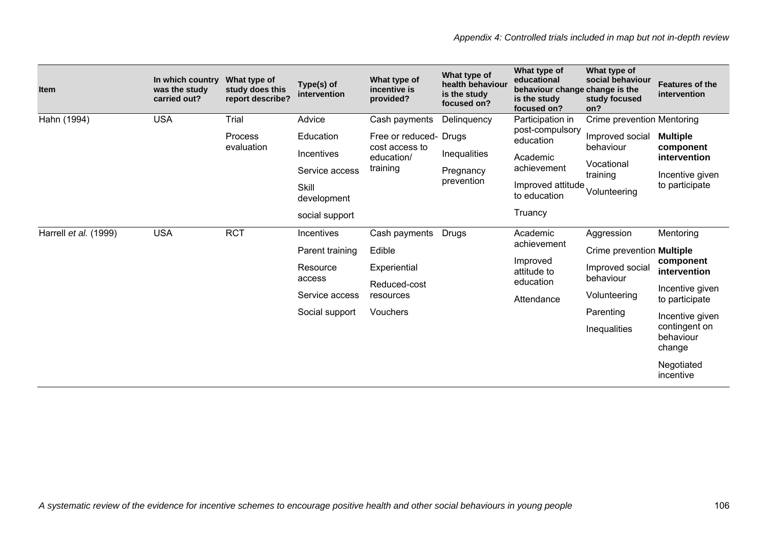| <b>Item</b>           | In which country<br>was the study<br>carried out? | What type of<br>study does this<br>report describe? | Type(s) of<br>intervention | What type of<br>incentive is<br>provided?              | What type of<br>health behaviour<br>is the study<br>focused on? | What type of<br>educational<br>behaviour change change is the<br>is the study<br>focused on? | What type of<br>social behaviour<br>study focused<br>on? | <b>Features of the</b><br>intervention                                            |
|-----------------------|---------------------------------------------------|-----------------------------------------------------|----------------------------|--------------------------------------------------------|-----------------------------------------------------------------|----------------------------------------------------------------------------------------------|----------------------------------------------------------|-----------------------------------------------------------------------------------|
| Hahn (1994)           | <b>USA</b>                                        | Trial                                               | Advice                     | Cash payments                                          | Delinquency                                                     | Participation in                                                                             | Crime prevention Mentoring                               |                                                                                   |
|                       |                                                   | Process                                             | Education                  | Free or reduced- Drugs<br>cost access to<br>education/ |                                                                 | post-compulsory<br>education<br>Academic<br>achievement                                      | Improved social                                          | <b>Multiple</b><br>component<br>intervention<br>Incentive given<br>to participate |
|                       |                                                   | evaluation                                          | Incentives                 |                                                        | Inequalities                                                    |                                                                                              | behaviour                                                |                                                                                   |
|                       |                                                   |                                                     | Service access             | training                                               | Pregnancy                                                       |                                                                                              | Vocational<br>training                                   |                                                                                   |
|                       |                                                   |                                                     | Skill<br>development       |                                                        | prevention                                                      | Improved attitude<br>to education                                                            | Volunteering                                             |                                                                                   |
|                       |                                                   |                                                     | social support             |                                                        |                                                                 | Truancy                                                                                      |                                                          |                                                                                   |
| Harrell et al. (1999) | <b>USA</b>                                        | <b>RCT</b>                                          | Incentives                 | Cash payments                                          | Drugs                                                           | Academic<br>achievement                                                                      | Aggression                                               | Mentoring                                                                         |
|                       |                                                   |                                                     | Parent training            | Edible                                                 |                                                                 |                                                                                              | Crime prevention <b>Multiple</b>                         | component<br>intervention                                                         |
|                       |                                                   |                                                     | Resource<br>access         | Experiential                                           |                                                                 | Improved<br>attitude to<br>education                                                         | Improved social<br>behaviour                             |                                                                                   |
|                       |                                                   |                                                     | Service access             | Reduced-cost<br>resources                              |                                                                 | Attendance                                                                                   | Volunteering                                             | Incentive given<br>to participate                                                 |
|                       |                                                   |                                                     | Social support             | Vouchers                                               |                                                                 |                                                                                              | Parenting                                                | Incentive given                                                                   |
|                       |                                                   |                                                     |                            |                                                        |                                                                 |                                                                                              | Inequalities                                             | contingent on<br>behaviour<br>change                                              |
|                       |                                                   |                                                     |                            |                                                        |                                                                 |                                                                                              |                                                          | Negotiated<br>incentive                                                           |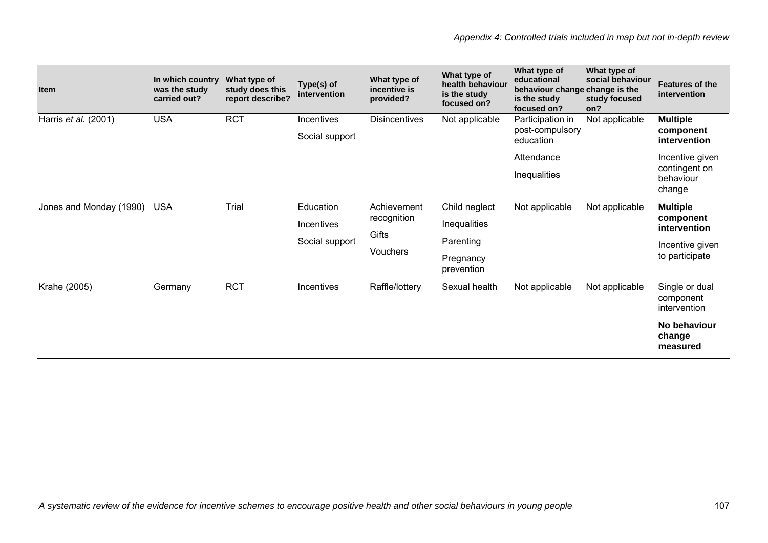| <b>Item</b>             | In which country<br>was the study<br>carried out? | What type of<br>study does this<br>report describe? | Type(s) of<br>intervention   | What type of<br>incentive is<br>provided? | What type of<br>health behaviour<br>is the study<br>focused on? | What type of<br>educational<br>behaviour change change is the<br>is the study<br>focused on? | What type of<br>social behaviour<br>on? | <b>Features of the</b><br>intervention                  |
|-------------------------|---------------------------------------------------|-----------------------------------------------------|------------------------------|-------------------------------------------|-----------------------------------------------------------------|----------------------------------------------------------------------------------------------|-----------------------------------------|---------------------------------------------------------|
| Harris et al. (2001)    | <b>USA</b>                                        | <b>RCT</b>                                          | Incentives<br>Social support | <b>Disincentives</b>                      | Not applicable                                                  | Participation in<br>post-compulsory<br>education                                             | Not applicable                          | <b>Multiple</b><br>component<br>intervention            |
|                         |                                                   |                                                     |                              |                                           |                                                                 | Attendance                                                                                   |                                         | Incentive given<br>contingent on<br>behaviour<br>change |
|                         |                                                   |                                                     |                              |                                           |                                                                 | Inequalities                                                                                 | Not applicable                          |                                                         |
| Jones and Monday (1990) | <b>USA</b>                                        | Trial                                               | Education                    | Achievement<br>recognition<br>Gifts       | Child neglect                                                   | Not applicable                                                                               |                                         | <b>Multiple</b><br>component<br>intervention            |
|                         |                                                   |                                                     | Incentives                   |                                           | <b>Inequalities</b><br>Parenting                                |                                                                                              |                                         |                                                         |
|                         |                                                   |                                                     | Social support               |                                           |                                                                 |                                                                                              | study focused<br>Not applicable         | Incentive given                                         |
|                         |                                                   |                                                     |                              | <b>Vouchers</b>                           | Pregnancy<br>prevention                                         |                                                                                              |                                         | to participate                                          |
| Krahe (2005)            | Germany                                           | <b>RCT</b>                                          | Incentives                   | Raffle/lottery                            | Sexual health                                                   | Not applicable                                                                               |                                         | Single or dual<br>component<br>intervention             |
|                         |                                                   |                                                     |                              |                                           |                                                                 |                                                                                              |                                         | No behaviour<br>change<br>measured                      |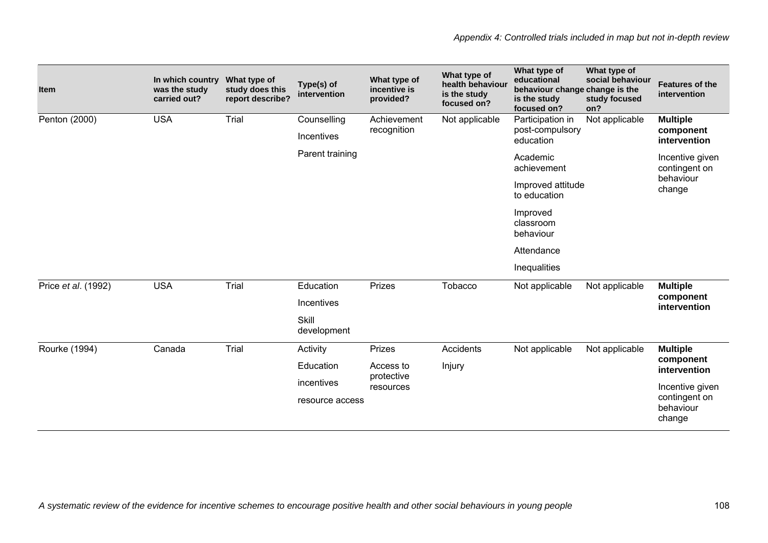| <b>Item</b>         | In which country<br>was the study<br>carried out? | What type of<br>study does this<br>report describe? | Type(s) of<br>intervention | What type of<br>incentive is<br>provided? | What type of<br>health behaviour<br>is the study<br>focused on? | What type of<br>educational<br>behaviour change change is the<br>is the study<br>focused on? | What type of<br>social behaviour<br>study focused<br>on? | <b>Features of the</b><br>intervention |
|---------------------|---------------------------------------------------|-----------------------------------------------------|----------------------------|-------------------------------------------|-----------------------------------------------------------------|----------------------------------------------------------------------------------------------|----------------------------------------------------------|----------------------------------------|
| Penton (2000)       | <b>USA</b>                                        | Trial                                               | Counselling                | Achievement<br>recognition                | Not applicable                                                  | Participation in<br>post-compulsory<br>education                                             | Not applicable                                           | <b>Multiple</b><br>component           |
|                     |                                                   |                                                     | Incentives                 |                                           |                                                                 |                                                                                              |                                                          | intervention                           |
|                     |                                                   |                                                     | Parent training            |                                           |                                                                 | Academic<br>achievement                                                                      |                                                          | Incentive given<br>contingent on       |
|                     |                                                   |                                                     |                            |                                           |                                                                 | Improved attitude<br>to education                                                            |                                                          | behaviour<br>change                    |
|                     |                                                   |                                                     |                            |                                           | Improved<br>classroom<br>behaviour                              |                                                                                              |                                                          |                                        |
|                     |                                                   |                                                     |                            |                                           |                                                                 | Attendance                                                                                   |                                                          |                                        |
|                     |                                                   |                                                     |                            |                                           |                                                                 | Inequalities                                                                                 |                                                          |                                        |
| Price et al. (1992) | <b>USA</b>                                        | Trial                                               | Education                  | Prizes                                    | Tobacco                                                         | Not applicable                                                                               | Not applicable                                           | <b>Multiple</b>                        |
|                     |                                                   |                                                     | Incentives                 |                                           |                                                                 |                                                                                              |                                                          | component<br>intervention              |
|                     |                                                   |                                                     | Skill<br>development       |                                           |                                                                 |                                                                                              |                                                          |                                        |
| Rourke (1994)       | Canada                                            | Trial                                               | Activity                   | Prizes                                    | Accidents                                                       | Not applicable                                                                               | Not applicable                                           | <b>Multiple</b>                        |
|                     |                                                   |                                                     | Education                  | Access to                                 | Injury                                                          |                                                                                              |                                                          | component<br>intervention              |
|                     |                                                   |                                                     | incentives                 | protective<br>resources                   |                                                                 |                                                                                              |                                                          | Incentive given                        |
|                     |                                                   |                                                     | resource access            |                                           |                                                                 |                                                                                              |                                                          | contingent on<br>behaviour<br>change   |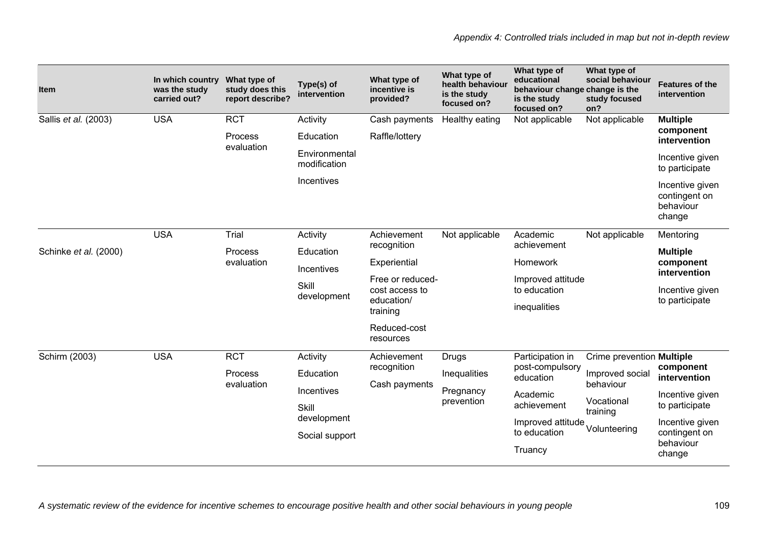| <b>Item</b>           | In which country<br>was the study<br>carried out? | What type of<br>study does this<br>report describe? | Type(s) of<br>intervention    | What type of<br>incentive is<br>provided?                    | What type of<br>health behaviour<br>is the study<br>focused on? | What type of<br>educational<br>behaviour change change is the<br>is the study<br>focused on? | What type of<br>social behaviour<br>study focused<br>on? | <b>Features of the</b><br>intervention                  |
|-----------------------|---------------------------------------------------|-----------------------------------------------------|-------------------------------|--------------------------------------------------------------|-----------------------------------------------------------------|----------------------------------------------------------------------------------------------|----------------------------------------------------------|---------------------------------------------------------|
| Sallis et al. (2003)  | <b>USA</b>                                        | <b>RCT</b>                                          | Activity                      | Cash payments                                                | Healthy eating                                                  | Not applicable                                                                               | Not applicable                                           | <b>Multiple</b>                                         |
|                       |                                                   | Process<br>evaluation                               | Education                     | Raffle/lottery                                               |                                                                 |                                                                                              |                                                          | component<br>intervention                               |
|                       |                                                   |                                                     | Environmental<br>modification |                                                              |                                                                 |                                                                                              |                                                          | Incentive given<br>to participate                       |
|                       |                                                   |                                                     | Incentives                    |                                                              |                                                                 |                                                                                              |                                                          | Incentive given<br>contingent on<br>behaviour<br>change |
|                       | <b>USA</b>                                        | Trial                                               | Activity                      | Achievement                                                  | Not applicable                                                  | Academic                                                                                     | Not applicable                                           | Mentoring                                               |
| Schinke et al. (2000) |                                                   | Process<br>evaluation                               | Education                     | recognition                                                  |                                                                 | achievement                                                                                  |                                                          | <b>Multiple</b>                                         |
|                       |                                                   |                                                     | <b>Incentives</b>             | Experiential                                                 |                                                                 | Homework                                                                                     |                                                          | component<br>intervention                               |
|                       |                                                   |                                                     | Skill                         | Free or reduced-<br>cost access to<br>education/<br>training |                                                                 | Improved attitude<br>to education                                                            |                                                          | Incentive given<br>to participate                       |
|                       |                                                   |                                                     | development                   |                                                              |                                                                 | inequalities                                                                                 |                                                          |                                                         |
|                       |                                                   |                                                     |                               | Reduced-cost<br>resources                                    |                                                                 |                                                                                              |                                                          |                                                         |
| Schirm (2003)         | <b>USA</b>                                        | <b>RCT</b>                                          | Activity                      | Achievement                                                  | Drugs                                                           | Participation in                                                                             | Crime prevention Multiple                                |                                                         |
|                       |                                                   | Process<br>evaluation                               | Education                     | recognition<br>Cash payments                                 | Inequalities                                                    | post-compulsory<br>education                                                                 | Improved socia<br>behaviour                              | component<br>intervention                               |
|                       |                                                   |                                                     | Incentives                    |                                                              | Pregnancy<br>prevention                                         | Academic                                                                                     | Vocational                                               | Incentive given                                         |
|                       |                                                   |                                                     | Skill<br>development          |                                                              |                                                                 | achievement                                                                                  | training                                                 | to participate                                          |
|                       |                                                   |                                                     | Social support                |                                                              |                                                                 | Improved attitude<br>to education                                                            | Volunteering                                             | Incentive given<br>contingent on                        |
|                       |                                                   |                                                     |                               |                                                              |                                                                 | Truancy                                                                                      |                                                          | behaviour<br>change                                     |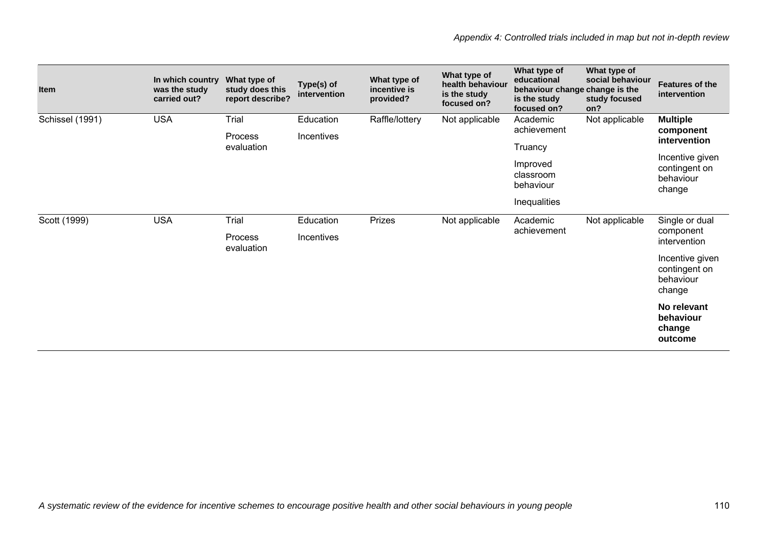| Item            | In which country<br>was the study<br>carried out? | What type of<br>study does this<br>report describe? | Type(s) of<br>intervention | What type of<br>incentive is<br>provided? | What type of<br>health behaviour<br>is the study<br>focused on? | What type of<br>educational<br>behaviour change change is the<br>is the study<br>focused on? | What type of<br>social behaviour<br>study focused<br>on? | <b>Features of the</b><br>intervention                                                                  |
|-----------------|---------------------------------------------------|-----------------------------------------------------|----------------------------|-------------------------------------------|-----------------------------------------------------------------|----------------------------------------------------------------------------------------------|----------------------------------------------------------|---------------------------------------------------------------------------------------------------------|
| Schissel (1991) | <b>USA</b>                                        | Trial<br>Process<br>evaluation                      | Education<br>Incentives    | Raffle/lottery                            | Not applicable                                                  | Academic<br>achievement<br>Truancy<br>Improved<br>classroom<br>behaviour<br>Inequalities     | Not applicable                                           | <b>Multiple</b><br>component<br>intervention<br>Incentive given<br>contingent on<br>behaviour<br>change |
| Scott (1999)    | <b>USA</b>                                        | Trial<br>Process<br>evaluation                      | Education<br>Incentives    | Prizes                                    | Not applicable                                                  | Academic<br>achievement                                                                      | Not applicable                                           | Single or dual<br>component<br>intervention<br>Incentive given<br>contingent on<br>behaviour<br>change  |
|                 |                                                   |                                                     |                            |                                           |                                                                 |                                                                                              |                                                          | No relevant<br>behaviour<br>change<br>outcome                                                           |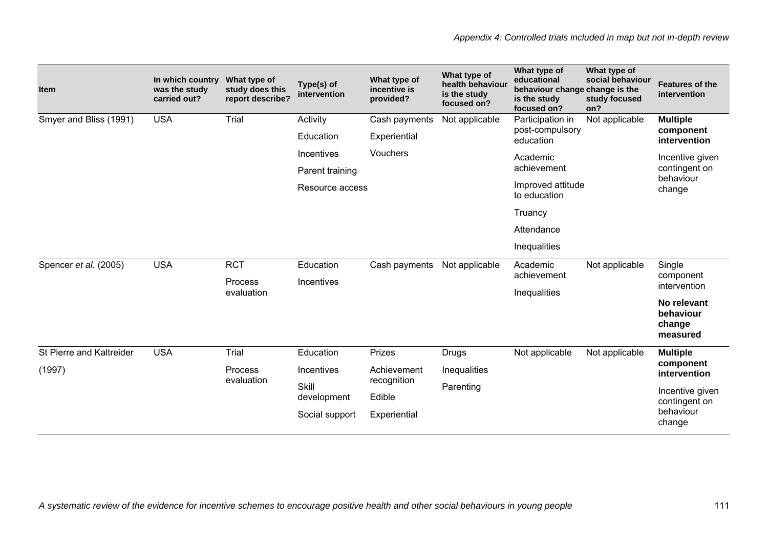| <b>Item</b>              | In which country<br>was the study<br>carried out? | What type of<br>study does this<br>report describe? | Type(s) of<br>intervention | What type of<br>incentive is<br>provided? | What type of<br>health behaviour<br>is the study<br>focused on? | What type of<br>educational<br>behaviour change change is the<br>is the study<br>focused on? | What type of<br>social behaviour<br>study focused<br>on? | <b>Features of the</b><br>intervention         |
|--------------------------|---------------------------------------------------|-----------------------------------------------------|----------------------------|-------------------------------------------|-----------------------------------------------------------------|----------------------------------------------------------------------------------------------|----------------------------------------------------------|------------------------------------------------|
| Smyer and Bliss (1991)   | <b>USA</b>                                        | Trial                                               | Activity                   | Cash payments                             | Not applicable                                                  | Participation in<br>post-compulsory                                                          | Not applicable                                           | <b>Multiple</b><br>component                   |
|                          |                                                   |                                                     | Education                  | Experiential                              |                                                                 | education                                                                                    |                                                          | intervention                                   |
|                          |                                                   |                                                     | Incentives                 | Vouchers                                  |                                                                 | Academic                                                                                     |                                                          | Incentive given                                |
|                          |                                                   |                                                     | Parent training            |                                           |                                                                 | achievement                                                                                  |                                                          | contingent on<br>behaviour                     |
|                          |                                                   |                                                     | Resource access            |                                           |                                                                 | Improved attitude<br>to education                                                            |                                                          | change                                         |
|                          |                                                   |                                                     |                            |                                           |                                                                 | Truancy                                                                                      |                                                          |                                                |
|                          |                                                   |                                                     |                            |                                           |                                                                 | Attendance                                                                                   |                                                          |                                                |
|                          |                                                   |                                                     |                            |                                           |                                                                 | Inequalities                                                                                 |                                                          |                                                |
| Spencer et al. (2005)    | <b>USA</b>                                        | <b>RCT</b>                                          | Education                  | Cash payments                             | Not applicable                                                  | Academic                                                                                     | Not applicable                                           | Single                                         |
|                          |                                                   | Process                                             | Incentives                 |                                           |                                                                 | achievement                                                                                  | component<br>intervention                                |                                                |
|                          |                                                   | evaluation                                          |                            |                                           |                                                                 | Inequalities                                                                                 |                                                          | No relevant<br>behaviour<br>change<br>measured |
| St Pierre and Kaltreider | <b>USA</b>                                        | Trial                                               | Education                  | Prizes                                    | <b>Drugs</b>                                                    | Not applicable                                                                               | Not applicable                                           | <b>Multiple</b>                                |
| (1997)                   |                                                   | Process                                             | Incentives                 | Achievement                               | Inequalities                                                    |                                                                                              |                                                          | component<br>intervention                      |
|                          |                                                   | evaluation                                          | Skill                      | recognition                               | Parenting                                                       |                                                                                              |                                                          | Incentive given                                |
|                          |                                                   |                                                     | development                | Edible                                    |                                                                 |                                                                                              |                                                          | contingent on                                  |
|                          |                                                   |                                                     | Social support             | Experiential                              |                                                                 |                                                                                              |                                                          | behaviour<br>change                            |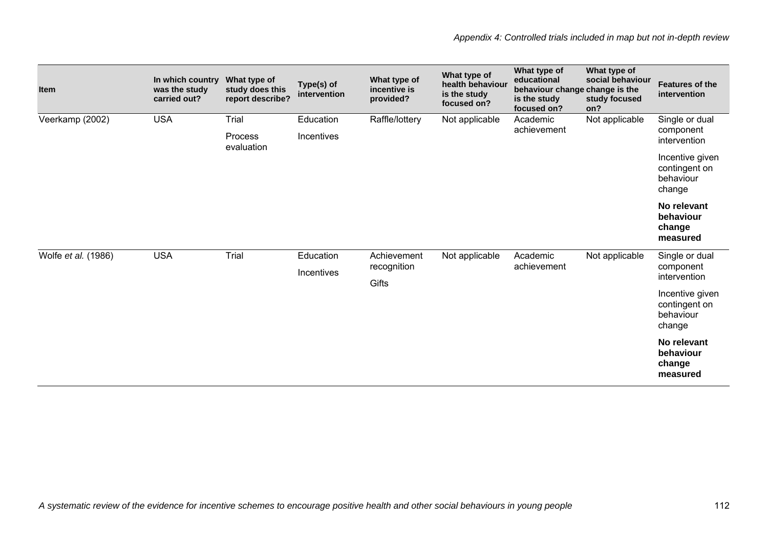| Item                | In which country<br>was the study<br>carried out? | What type of<br>study does this<br>report describe? | Type(s) of<br>intervention | What type of<br>incentive is<br>provided? | What type of<br>health behaviour<br>is the study<br>focused on? | What type of<br>educational<br>behaviour change change is the<br>is the study<br>focused on? | What type of<br>social behaviour<br>study focused<br>on? | <b>Features of the</b><br>intervention                  |
|---------------------|---------------------------------------------------|-----------------------------------------------------|----------------------------|-------------------------------------------|-----------------------------------------------------------------|----------------------------------------------------------------------------------------------|----------------------------------------------------------|---------------------------------------------------------|
| Veerkamp (2002)     | <b>USA</b>                                        | Trial<br>Process                                    | Education<br>Incentives    | Raffle/lottery                            | Not applicable                                                  | Academic<br>achievement                                                                      | Not applicable                                           | Single or dual<br>component<br>intervention             |
|                     |                                                   | evaluation                                          |                            |                                           |                                                                 |                                                                                              |                                                          | Incentive given<br>contingent on<br>behaviour<br>change |
|                     |                                                   |                                                     |                            |                                           |                                                                 |                                                                                              |                                                          | No relevant<br>behaviour<br>change<br>measured          |
| Wolfe et al. (1986) | <b>USA</b>                                        | Trial                                               | Education<br>Incentives    | Achievement<br>recognition                | Not applicable                                                  | Academic<br>achievement                                                                      | Not applicable                                           | Single or dual<br>component                             |
|                     |                                                   |                                                     |                            | Gifts                                     |                                                                 |                                                                                              |                                                          | intervention                                            |
|                     |                                                   |                                                     |                            |                                           |                                                                 |                                                                                              |                                                          | Incentive given<br>contingent on<br>behaviour<br>change |
|                     |                                                   |                                                     |                            |                                           |                                                                 |                                                                                              |                                                          | No relevant<br>behaviour<br>change<br>measured          |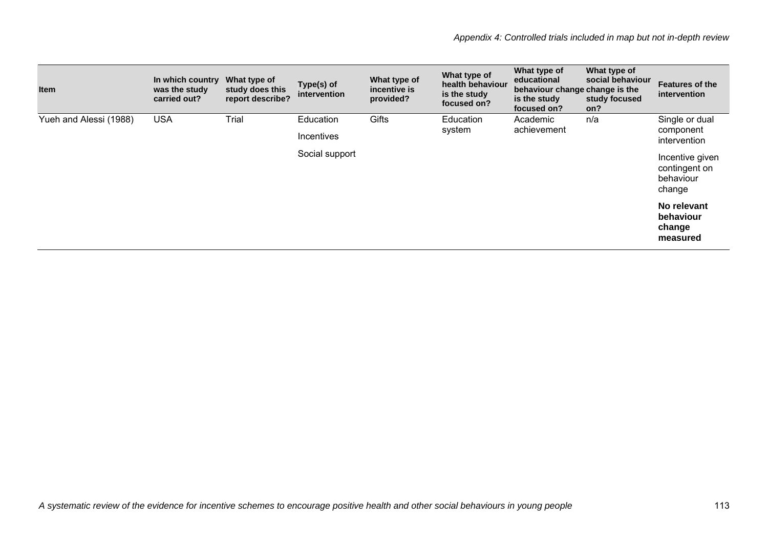| <b>Item</b>            | In which country<br>was the study<br>carried out? | What type of<br>study does this<br>report describe? | Type(s) of<br>intervention | What type of<br>incentive is<br>provided? | What type of<br>health behaviour<br>is the study<br>focused on? | What type of<br>educational<br>behaviour change change is the<br>is the study<br>focused on? | What type of<br>social behaviour<br>study focused<br>on? | <b>Features of the</b><br>intervention                  |
|------------------------|---------------------------------------------------|-----------------------------------------------------|----------------------------|-------------------------------------------|-----------------------------------------------------------------|----------------------------------------------------------------------------------------------|----------------------------------------------------------|---------------------------------------------------------|
| Yueh and Alessi (1988) | <b>USA</b>                                        | Trial                                               | Education                  | Gifts                                     | Education                                                       | Academic<br>achievement                                                                      | n/a                                                      | Single or dual                                          |
|                        |                                                   |                                                     | Incentives                 |                                           | system                                                          |                                                                                              | component<br>intervention                                |                                                         |
|                        |                                                   |                                                     | Social support             |                                           |                                                                 |                                                                                              |                                                          | Incentive given<br>contingent on<br>behaviour<br>change |
|                        |                                                   |                                                     |                            |                                           |                                                                 |                                                                                              |                                                          | No relevant<br>behaviour<br>change<br>measured          |